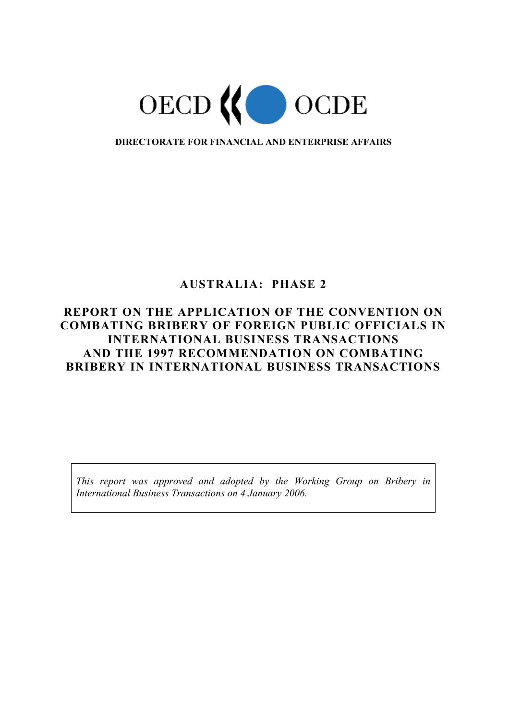

**DIRECTORATE FOR FINANCIAL AND ENTERPRISE AFFAIRS** 

# **AUSTRALIA: PHASE 2**

# **REPORT ON THE APPLICATION OF THE CONVENTION ON COMBATING BRIBERY OF FOREIGN PUBLIC OFFICIALS IN INTERNATIONAL BUSINESS TRANSACTIONS AND THE 1997 RECOMMENDATION ON COMBATING BRIBERY IN INTERNATIONAL BUSINESS TRANSACTIONS**

*This report was approved and adopted by the Working Group on Bribery in International Business Transactions on 4 January 2006.*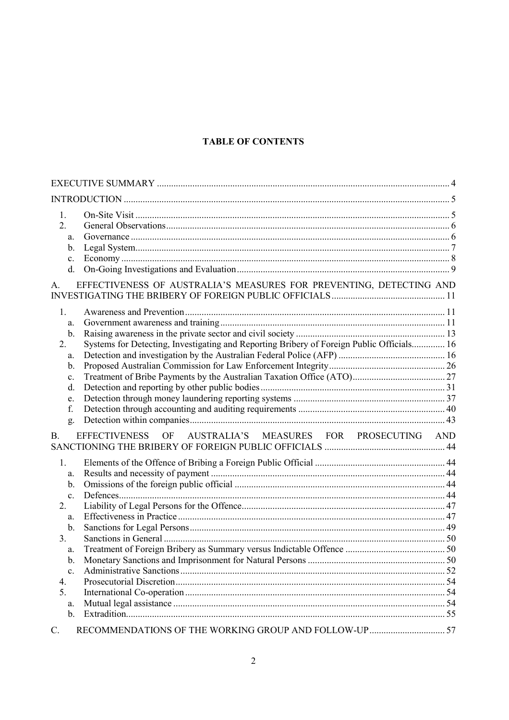# **TABLE OF CONTENTS**

| $\mathbf{1}$ .<br>2.<br>a.<br>b.<br>$\mathbf{c}$ .<br>d.                                                                                                               |     |
|------------------------------------------------------------------------------------------------------------------------------------------------------------------------|-----|
| EFFECTIVENESS OF AUSTRALIA'S MEASURES FOR PREVENTING, DETECTING AND<br>$A_{\cdot}$                                                                                     |     |
| 1.<br>a.<br>$\mathbf b$ .<br>Systems for Detecting, Investigating and Reporting Bribery of Foreign Public Officials 16<br>2.<br>a.<br>b.<br>c.<br>d.<br>e.<br>f.<br>g. |     |
| <b>B.</b><br>AUSTRALIA'S MEASURES FOR PROSECUTING<br>EFFECTIVENESS<br>OF                                                                                               | AND |
| 1.<br>a.<br>$\mathbf{b}$ .<br>$\mathbf{c}$ .<br>2.<br>a.<br>$\mathbf b$ .<br>3 <sub>1</sub><br>a.<br>$\mathbf b$ .<br>$\mathbf{c}$ .<br>4.<br>5.<br>a.<br>b.           |     |
| $\mathcal{C}$ .                                                                                                                                                        |     |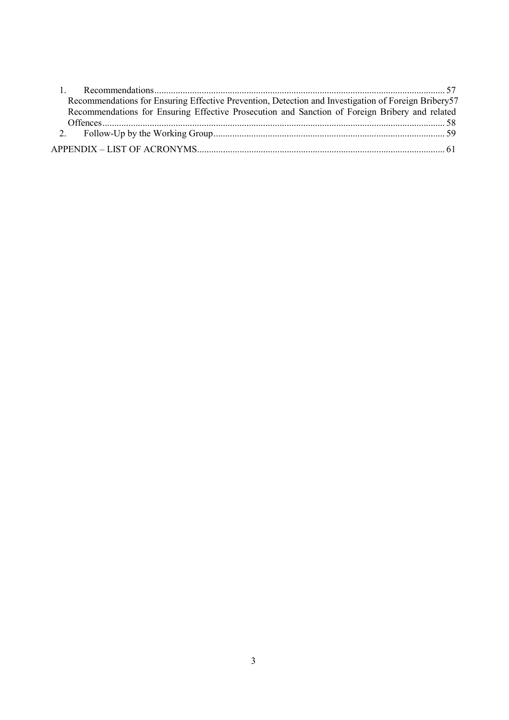| Recommendations for Ensuring Effective Prevention, Detection and Investigation of Foreign Bribery57 |  |
|-----------------------------------------------------------------------------------------------------|--|
| Recommendations for Ensuring Effective Prosecution and Sanction of Foreign Bribery and related      |  |
|                                                                                                     |  |
|                                                                                                     |  |
|                                                                                                     |  |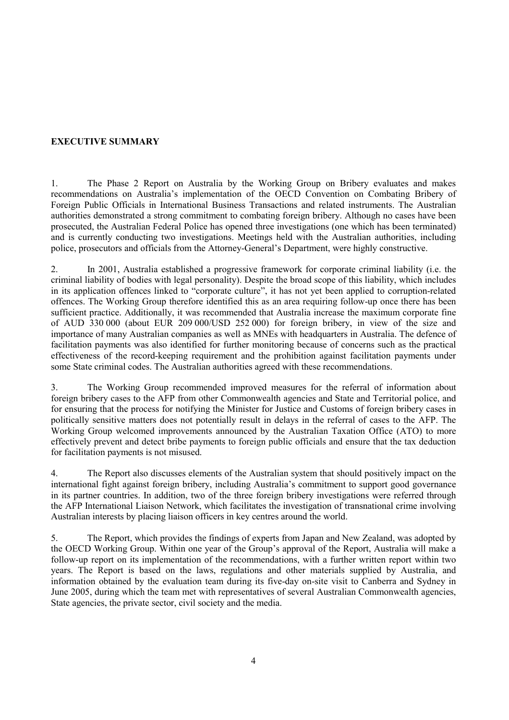# **EXECUTIVE SUMMARY**

1. The Phase 2 Report on Australia by the Working Group on Bribery evaluates and makes recommendations on Australia's implementation of the OECD Convention on Combating Bribery of Foreign Public Officials in International Business Transactions and related instruments. The Australian authorities demonstrated a strong commitment to combating foreign bribery. Although no cases have been prosecuted, the Australian Federal Police has opened three investigations (one which has been terminated) and is currently conducting two investigations. Meetings held with the Australian authorities, including police, prosecutors and officials from the Attorney-General's Department, were highly constructive.

2. In 2001, Australia established a progressive framework for corporate criminal liability (i.e. the criminal liability of bodies with legal personality). Despite the broad scope of this liability, which includes in its application offences linked to "corporate culture", it has not yet been applied to corruption-related offences. The Working Group therefore identified this as an area requiring follow-up once there has been sufficient practice. Additionally, it was recommended that Australia increase the maximum corporate fine of AUD 330 000 (about EUR 209 000/USD 252 000) for foreign bribery, in view of the size and importance of many Australian companies as well as MNEs with headquarters in Australia. The defence of facilitation payments was also identified for further monitoring because of concerns such as the practical effectiveness of the record-keeping requirement and the prohibition against facilitation payments under some State criminal codes. The Australian authorities agreed with these recommendations.

3. The Working Group recommended improved measures for the referral of information about foreign bribery cases to the AFP from other Commonwealth agencies and State and Territorial police, and for ensuring that the process for notifying the Minister for Justice and Customs of foreign bribery cases in politically sensitive matters does not potentially result in delays in the referral of cases to the AFP. The Working Group welcomed improvements announced by the Australian Taxation Office (ATO) to more effectively prevent and detect bribe payments to foreign public officials and ensure that the tax deduction for facilitation payments is not misused.

4. The Report also discusses elements of the Australian system that should positively impact on the international fight against foreign bribery, including Australia's commitment to support good governance in its partner countries. In addition, two of the three foreign bribery investigations were referred through the AFP International Liaison Network, which facilitates the investigation of transnational crime involving Australian interests by placing liaison officers in key centres around the world.

5. The Report, which provides the findings of experts from Japan and New Zealand, was adopted by the OECD Working Group. Within one year of the Group's approval of the Report, Australia will make a follow-up report on its implementation of the recommendations, with a further written report within two years. The Report is based on the laws, regulations and other materials supplied by Australia, and information obtained by the evaluation team during its five-day on-site visit to Canberra and Sydney in June 2005, during which the team met with representatives of several Australian Commonwealth agencies, State agencies, the private sector, civil society and the media.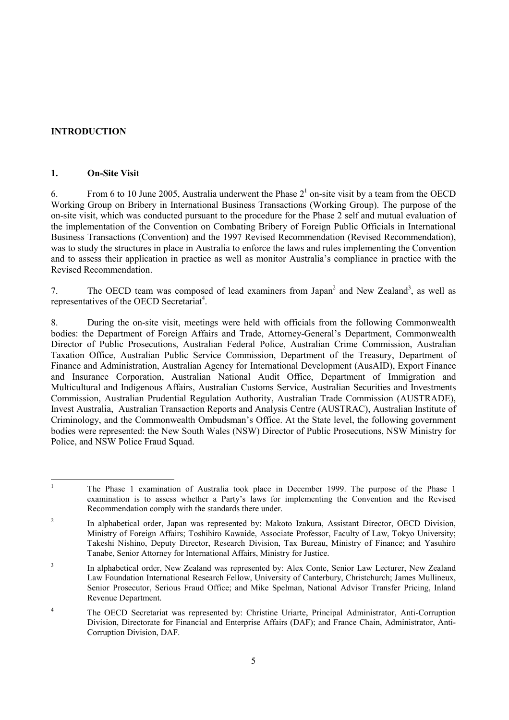# **INTRODUCTION**

# **1. On-Site Visit**

6. From 6 to 10 June 2005, Australia underwent the Phase  $2^1$  on-site visit by a team from the OECD Working Group on Bribery in International Business Transactions (Working Group). The purpose of the on-site visit, which was conducted pursuant to the procedure for the Phase 2 self and mutual evaluation of the implementation of the Convention on Combating Bribery of Foreign Public Officials in International Business Transactions (Convention) and the 1997 Revised Recommendation (Revised Recommendation), was to study the structures in place in Australia to enforce the laws and rules implementing the Convention and to assess their application in practice as well as monitor Australia's compliance in practice with the Revised Recommendation.

7. The OECD team was composed of lead examiners from Japan<sup>2</sup> and New Zealand<sup>3</sup>, as well as representatives of the OECD Secretariat<sup>4</sup>.

8. During the on-site visit, meetings were held with officials from the following Commonwealth bodies: the Department of Foreign Affairs and Trade, Attorney-General's Department, Commonwealth Director of Public Prosecutions, Australian Federal Police, Australian Crime Commission, Australian Taxation Office, Australian Public Service Commission, Department of the Treasury, Department of Finance and Administration, Australian Agency for International Development (AusAID), Export Finance and Insurance Corporation, Australian National Audit Office, Department of Immigration and Multicultural and Indigenous Affairs, Australian Customs Service, Australian Securities and Investments Commission, Australian Prudential Regulation Authority, Australian Trade Commission (AUSTRADE), Invest Australia, Australian Transaction Reports and Analysis Centre (AUSTRAC), Australian Institute of Criminology, and the Commonwealth Ombudsman's Office. At the State level, the following government bodies were represented: the New South Wales (NSW) Director of Public Prosecutions, NSW Ministry for Police, and NSW Police Fraud Squad.

<sup>|&</sup>lt;br>|<br>| The Phase 1 examination of Australia took place in December 1999. The purpose of the Phase 1 examination is to assess whether a Party's laws for implementing the Convention and the Revised Recommendation comply with the standards there under.

<sup>2</sup> In alphabetical order, Japan was represented by: Makoto Izakura, Assistant Director, OECD Division, Ministry of Foreign Affairs; Toshihiro Kawaide, Associate Professor, Faculty of Law, Tokyo University; Takeshi Nishino, Deputy Director, Research Division, Tax Bureau, Ministry of Finance; and Yasuhiro Tanabe, Senior Attorney for International Affairs, Ministry for Justice.

<sup>3</sup> In alphabetical order, New Zealand was represented by: Alex Conte, Senior Law Lecturer, New Zealand Law Foundation International Research Fellow, University of Canterbury, Christchurch; James Mullineux, Senior Prosecutor, Serious Fraud Office; and Mike Spelman, National Advisor Transfer Pricing, Inland Revenue Department.

<sup>4</sup> The OECD Secretariat was represented by: Christine Uriarte, Principal Administrator, Anti-Corruption Division, Directorate for Financial and Enterprise Affairs (DAF); and France Chain, Administrator, Anti-Corruption Division, DAF.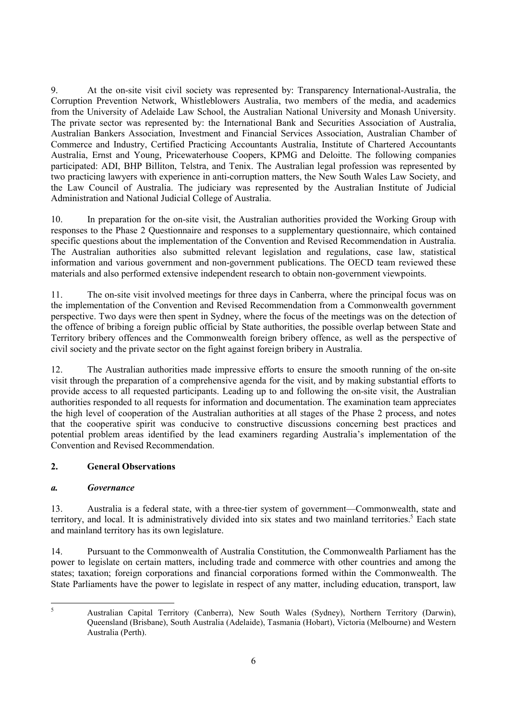9. At the on-site visit civil society was represented by: Transparency International-Australia, the Corruption Prevention Network, Whistleblowers Australia, two members of the media, and academics from the University of Adelaide Law School, the Australian National University and Monash University. The private sector was represented by: the International Bank and Securities Association of Australia, Australian Bankers Association, Investment and Financial Services Association, Australian Chamber of Commerce and Industry, Certified Practicing Accountants Australia, Institute of Chartered Accountants Australia, Ernst and Young, Pricewaterhouse Coopers, KPMG and Deloitte. The following companies participated: ADI, BHP Billiton, Telstra, and Tenix. The Australian legal profession was represented by two practicing lawyers with experience in anti-corruption matters, the New South Wales Law Society, and the Law Council of Australia. The judiciary was represented by the Australian Institute of Judicial Administration and National Judicial College of Australia.

10. In preparation for the on-site visit, the Australian authorities provided the Working Group with responses to the Phase 2 Questionnaire and responses to a supplementary questionnaire, which contained specific questions about the implementation of the Convention and Revised Recommendation in Australia. The Australian authorities also submitted relevant legislation and regulations, case law, statistical information and various government and non-government publications. The OECD team reviewed these materials and also performed extensive independent research to obtain non-government viewpoints.

11. The on-site visit involved meetings for three days in Canberra, where the principal focus was on the implementation of the Convention and Revised Recommendation from a Commonwealth government perspective. Two days were then spent in Sydney, where the focus of the meetings was on the detection of the offence of bribing a foreign public official by State authorities, the possible overlap between State and Territory bribery offences and the Commonwealth foreign bribery offence, as well as the perspective of civil society and the private sector on the fight against foreign bribery in Australia.

12. The Australian authorities made impressive efforts to ensure the smooth running of the on-site visit through the preparation of a comprehensive agenda for the visit, and by making substantial efforts to provide access to all requested participants. Leading up to and following the on-site visit, the Australian authorities responded to all requests for information and documentation. The examination team appreciates the high level of cooperation of the Australian authorities at all stages of the Phase 2 process, and notes that the cooperative spirit was conducive to constructive discussions concerning best practices and potential problem areas identified by the lead examiners regarding Australia's implementation of the Convention and Revised Recommendation.

# **2. General Observations**

# *a. Governance*

13. Australia is a federal state, with a three-tier system of government—Commonwealth, state and territory, and local. It is administratively divided into six states and two mainland territories.<sup>5</sup> Each state and mainland territory has its own legislature.

14. Pursuant to the Commonwealth of Australia Constitution, the Commonwealth Parliament has the power to legislate on certain matters, including trade and commerce with other countries and among the states; taxation; foreign corporations and financial corporations formed within the Commonwealth. The State Parliaments have the power to legislate in respect of any matter, including education, transport, law

 $\frac{1}{5}$ 

Australian Capital Territory (Canberra), New South Wales (Sydney), Northern Territory (Darwin), Queensland (Brisbane), South Australia (Adelaide), Tasmania (Hobart), Victoria (Melbourne) and Western Australia (Perth).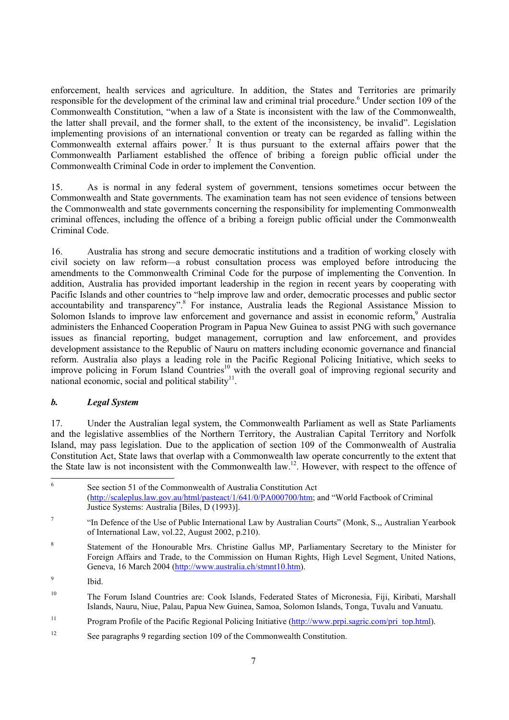enforcement, health services and agriculture. In addition, the States and Territories are primarily responsible for the development of the criminal law and criminal trial procedure.<sup>6</sup> Under section 109 of the Commonwealth Constitution, "when a law of a State is inconsistent with the law of the Commonwealth, the latter shall prevail, and the former shall, to the extent of the inconsistency, be invalid". Legislation implementing provisions of an international convention or treaty can be regarded as falling within the Commonwealth external affairs power.<sup>7</sup> It is thus pursuant to the external affairs power that the Commonwealth Parliament established the offence of bribing a foreign public official under the Commonwealth Criminal Code in order to implement the Convention.

15. As is normal in any federal system of government, tensions sometimes occur between the Commonwealth and State governments. The examination team has not seen evidence of tensions between the Commonwealth and state governments concerning the responsibility for implementing Commonwealth criminal offences, including the offence of a bribing a foreign public official under the Commonwealth Criminal Code.

16. Australia has strong and secure democratic institutions and a tradition of working closely with civil society on law reform—a robust consultation process was employed before introducing the amendments to the Commonwealth Criminal Code for the purpose of implementing the Convention. In addition, Australia has provided important leadership in the region in recent years by cooperating with Pacific Islands and other countries to "help improve law and order, democratic processes and public sector accountability and transparency".<sup>8</sup> For instance, Australia leads the Regional Assistance Mission to Solomon Islands to improve law enforcement and governance and assist in economic reform,<sup>9</sup> Australia administers the Enhanced Cooperation Program in Papua New Guinea to assist PNG with such governance issues as financial reporting, budget management, corruption and law enforcement, and provides development assistance to the Republic of Nauru on matters including economic governance and financial reform. Australia also plays a leading role in the Pacific Regional Policing Initiative, which seeks to improve policing in Forum Island Countries<sup>10</sup> with the overall goal of improving regional security and national economic, social and political stability<sup>11</sup>.

# *b. Legal System*

17. Under the Australian legal system, the Commonwealth Parliament as well as State Parliaments and the legislative assemblies of the Northern Territory, the Australian Capital Territory and Norfolk Island, may pass legislation. Due to the application of section 109 of the Commonwealth of Australia Constitution Act, State laws that overlap with a Commonwealth law operate concurrently to the extent that the State law is not inconsistent with the Commonwealth law.<sup>12</sup>. However, with respect to the offence of

9 Ibid.

 6 See section 51 of the Commonwealth of Australia Constitution Act (http://scaleplus.law.gov.au/html/pasteact/1/641/0/PA000700/htm; and "World Factbook of Criminal Justice Systems: Australia [Biles, D (1993)].

<sup>7</sup> "In Defence of the Use of Public International Law by Australian Courts" (Monk, S.,, Australian Yearbook of International Law, vol.22, August 2002, p.210).

<sup>8</sup> Statement of the Honourable Mrs. Christine Gallus MP, Parliamentary Secretary to the Minister for Foreign Affairs and Trade, to the Commission on Human Rights, High Level Segment, United Nations, Geneva, 16 March 2004 (http://www.australia.ch/stmnt10.htm).

<sup>10</sup> The Forum Island Countries are: Cook Islands, Federated States of Micronesia, Fiji, Kiribati, Marshall Islands, Nauru, Niue, Palau, Papua New Guinea, Samoa, Solomon Islands, Tonga, Tuvalu and Vanuatu.

<sup>&</sup>lt;sup>11</sup> Program Profile of the Pacific Regional Policing Initiative (http://www.prpi.sagric.com/pri\_top.html).

<sup>&</sup>lt;sup>12</sup> See paragraphs 9 regarding section 109 of the Commonwealth Constitution.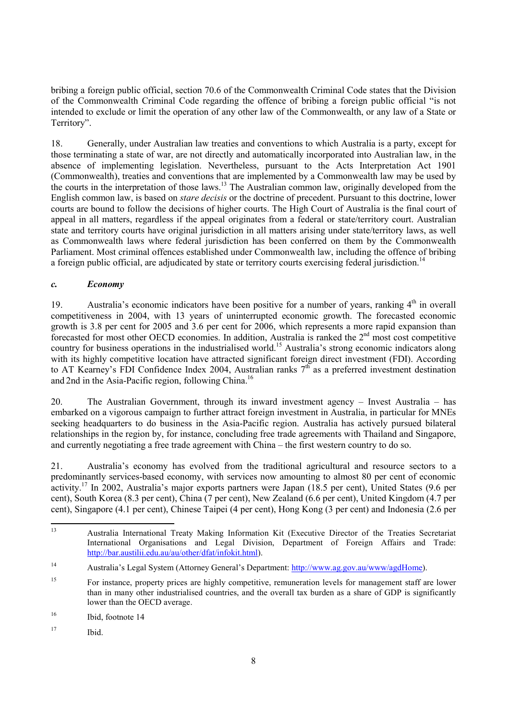bribing a foreign public official, section 70.6 of the Commonwealth Criminal Code states that the Division of the Commonwealth Criminal Code regarding the offence of bribing a foreign public official "is not intended to exclude or limit the operation of any other law of the Commonwealth, or any law of a State or Territory".

18. Generally, under Australian law treaties and conventions to which Australia is a party, except for those terminating a state of war, are not directly and automatically incorporated into Australian law, in the absence of implementing legislation. Nevertheless, pursuant to the Acts Interpretation Act 1901 (Commonwealth), treaties and conventions that are implemented by a Commonwealth law may be used by the courts in the interpretation of those laws.<sup>13</sup> The Australian common law, originally developed from the English common law, is based on *stare decisis* or the doctrine of precedent. Pursuant to this doctrine, lower courts are bound to follow the decisions of higher courts. The High Court of Australia is the final court of appeal in all matters, regardless if the appeal originates from a federal or state/territory court. Australian state and territory courts have original jurisdiction in all matters arising under state/territory laws, as well as Commonwealth laws where federal jurisdiction has been conferred on them by the Commonwealth Parliament. Most criminal offences established under Commonwealth law, including the offence of bribing a foreign public official, are adjudicated by state or territory courts exercising federal jurisdiction.<sup>14</sup>

# *c. Economy*

19. Australia's economic indicators have been positive for a number of vears, ranking  $4<sup>th</sup>$  in overall competitiveness in 2004, with 13 years of uninterrupted economic growth. The forecasted economic growth is 3.8 per cent for 2005 and 3.6 per cent for 2006, which represents a more rapid expansion than forecasted for most other OECD economies. In addition, Australia is ranked the  $2<sup>nd</sup>$  most cost competitive country for business operations in the industrialised world.<sup>15</sup> Australia's strong economic indicators along with its highly competitive location have attracted significant foreign direct investment (FDI). According to AT Kearney's FDI Confidence Index 2004, Australian ranks  $7<sup>th</sup>$  as a preferred investment destination and 2nd in the Asia-Pacific region, following China.<sup>16</sup>

20. The Australian Government, through its inward investment agency – Invest Australia – has embarked on a vigorous campaign to further attract foreign investment in Australia, in particular for MNEs seeking headquarters to do business in the Asia-Pacific region. Australia has actively pursued bilateral relationships in the region by, for instance, concluding free trade agreements with Thailand and Singapore, and currently negotiating a free trade agreement with China – the first western country to do so.

21. Australia's economy has evolved from the traditional agricultural and resource sectors to a predominantly services-based economy, with services now amounting to almost 80 per cent of economic activity.17 In 2002, Australia's major exports partners were Japan (18.5 per cent), United States (9.6 per cent), South Korea (8.3 per cent), China (7 per cent), New Zealand (6.6 per cent), United Kingdom (4.7 per cent), Singapore (4.1 per cent), Chinese Taipei (4 per cent), Hong Kong (3 per cent) and Indonesia (2.6 per

 $13$ 13 Australia International Treaty Making Information Kit (Executive Director of the Treaties Secretariat International Organisations and Legal Division, Department of Foreign Affairs and Trade: http://bar.austilii.edu.au/au/other/dfat/infokit.html).

<sup>14</sup> Australia's Legal System (Attorney General's Department: http://www.ag.gov.au/www/agdHome).

<sup>&</sup>lt;sup>15</sup> For instance, property prices are highly competitive, remuneration levels for management staff are lower than in many other industrialised countries, and the overall tax burden as a share of GDP is significantly lower than the OECD average.

<sup>16</sup> Ibid, footnote 14

<sup>17</sup> Ibid.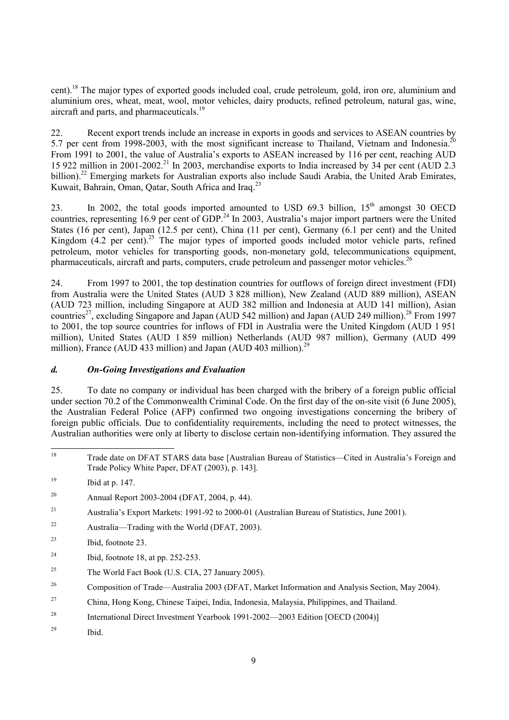cent).18 The major types of exported goods included coal, crude petroleum, gold, iron ore, aluminium and aluminium ores, wheat, meat, wool, motor vehicles, dairy products, refined petroleum, natural gas, wine, aircraft and parts, and pharmaceuticals.<sup>19</sup>

22. Recent export trends include an increase in exports in goods and services to ASEAN countries by 5.7 per cent from 1998-2003, with the most significant increase to Thailand, Vietnam and Indonesia.<sup>2</sup> From 1991 to 2001, the value of Australia's exports to ASEAN increased by 116 per cent, reaching AUD 15 922 million in 2001-2002.<sup>21</sup> In 2003, merchandise exports to India increased by 34 per cent (AUD 2.3) billion).<sup>22</sup> Emerging markets for Australian exports also include Saudi Arabia, the United Arab Emirates, Kuwait, Bahrain, Oman, Qatar, South Africa and Iraq.<sup>23</sup>

23. In 2002, the total goods imported amounted to USD 69.3 billion,  $15<sup>th</sup>$  amongst 30 OECD countries, representing 16.9 per cent of GDP.<sup>24</sup> In 2003, Australia's major import partners were the United States (16 per cent), Japan (12.5 per cent), China (11 per cent), Germany (6.1 per cent) and the United Kingdom  $(4.2 \text{ per cent})^{25}$ . The major types of imported goods included motor vehicle parts, refined petroleum, motor vehicles for transporting goods, non-monetary gold, telecommunications equipment, pharmaceuticals, aircraft and parts, computers, crude petroleum and passenger motor vehicles.<sup>26</sup>

24. From 1997 to 2001, the top destination countries for outflows of foreign direct investment (FDI) from Australia were the United States (AUD 3 828 million), New Zealand (AUD 889 million), ASEAN (AUD 723 million, including Singapore at AUD 382 million and Indonesia at AUD 141 million), Asian countries<sup>27</sup>, excluding Singapore and Japan (AUD 542 million) and Japan (AUD 249 million).<sup>28</sup> From 1997 to 2001, the top source countries for inflows of FDI in Australia were the United Kingdom (AUD 1 951 million), United States (AUD 1 859 million) Netherlands (AUD 987 million), Germany (AUD 499 million), France (AUD 433 million) and Japan (AUD 403 million).<sup>29</sup>

# *d. On-Going Investigations and Evaluation*

25. To date no company or individual has been charged with the bribery of a foreign public official under section 70.2 of the Commonwealth Criminal Code. On the first day of the on-site visit (6 June 2005), the Australian Federal Police (AFP) confirmed two ongoing investigations concerning the bribery of foreign public officials. Due to confidentiality requirements, including the need to protect witnesses, the Australian authorities were only at liberty to disclose certain non-identifying information. They assured the

 $22$  Australia—Trading with the World (DFAT, 2003).

- $^{24}$  Ibid, footnote 18, at pp. 252-253.
- <sup>25</sup> The World Fact Book (U.S. CIA, 27 January 2005).
- <sup>26</sup> Composition of Trade—Australia 2003 (DFAT, Market Information and Analysis Section, May 2004).
- 27 China, Hong Kong, Chinese Taipei, India, Indonesia, Malaysia, Philippines, and Thailand.
- <sup>28</sup> International Direct Investment Yearbook 1991-2002—2003 Edition [OECD (2004)]
- 29 Ibid.

<sup>18</sup> 18 Trade date on DFAT STARS data base [Australian Bureau of Statistics—Cited in Australia's Foreign and Trade Policy White Paper, DFAT (2003), p. 143].

 $19$  Ibid at p. 147.

<sup>20</sup> Annual Report 2003-2004 (DFAT, 2004, p. 44).

<sup>21</sup> Australia's Export Markets: 1991-92 to 2000-01 (Australian Bureau of Statistics, June 2001).

<sup>23</sup> Ibid, footnote 23.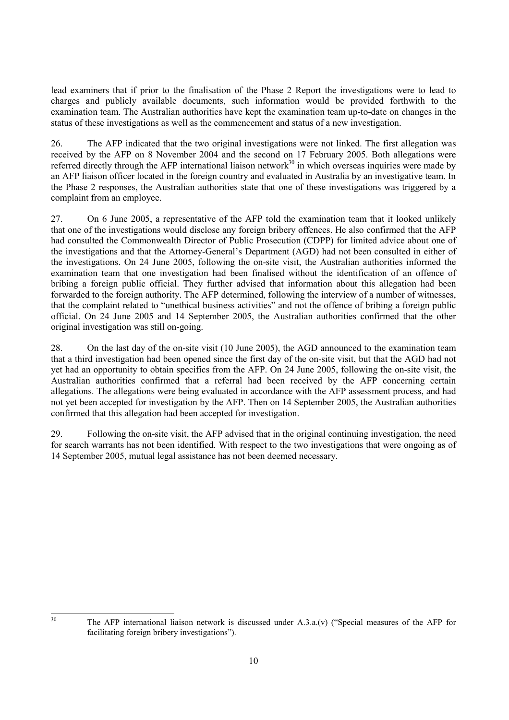lead examiners that if prior to the finalisation of the Phase 2 Report the investigations were to lead to charges and publicly available documents, such information would be provided forthwith to the examination team. The Australian authorities have kept the examination team up-to-date on changes in the status of these investigations as well as the commencement and status of a new investigation.

26. The AFP indicated that the two original investigations were not linked. The first allegation was received by the AFP on 8 November 2004 and the second on 17 February 2005. Both allegations were referred directly through the AFP international liaison network $30$  in which overseas inquiries were made by an AFP liaison officer located in the foreign country and evaluated in Australia by an investigative team. In the Phase 2 responses, the Australian authorities state that one of these investigations was triggered by a complaint from an employee.

27. On 6 June 2005, a representative of the AFP told the examination team that it looked unlikely that one of the investigations would disclose any foreign bribery offences. He also confirmed that the AFP had consulted the Commonwealth Director of Public Prosecution (CDPP) for limited advice about one of the investigations and that the Attorney-General's Department (AGD) had not been consulted in either of the investigations. On 24 June 2005, following the on-site visit, the Australian authorities informed the examination team that one investigation had been finalised without the identification of an offence of bribing a foreign public official. They further advised that information about this allegation had been forwarded to the foreign authority. The AFP determined, following the interview of a number of witnesses, that the complaint related to "unethical business activities" and not the offence of bribing a foreign public official. On 24 June 2005 and 14 September 2005, the Australian authorities confirmed that the other original investigation was still on-going.

28. On the last day of the on-site visit (10 June 2005), the AGD announced to the examination team that a third investigation had been opened since the first day of the on-site visit, but that the AGD had not yet had an opportunity to obtain specifics from the AFP. On 24 June 2005, following the on-site visit, the Australian authorities confirmed that a referral had been received by the AFP concerning certain allegations. The allegations were being evaluated in accordance with the AFP assessment process, and had not yet been accepted for investigation by the AFP. Then on 14 September 2005, the Australian authorities confirmed that this allegation had been accepted for investigation.

29. Following the on-site visit, the AFP advised that in the original continuing investigation, the need for search warrants has not been identified. With respect to the two investigations that were ongoing as of 14 September 2005, mutual legal assistance has not been deemed necessary.

 $30$ 

The AFP international liaison network is discussed under  $A.3.a.(v)$  ("Special measures of the AFP for facilitating foreign bribery investigations").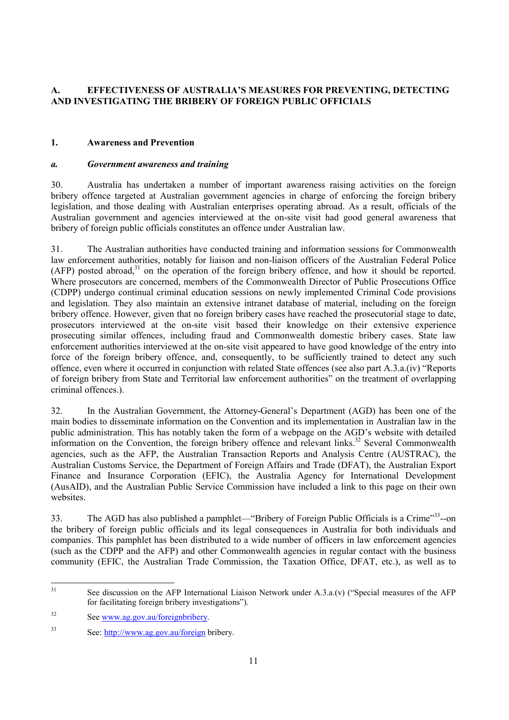# **A. EFFECTIVENESS OF AUSTRALIA'S MEASURES FOR PREVENTING, DETECTING AND INVESTIGATING THE BRIBERY OF FOREIGN PUBLIC OFFICIALS**

# **1. Awareness and Prevention**

# *a. Government awareness and training*

30. Australia has undertaken a number of important awareness raising activities on the foreign bribery offence targeted at Australian government agencies in charge of enforcing the foreign bribery legislation, and those dealing with Australian enterprises operating abroad. As a result, officials of the Australian government and agencies interviewed at the on-site visit had good general awareness that bribery of foreign public officials constitutes an offence under Australian law.

31. The Australian authorities have conducted training and information sessions for Commonwealth law enforcement authorities, notably for liaison and non-liaison officers of the Australian Federal Police  $(AFP)$  posted abroad,<sup>31</sup> on the operation of the foreign bribery offence, and how it should be reported. Where prosecutors are concerned, members of the Commonwealth Director of Public Prosecutions Office (CDPP) undergo continual criminal education sessions on newly implemented Criminal Code provisions and legislation. They also maintain an extensive intranet database of material, including on the foreign bribery offence. However, given that no foreign bribery cases have reached the prosecutorial stage to date, prosecutors interviewed at the on-site visit based their knowledge on their extensive experience prosecuting similar offences, including fraud and Commonwealth domestic bribery cases. State law enforcement authorities interviewed at the on-site visit appeared to have good knowledge of the entry into force of the foreign bribery offence, and, consequently, to be sufficiently trained to detect any such offence, even where it occurred in conjunction with related State offences (see also part A.3.a.(iv) "Reports of foreign bribery from State and Territorial law enforcement authorities" on the treatment of overlapping criminal offences.).

32. In the Australian Government, the Attorney-General's Department (AGD) has been one of the main bodies to disseminate information on the Convention and its implementation in Australian law in the public administration. This has notably taken the form of a webpage on the AGD's website with detailed information on the Convention, the foreign bribery offence and relevant links.<sup>32</sup> Several Commonwealth agencies, such as the AFP, the Australian Transaction Reports and Analysis Centre (AUSTRAC), the Australian Customs Service, the Department of Foreign Affairs and Trade (DFAT), the Australian Export Finance and Insurance Corporation (EFIC), the Australia Agency for International Development (AusAID), and the Australian Public Service Commission have included a link to this page on their own websites.

33. The AGD has also published a pamphlet—"Bribery of Foreign Public Officials is a Crime"<sup>33</sup>--on the bribery of foreign public officials and its legal consequences in Australia for both individuals and companies. This pamphlet has been distributed to a wide number of officers in law enforcement agencies (such as the CDPP and the AFP) and other Commonwealth agencies in regular contact with the business community (EFIC, the Australian Trade Commission, the Taxation Office, DFAT, etc.), as well as to

<sup>31</sup> See discussion on the AFP International Liaison Network under  $A.3.a.(v)$  ("Special measures of the AFP for facilitating foreign bribery investigations").

<sup>32</sup> See www.ag.gov.au/foreignbribery.

<sup>33</sup> See: http://www.ag.gov.au/foreign bribery.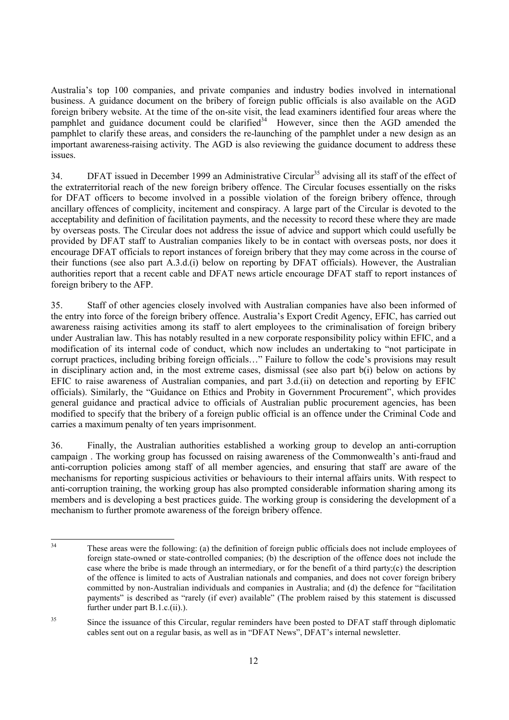Australia's top 100 companies, and private companies and industry bodies involved in international business. A guidance document on the bribery of foreign public officials is also available on the AGD foreign bribery website. At the time of the on-site visit, the lead examiners identified four areas where the pamphlet and guidance document could be clarified<sup>34</sup> However, since then the AGD amended the pamphlet to clarify these areas, and considers the re-launching of the pamphlet under a new design as an important awareness-raising activity. The AGD is also reviewing the guidance document to address these issues.

34. DFAT issued in December 1999 an Administrative Circular<sup>35</sup> advising all its staff of the effect of the extraterritorial reach of the new foreign bribery offence. The Circular focuses essentially on the risks for DFAT officers to become involved in a possible violation of the foreign bribery offence, through ancillary offences of complicity, incitement and conspiracy. A large part of the Circular is devoted to the acceptability and definition of facilitation payments, and the necessity to record these where they are made by overseas posts. The Circular does not address the issue of advice and support which could usefully be provided by DFAT staff to Australian companies likely to be in contact with overseas posts, nor does it encourage DFAT officials to report instances of foreign bribery that they may come across in the course of their functions (see also part A.3.d.(i) below on reporting by DFAT officials). However, the Australian authorities report that a recent cable and DFAT news article encourage DFAT staff to report instances of foreign bribery to the AFP.

35. Staff of other agencies closely involved with Australian companies have also been informed of the entry into force of the foreign bribery offence. Australia's Export Credit Agency, EFIC, has carried out awareness raising activities among its staff to alert employees to the criminalisation of foreign bribery under Australian law. This has notably resulted in a new corporate responsibility policy within EFIC, and a modification of its internal code of conduct, which now includes an undertaking to "not participate in corrupt practices, including bribing foreign officials…" Failure to follow the code's provisions may result in disciplinary action and, in the most extreme cases, dismissal (see also part b(i) below on actions by EFIC to raise awareness of Australian companies, and part 3.d.(ii) on detection and reporting by EFIC officials). Similarly, the "Guidance on Ethics and Probity in Government Procurement", which provides general guidance and practical advice to officials of Australian public procurement agencies, has been modified to specify that the bribery of a foreign public official is an offence under the Criminal Code and carries a maximum penalty of ten years imprisonment.

36. Finally, the Australian authorities established a working group to develop an anti-corruption campaign . The working group has focussed on raising awareness of the Commonwealth's anti-fraud and anti-corruption policies among staff of all member agencies, and ensuring that staff are aware of the mechanisms for reporting suspicious activities or behaviours to their internal affairs units. With respect to anti-corruption training, the working group has also prompted considerable information sharing among its members and is developing a best practices guide. The working group is considering the development of a mechanism to further promote awareness of the foreign bribery offence.

 $34$ These areas were the following: (a) the definition of foreign public officials does not include employees of foreign state-owned or state-controlled companies; (b) the description of the offence does not include the case where the bribe is made through an intermediary, or for the benefit of a third party;(c) the description of the offence is limited to acts of Australian nationals and companies, and does not cover foreign bribery committed by non-Australian individuals and companies in Australia; and (d) the defence for "facilitation payments" is described as "rarely (if ever) available" (The problem raised by this statement is discussed further under part B.1.c.(ii).).

<sup>&</sup>lt;sup>35</sup> Since the issuance of this Circular, regular reminders have been posted to DFAT staff through diplomatic cables sent out on a regular basis, as well as in "DFAT News", DFAT's internal newsletter.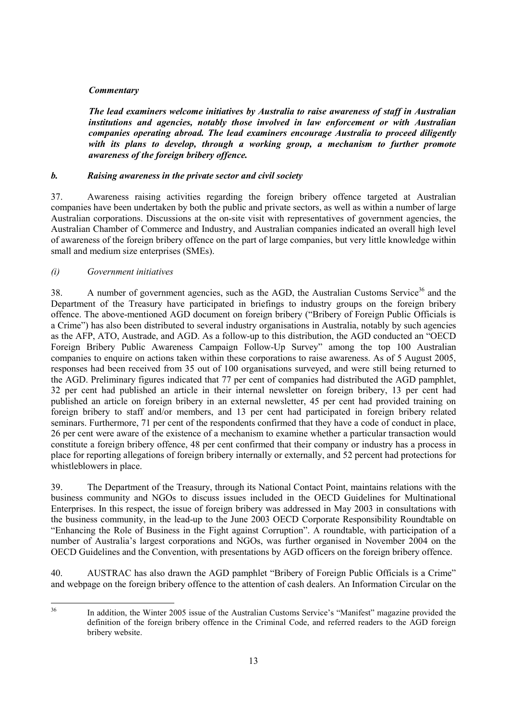# *Commentary*

*The lead examiners welcome initiatives by Australia to raise awareness of staff in Australian institutions and agencies, notably those involved in law enforcement or with Australian companies operating abroad. The lead examiners encourage Australia to proceed diligently with its plans to develop, through a working group, a mechanism to further promote awareness of the foreign bribery offence.* 

# *b. Raising awareness in the private sector and civil society*

37. Awareness raising activities regarding the foreign bribery offence targeted at Australian companies have been undertaken by both the public and private sectors, as well as within a number of large Australian corporations. Discussions at the on-site visit with representatives of government agencies, the Australian Chamber of Commerce and Industry, and Australian companies indicated an overall high level of awareness of the foreign bribery offence on the part of large companies, but very little knowledge within small and medium size enterprises (SMEs).

# *(i) Government initiatives*

38. A number of government agencies, such as the AGD, the Australian Customs Service<sup>36</sup> and the Department of the Treasury have participated in briefings to industry groups on the foreign bribery offence. The above-mentioned AGD document on foreign bribery ("Bribery of Foreign Public Officials is a Crime") has also been distributed to several industry organisations in Australia, notably by such agencies as the AFP, ATO, Austrade, and AGD. As a follow-up to this distribution, the AGD conducted an "OECD Foreign Bribery Public Awareness Campaign Follow-Up Survey" among the top 100 Australian companies to enquire on actions taken within these corporations to raise awareness. As of 5 August 2005, responses had been received from 35 out of 100 organisations surveyed, and were still being returned to the AGD. Preliminary figures indicated that 77 per cent of companies had distributed the AGD pamphlet, 32 per cent had published an article in their internal newsletter on foreign bribery, 13 per cent had published an article on foreign bribery in an external newsletter, 45 per cent had provided training on foreign bribery to staff and/or members, and 13 per cent had participated in foreign bribery related seminars. Furthermore, 71 per cent of the respondents confirmed that they have a code of conduct in place, 26 per cent were aware of the existence of a mechanism to examine whether a particular transaction would constitute a foreign bribery offence, 48 per cent confirmed that their company or industry has a process in place for reporting allegations of foreign bribery internally or externally, and 52 percent had protections for whistleblowers in place.

39. The Department of the Treasury, through its National Contact Point, maintains relations with the business community and NGOs to discuss issues included in the OECD Guidelines for Multinational Enterprises. In this respect, the issue of foreign bribery was addressed in May 2003 in consultations with the business community, in the lead-up to the June 2003 OECD Corporate Responsibility Roundtable on "Enhancing the Role of Business in the Fight against Corruption". A roundtable, with participation of a number of Australia's largest corporations and NGOs, was further organised in November 2004 on the OECD Guidelines and the Convention, with presentations by AGD officers on the foreign bribery offence.

40. AUSTRAC has also drawn the AGD pamphlet "Bribery of Foreign Public Officials is a Crime" and webpage on the foreign bribery offence to the attention of cash dealers. An Information Circular on the

36

In addition, the Winter 2005 issue of the Australian Customs Service's "Manifest" magazine provided the definition of the foreign bribery offence in the Criminal Code, and referred readers to the AGD foreign bribery website.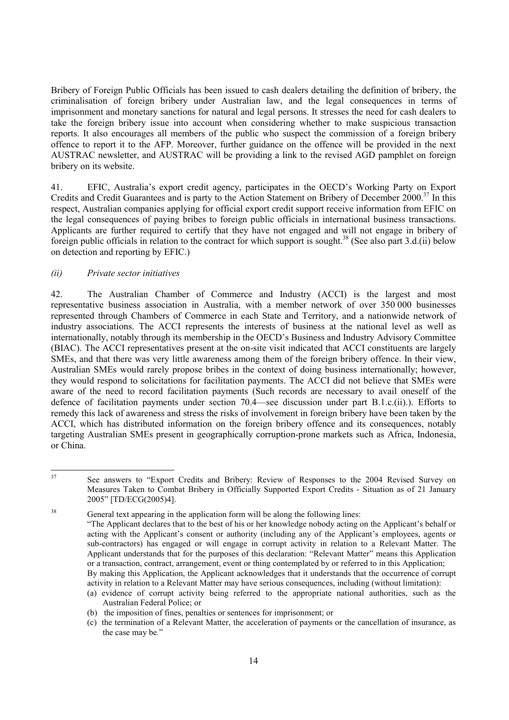Bribery of Foreign Public Officials has been issued to cash dealers detailing the definition of bribery, the criminalisation of foreign bribery under Australian law, and the legal consequences in terms of imprisonment and monetary sanctions for natural and legal persons. It stresses the need for cash dealers to take the foreign bribery issue into account when considering whether to make suspicious transaction reports. It also encourages all members of the public who suspect the commission of a foreign bribery offence to report it to the AFP. Moreover, further guidance on the offence will be provided in the next AUSTRAC newsletter, and AUSTRAC will be providing a link to the revised AGD pamphlet on foreign bribery on its website.

41. EFIC, Australia's export credit agency, participates in the OECD's Working Party on Export Credits and Credit Guarantees and is party to the Action Statement on Bribery of December 2000.<sup>37</sup> In this respect, Australian companies applying for official export credit support receive information from EFIC on the legal consequences of paying bribes to foreign public officials in international business transactions. Applicants are further required to certify that they have not engaged and will not engage in bribery of foreign public officials in relation to the contract for which support is sought.<sup>38</sup> (See also part 3.d.(ii) below on detection and reporting by EFIC.)

# *(ii) Private sector initiatives*

42. The Australian Chamber of Commerce and Industry (ACCI) is the largest and most representative business association in Australia, with a member network of over 350 000 businesses represented through Chambers of Commerce in each State and Territory, and a nationwide network of industry associations. The ACCI represents the interests of business at the national level as well as internationally, notably through its membership in the OECD's Business and Industry Advisory Committee (BIAC). The ACCI representatives present at the on-site visit indicated that ACCI constituents are largely SMEs, and that there was very little awareness among them of the foreign bribery offence. In their view, Australian SMEs would rarely propose bribes in the context of doing business internationally; however, they would respond to solicitations for facilitation payments. The ACCI did not believe that SMEs were aware of the need to record facilitation payments (Such records are necessary to avail oneself of the defence of facilitation payments under section 70.4—see discussion under part B.1.c.(ii).). Efforts to remedy this lack of awareness and stress the risks of involvement in foreign bribery have been taken by the ACCI, which has distributed information on the foreign bribery offence and its consequences, notably targeting Australian SMEs present in geographically corruption-prone markets such as Africa, Indonesia, or China.

 $37$ 37 See answers to "Export Credits and Bribery: Review of Responses to the 2004 Revised Survey on Measures Taken to Combat Bribery in Officially Supported Export Credits - Situation as of 21 January 2005" [TD/ECG(2005)4].

<sup>&</sup>lt;sup>38</sup> General text appearing in the application form will be along the following lines:

 <sup>&</sup>quot;The Applicant declares that to the best of his or her knowledge nobody acting on the Applicant's behalf or acting with the Applicant's consent or authority (including any of the Applicant's employees, agents or sub-contractors) has engaged or will engage in corrupt activity in relation to a Relevant Matter. The Applicant understands that for the purposes of this declaration: "Relevant Matter" means this Application or a transaction, contract, arrangement, event or thing contemplated by or referred to in this Application; By making this Application, the Applicant acknowledges that it understands that the occurrence of corrupt

activity in relation to a Relevant Matter may have serious consequences, including (without limitation): (a) evidence of corrupt activity being referred to the appropriate national authorities, such as the

Australian Federal Police; or

<sup>(</sup>b) the imposition of fines, penalties or sentences for imprisonment; or

<sup>(</sup>c) the termination of a Relevant Matter, the acceleration of payments or the cancellation of insurance, as the case may be*.*"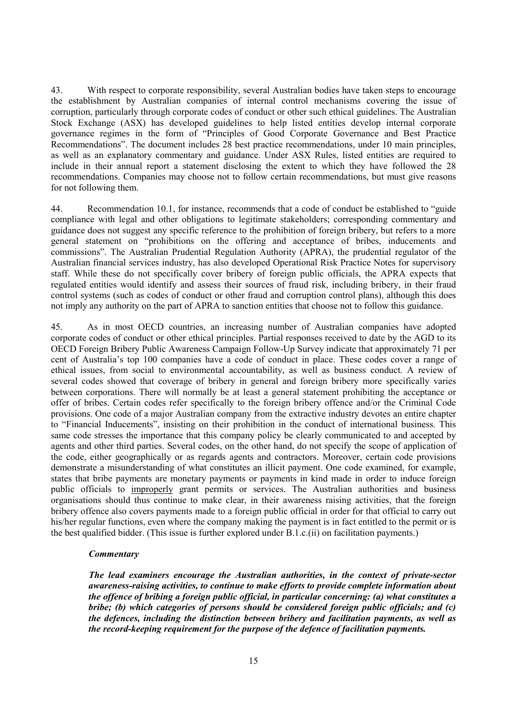43. With respect to corporate responsibility, several Australian bodies have taken steps to encourage the establishment by Australian companies of internal control mechanisms covering the issue of corruption, particularly through corporate codes of conduct or other such ethical guidelines. The Australian Stock Exchange (ASX) has developed guidelines to help listed entities develop internal corporate governance regimes in the form of "Principles of Good Corporate Governance and Best Practice Recommendations". The document includes 28 best practice recommendations, under 10 main principles, as well as an explanatory commentary and guidance. Under ASX Rules, listed entities are required to include in their annual report a statement disclosing the extent to which they have followed the 28 recommendations. Companies may choose not to follow certain recommendations, but must give reasons for not following them.

44. Recommendation 10.1, for instance, recommends that a code of conduct be established to "guide compliance with legal and other obligations to legitimate stakeholders; corresponding commentary and guidance does not suggest any specific reference to the prohibition of foreign bribery, but refers to a more general statement on "prohibitions on the offering and acceptance of bribes, inducements and commissions". The Australian Prudential Regulation Authority (APRA), the prudential regulator of the Australian financial services industry, has also developed Operational Risk Practice Notes for supervisory staff. While these do not specifically cover bribery of foreign public officials, the APRA expects that regulated entities would identify and assess their sources of fraud risk, including bribery, in their fraud control systems (such as codes of conduct or other fraud and corruption control plans), although this does not imply any authority on the part of APRA to sanction entities that choose not to follow this guidance.

45. As in most OECD countries, an increasing number of Australian companies have adopted corporate codes of conduct or other ethical principles. Partial responses received to date by the AGD to its OECD Foreign Bribery Public Awareness Campaign Follow-Up Survey indicate that approximately 71 per cent of Australia's top 100 companies have a code of conduct in place. These codes cover a range of ethical issues, from social to environmental accountability, as well as business conduct. A review of several codes showed that coverage of bribery in general and foreign bribery more specifically varies between corporations. There will normally be at least a general statement prohibiting the acceptance or offer of bribes. Certain codes refer specifically to the foreign bribery offence and/or the Criminal Code provisions. One code of a major Australian company from the extractive industry devotes an entire chapter to "Financial Inducements", insisting on their prohibition in the conduct of international business. This same code stresses the importance that this company policy be clearly communicated to and accepted by agents and other third parties. Several codes, on the other hand, do not specify the scope of application of the code, either geographically or as regards agents and contractors. Moreover, certain code provisions demonstrate a misunderstanding of what constitutes an illicit payment. One code examined, for example, states that bribe payments are monetary payments or payments in kind made in order to induce foreign public officials to *improperly* grant permits or services. The Australian authorities and business organisations should thus continue to make clear, in their awareness raising activities, that the foreign bribery offence also covers payments made to a foreign public official in order for that official to carry out his/her regular functions, even where the company making the payment is in fact entitled to the permit or is the best qualified bidder. (This issue is further explored under B.1.c.(ii) on facilitation payments.)

#### *Commentary*

*The lead examiners encourage the Australian authorities, in the context of private-sector awareness-raising activities, to continue to make efforts to provide complete information about the offence of bribing a foreign public official, in particular concerning: (a) what constitutes a bribe; (b) which categories of persons should be considered foreign public officials; and (c) the defences, including the distinction between bribery and facilitation payments, as well as the record-keeping requirement for the purpose of the defence of facilitation payments.*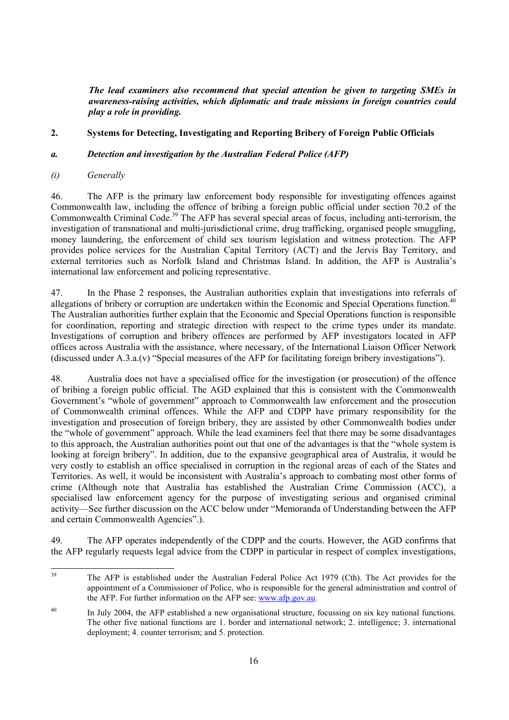*The lead examiners also recommend that special attention be given to targeting SMEs in awareness-raising activities, which diplomatic and trade missions in foreign countries could play a role in providing.* 

# **2. Systems for Detecting, Investigating and Reporting Bribery of Foreign Public Officials**

# *a. Detection and investigation by the Australian Federal Police (AFP)*

# *(i) Generally*

46. The AFP is the primary law enforcement body responsible for investigating offences against Commonwealth law, including the offence of bribing a foreign public official under section 70.2 of the Commonwealth Criminal Code.<sup>39</sup> The AFP has several special areas of focus, including anti-terrorism, the investigation of transnational and multi-jurisdictional crime, drug trafficking, organised people smuggling, money laundering, the enforcement of child sex tourism legislation and witness protection. The AFP provides police services for the Australian Capital Territory (ACT) and the Jervis Bay Territory, and external territories such as Norfolk Island and Christmas Island. In addition, the AFP is Australia's international law enforcement and policing representative.

47. In the Phase 2 responses, the Australian authorities explain that investigations into referrals of allegations of bribery or corruption are undertaken within the Economic and Special Operations function.<sup>40</sup> The Australian authorities further explain that the Economic and Special Operations function is responsible for coordination, reporting and strategic direction with respect to the crime types under its mandate. Investigations of corruption and bribery offences are performed by AFP investigators located in AFP offices across Australia with the assistance, where necessary, of the International Liaison Officer Network (discussed under A.3.a.(v) "Special measures of the AFP for facilitating foreign bribery investigations").

48. Australia does not have a specialised office for the investigation (or prosecution) of the offence of bribing a foreign public official. The AGD explained that this is consistent with the Commonwealth Government's "whole of government" approach to Commonwealth law enforcement and the prosecution of Commonwealth criminal offences. While the AFP and CDPP have primary responsibility for the investigation and prosecution of foreign bribery, they are assisted by other Commonwealth bodies under the "whole of government" approach. While the lead examiners feel that there may be some disadvantages to this approach, the Australian authorities point out that one of the advantages is that the "whole system is looking at foreign bribery". In addition, due to the expansive geographical area of Australia, it would be very costly to establish an office specialised in corruption in the regional areas of each of the States and Territories. As well, it would be inconsistent with Australia's approach to combating most other forms of crime (Although note that Australia has established the Australian Crime Commission (ACC), a specialised law enforcement agency for the purpose of investigating serious and organised criminal activity—See further discussion on the ACC below under "Memoranda of Understanding between the AFP and certain Commonwealth Agencies".).

49. The AFP operates independently of the CDPP and the courts. However, the AGD confirms that the AFP regularly requests legal advice from the CDPP in particular in respect of complex investigations,

 $39$ The AFP is established under the Australian Federal Police Act 1979 (Cth). The Act provides for the appointment of a Commissioner of Police, who is responsible for the general administration and control of the AFP. For further information on the AFP see: www.afp.gov.au.

<sup>&</sup>lt;sup>40</sup> In July 2004, the AFP established a new organisational structure, focussing on six key national functions. The other five national functions are 1. border and international network; 2. intelligence; 3. international deployment; 4. counter terrorism; and 5. protection.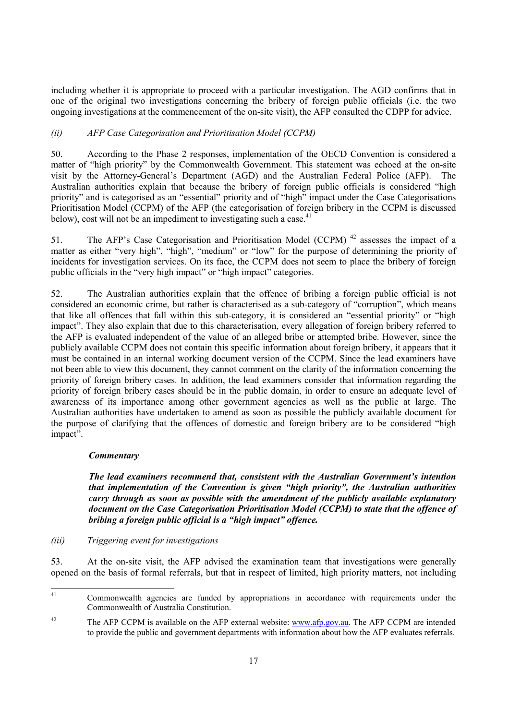including whether it is appropriate to proceed with a particular investigation. The AGD confirms that in one of the original two investigations concerning the bribery of foreign public officials (i.e. the two ongoing investigations at the commencement of the on-site visit), the AFP consulted the CDPP for advice.

# *(ii) AFP Case Categorisation and Prioritisation Model (CCPM)*

50. According to the Phase 2 responses, implementation of the OECD Convention is considered a matter of "high priority" by the Commonwealth Government. This statement was echoed at the on-site visit by the Attorney-General's Department (AGD) and the Australian Federal Police (AFP). The Australian authorities explain that because the bribery of foreign public officials is considered "high priority" and is categorised as an "essential" priority and of "high" impact under the Case Categorisations Prioritisation Model (CCPM) of the AFP (the categorisation of foreign bribery in the CCPM is discussed below), cost will not be an impediment to investigating such a case.<sup>41</sup>

51. The AFP's Case Categorisation and Prioritisation Model (CCPM)<sup>42</sup> assesses the impact of a matter as either "very high", "high", "medium" or "low" for the purpose of determining the priority of incidents for investigation services. On its face, the CCPM does not seem to place the bribery of foreign public officials in the "very high impact" or "high impact" categories.

52. The Australian authorities explain that the offence of bribing a foreign public official is not considered an economic crime, but rather is characterised as a sub-category of "corruption", which means that like all offences that fall within this sub-category, it is considered an "essential priority" or "high impact". They also explain that due to this characterisation, every allegation of foreign bribery referred to the AFP is evaluated independent of the value of an alleged bribe or attempted bribe. However, since the publicly available CCPM does not contain this specific information about foreign bribery, it appears that it must be contained in an internal working document version of the CCPM. Since the lead examiners have not been able to view this document, they cannot comment on the clarity of the information concerning the priority of foreign bribery cases. In addition, the lead examiners consider that information regarding the priority of foreign bribery cases should be in the public domain, in order to ensure an adequate level of awareness of its importance among other government agencies as well as the public at large. The Australian authorities have undertaken to amend as soon as possible the publicly available document for the purpose of clarifying that the offences of domestic and foreign bribery are to be considered "high impact".

# *Commentary*

*The lead examiners recommend that, consistent with the Australian Government's intention that implementation of the Convention is given "high priority", the Australian authorities carry through as soon as possible with the amendment of the publicly available explanatory document on the Case Categorisation Prioritisation Model (CCPM) to state that the offence of bribing a foreign public official is a "high impact" offence.* 

# *(iii) Triggering event for investigations*

53. At the on-site visit, the AFP advised the examination team that investigations were generally opened on the basis of formal referrals, but that in respect of limited, high priority matters, not including

 $41$ 41 Commonwealth agencies are funded by appropriations in accordance with requirements under the Commonwealth of Australia Constitution.

<sup>&</sup>lt;sup>42</sup> The AFP CCPM is available on the AFP external website: www.afp.gov.au. The AFP CCPM are intended to provide the public and government departments with information about how the AFP evaluates referrals.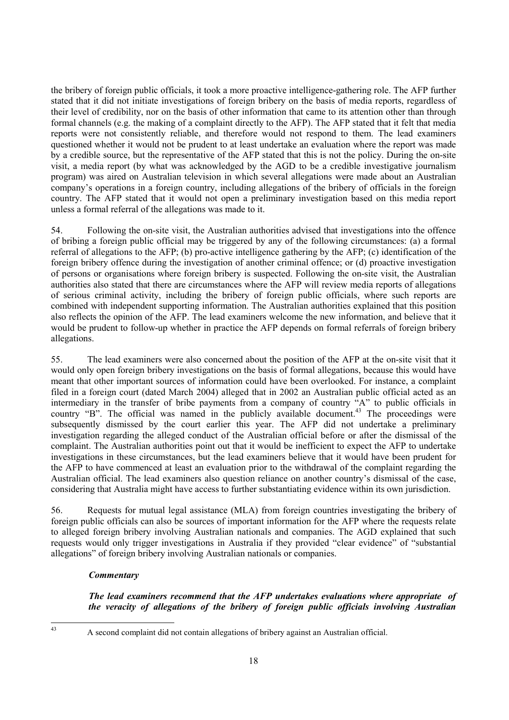the bribery of foreign public officials, it took a more proactive intelligence-gathering role. The AFP further stated that it did not initiate investigations of foreign bribery on the basis of media reports, regardless of their level of credibility, nor on the basis of other information that came to its attention other than through formal channels (e.g. the making of a complaint directly to the AFP). The AFP stated that it felt that media reports were not consistently reliable, and therefore would not respond to them. The lead examiners questioned whether it would not be prudent to at least undertake an evaluation where the report was made by a credible source, but the representative of the AFP stated that this is not the policy. During the on-site visit, a media report (by what was acknowledged by the AGD to be a credible investigative journalism program) was aired on Australian television in which several allegations were made about an Australian company's operations in a foreign country, including allegations of the bribery of officials in the foreign country. The AFP stated that it would not open a preliminary investigation based on this media report unless a formal referral of the allegations was made to it.

54. Following the on-site visit, the Australian authorities advised that investigations into the offence of bribing a foreign public official may be triggered by any of the following circumstances: (a) a formal referral of allegations to the AFP; (b) pro-active intelligence gathering by the AFP; (c) identification of the foreign bribery offence during the investigation of another criminal offence; or (d) proactive investigation of persons or organisations where foreign bribery is suspected. Following the on-site visit, the Australian authorities also stated that there are circumstances where the AFP will review media reports of allegations of serious criminal activity, including the bribery of foreign public officials, where such reports are combined with independent supporting information. The Australian authorities explained that this position also reflects the opinion of the AFP. The lead examiners welcome the new information, and believe that it would be prudent to follow-up whether in practice the AFP depends on formal referrals of foreign bribery allegations.

55. The lead examiners were also concerned about the position of the AFP at the on-site visit that it would only open foreign bribery investigations on the basis of formal allegations, because this would have meant that other important sources of information could have been overlooked. For instance, a complaint filed in a foreign court (dated March 2004) alleged that in 2002 an Australian public official acted as an intermediary in the transfer of bribe payments from a company of country "A" to public officials in country "B". The official was named in the publicly available document.<sup>43</sup> The proceedings were subsequently dismissed by the court earlier this year. The AFP did not undertake a preliminary investigation regarding the alleged conduct of the Australian official before or after the dismissal of the complaint. The Australian authorities point out that it would be inefficient to expect the AFP to undertake investigations in these circumstances, but the lead examiners believe that it would have been prudent for the AFP to have commenced at least an evaluation prior to the withdrawal of the complaint regarding the Australian official. The lead examiners also question reliance on another country's dismissal of the case, considering that Australia might have access to further substantiating evidence within its own jurisdiction.

56. Requests for mutual legal assistance (MLA) from foreign countries investigating the bribery of foreign public officials can also be sources of important information for the AFP where the requests relate to alleged foreign bribery involving Australian nationals and companies. The AGD explained that such requests would only trigger investigations in Australia if they provided "clear evidence" of "substantial allegations" of foreign bribery involving Australian nationals or companies.

# *Commentary*

*The lead examiners recommend that the AFP undertakes evaluations where appropriate of the veracity of allegations of the bribery of foreign public officials involving Australian* 

 $43$ 

43 A second complaint did not contain allegations of bribery against an Australian official.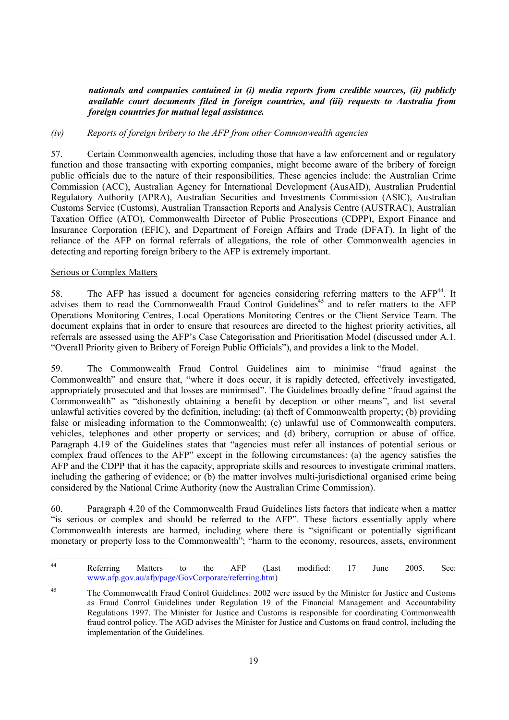*nationals and companies contained in (i) media reports from credible sources, (ii) publicly available court documents filed in foreign countries, and (iii) requests to Australia from foreign countries for mutual legal assistance.* 

#### *(iv) Reports of foreign bribery to the AFP from other Commonwealth agencies*

57. Certain Commonwealth agencies, including those that have a law enforcement and or regulatory function and those transacting with exporting companies, might become aware of the bribery of foreign public officials due to the nature of their responsibilities. These agencies include: the Australian Crime Commission (ACC), Australian Agency for International Development (AusAID), Australian Prudential Regulatory Authority (APRA), Australian Securities and Investments Commission (ASIC), Australian Customs Service (Customs), Australian Transaction Reports and Analysis Centre (AUSTRAC), Australian Taxation Office (ATO), Commonwealth Director of Public Prosecutions (CDPP), Export Finance and Insurance Corporation (EFIC), and Department of Foreign Affairs and Trade (DFAT). In light of the reliance of the AFP on formal referrals of allegations, the role of other Commonwealth agencies in detecting and reporting foreign bribery to the AFP is extremely important.

#### Serious or Complex Matters

58. The AFP has issued a document for agencies considering referring matters to the AFP<sup>44</sup>. It advises them to read the Commonwealth Fraud Control Guidelines<sup>45</sup> and to refer matters to the AFP Operations Monitoring Centres, Local Operations Monitoring Centres or the Client Service Team. The document explains that in order to ensure that resources are directed to the highest priority activities, all referrals are assessed using the AFP's Case Categorisation and Prioritisation Model (discussed under A.1. "Overall Priority given to Bribery of Foreign Public Officials"), and provides a link to the Model.

59. The Commonwealth Fraud Control Guidelines aim to minimise "fraud against the Commonwealth" and ensure that, "where it does occur, it is rapidly detected, effectively investigated, appropriately prosecuted and that losses are minimised". The Guidelines broadly define "fraud against the Commonwealth" as "dishonestly obtaining a benefit by deception or other means", and list several unlawful activities covered by the definition, including: (a) theft of Commonwealth property; (b) providing false or misleading information to the Commonwealth; (c) unlawful use of Commonwealth computers, vehicles, telephones and other property or services; and (d) bribery, corruption or abuse of office. Paragraph 4.19 of the Guidelines states that "agencies must refer all instances of potential serious or complex fraud offences to the AFP" except in the following circumstances: (a) the agency satisfies the AFP and the CDPP that it has the capacity, appropriate skills and resources to investigate criminal matters, including the gathering of evidence; or (b) the matter involves multi-jurisdictional organised crime being considered by the National Crime Authority (now the Australian Crime Commission).

60. Paragraph 4.20 of the Commonwealth Fraud Guidelines lists factors that indicate when a matter "is serious or complex and should be referred to the AFP". These factors essentially apply where Commonwealth interests are harmed, including where there is "significant or potentially significant monetary or property loss to the Commonwealth"; "harm to the economy, resources, assets, environment

 $44$ 44 Referring Matters to the AFP (Last modified: 17 June 2005. See: www.afp.gov.au/afp/page/GovCorporate/referring.htm)

<sup>45</sup> The Commonwealth Fraud Control Guidelines: 2002 were issued by the Minister for Justice and Customs as Fraud Control Guidelines under Regulation 19 of the Financial Management and Accountability Regulations 1997. The Minister for Justice and Customs is responsible for coordinating Commonwealth fraud control policy. The AGD advises the Minister for Justice and Customs on fraud control, including the implementation of the Guidelines.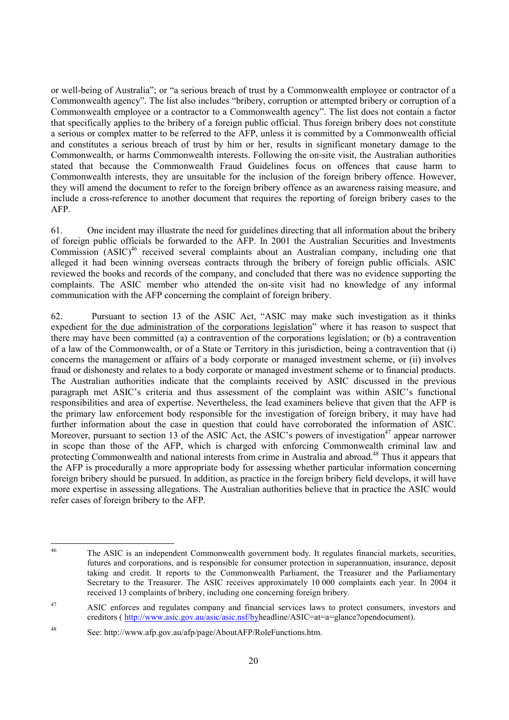or well-being of Australia"; or "a serious breach of trust by a Commonwealth employee or contractor of a Commonwealth agency". The list also includes "bribery, corruption or attempted bribery or corruption of a Commonwealth employee or a contractor to a Commonwealth agency". The list does not contain a factor that specifically applies to the bribery of a foreign public official. Thus foreign bribery does not constitute a serious or complex matter to be referred to the AFP, unless it is committed by a Commonwealth official and constitutes a serious breach of trust by him or her, results in significant monetary damage to the Commonwealth, or harms Commonwealth interests. Following the on-site visit, the Australian authorities stated that because the Commonwealth Fraud Guidelines focus on offences that cause harm to Commonwealth interests, they are unsuitable for the inclusion of the foreign bribery offence. However, they will amend the document to refer to the foreign bribery offence as an awareness raising measure, and include a cross-reference to another document that requires the reporting of foreign bribery cases to the AFP.

61. One incident may illustrate the need for guidelines directing that all information about the bribery of foreign public officials be forwarded to the AFP. In 2001 the Australian Securities and Investments Commission  $(ASIC)^{46}$  received several complaints about an Australian company, including one that alleged it had been winning overseas contracts through the bribery of foreign public officials. ASIC reviewed the books and records of the company, and concluded that there was no evidence supporting the complaints. The ASIC member who attended the on-site visit had no knowledge of any informal communication with the AFP concerning the complaint of foreign bribery.

62. Pursuant to section 13 of the ASIC Act, "ASIC may make such investigation as it thinks expedient for the due administration of the corporations legislation" where it has reason to suspect that there may have been committed (a) a contravention of the corporations legislation; or (b) a contravention of a law of the Commonwealth, or of a State or Territory in this jurisdiction, being a contravention that (i) concerns the management or affairs of a body corporate or managed investment scheme, or (ii) involves fraud or dishonesty and relates to a body corporate or managed investment scheme or to financial products. The Australian authorities indicate that the complaints received by ASIC discussed in the previous paragraph met ASIC's criteria and thus assessment of the complaint was within ASIC's functional responsibilities and area of expertise. Nevertheless, the lead examiners believe that given that the AFP is the primary law enforcement body responsible for the investigation of foreign bribery, it may have had further information about the case in question that could have corroborated the information of ASIC. Moreover, pursuant to section 13 of the ASIC Act, the ASIC's powers of investigation<sup>47</sup> appear narrower in scope than those of the AFP, which is charged with enforcing Commonwealth criminal law and protecting Commonwealth and national interests from crime in Australia and abroad.<sup>48</sup> Thus it appears that the AFP is procedurally a more appropriate body for assessing whether particular information concerning foreign bribery should be pursued. In addition, as practice in the foreign bribery field develops, it will have more expertise in assessing allegations. The Australian authorities believe that in practice the ASIC would refer cases of foreign bribery to the AFP.

 $46$ 46 The ASIC is an independent Commonwealth government body. It regulates financial markets, securities, futures and corporations, and is responsible for consumer protection in superannuation, insurance, deposit taking and credit. It reports to the Commonwealth Parliament, the Treasurer and the Parliamentary Secretary to the Treasurer. The ASIC receives approximately 10 000 complaints each year. In 2004 it received 13 complaints of bribery, including one concerning foreign bribery.

<sup>47</sup> ASIC enforces and regulates company and financial services laws to protect consumers, investors and creditors ( http://www.asic.gov.au/asic/asic.nsf/byheadline/ASIC=at=a=glance?opendocument).

<sup>48</sup> See: http://www.afp.gov.au/afp/page/AboutAFP/RoleFunctions.htm.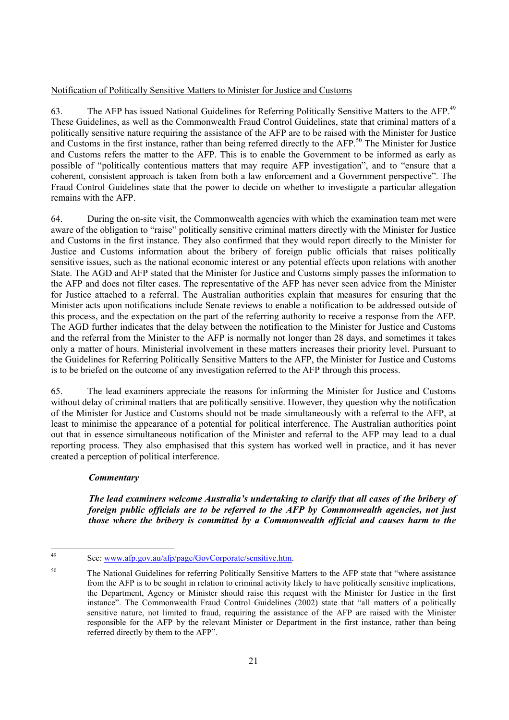# Notification of Politically Sensitive Matters to Minister for Justice and Customs

63. The AFP has issued National Guidelines for Referring Politically Sensitive Matters to the AFP.<sup>49</sup> These Guidelines, as well as the Commonwealth Fraud Control Guidelines, state that criminal matters of a politically sensitive nature requiring the assistance of the AFP are to be raised with the Minister for Justice and Customs in the first instance, rather than being referred directly to the AFP.<sup>50</sup> The Minister for Justice and Customs refers the matter to the AFP. This is to enable the Government to be informed as early as possible of "politically contentious matters that may require AFP investigation", and to "ensure that a coherent, consistent approach is taken from both a law enforcement and a Government perspective". The Fraud Control Guidelines state that the power to decide on whether to investigate a particular allegation remains with the AFP.

64. During the on-site visit, the Commonwealth agencies with which the examination team met were aware of the obligation to "raise" politically sensitive criminal matters directly with the Minister for Justice and Customs in the first instance. They also confirmed that they would report directly to the Minister for Justice and Customs information about the bribery of foreign public officials that raises politically sensitive issues, such as the national economic interest or any potential effects upon relations with another State. The AGD and AFP stated that the Minister for Justice and Customs simply passes the information to the AFP and does not filter cases. The representative of the AFP has never seen advice from the Minister for Justice attached to a referral. The Australian authorities explain that measures for ensuring that the Minister acts upon notifications include Senate reviews to enable a notification to be addressed outside of this process, and the expectation on the part of the referring authority to receive a response from the AFP. The AGD further indicates that the delay between the notification to the Minister for Justice and Customs and the referral from the Minister to the AFP is normally not longer than 28 days, and sometimes it takes only a matter of hours. Ministerial involvement in these matters increases their priority level. Pursuant to the Guidelines for Referring Politically Sensitive Matters to the AFP, the Minister for Justice and Customs is to be briefed on the outcome of any investigation referred to the AFP through this process.

65. The lead examiners appreciate the reasons for informing the Minister for Justice and Customs without delay of criminal matters that are politically sensitive. However, they question why the notification of the Minister for Justice and Customs should not be made simultaneously with a referral to the AFP, at least to minimise the appearance of a potential for political interference. The Australian authorities point out that in essence simultaneous notification of the Minister and referral to the AFP may lead to a dual reporting process. They also emphasised that this system has worked well in practice, and it has never created a perception of political interference.

# *Commentary*

*The lead examiners welcome Australia's undertaking to clarify that all cases of the bribery of foreign public officials are to be referred to the AFP by Commonwealth agencies, not just those where the bribery is committed by a Commonwealth official and causes harm to the* 

 $\overline{49}$ See: www.afp.gov.au/afp/page/GovCorporate/sensitive.htm.

<sup>&</sup>lt;sup>50</sup> The National Guidelines for referring Politically Sensitive Matters to the AFP state that "where assistance" from the AFP is to be sought in relation to criminal activity likely to have politically sensitive implications, the Department, Agency or Minister should raise this request with the Minister for Justice in the first instance". The Commonwealth Fraud Control Guidelines (2002) state that "all matters of a politically sensitive nature, not limited to fraud, requiring the assistance of the AFP are raised with the Minister responsible for the AFP by the relevant Minister or Department in the first instance, rather than being referred directly by them to the AFP".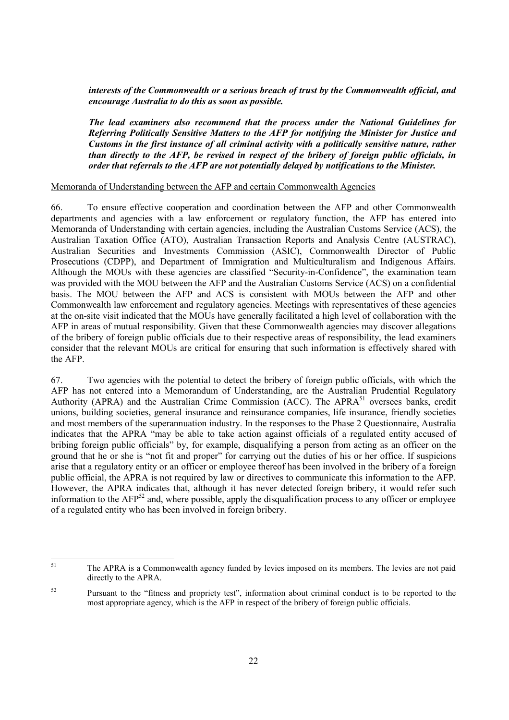*interests of the Commonwealth or a serious breach of trust by the Commonwealth official, and encourage Australia to do this as soon as possible.* 

*The lead examiners also recommend that the process under the National Guidelines for Referring Politically Sensitive Matters to the AFP for notifying the Minister for Justice and Customs in the first instance of all criminal activity with a politically sensitive nature, rather than directly to the AFP, be revised in respect of the bribery of foreign public officials, in order that referrals to the AFP are not potentially delayed by notifications to the Minister.* 

#### Memoranda of Understanding between the AFP and certain Commonwealth Agencies

66. To ensure effective cooperation and coordination between the AFP and other Commonwealth departments and agencies with a law enforcement or regulatory function, the AFP has entered into Memoranda of Understanding with certain agencies, including the Australian Customs Service (ACS), the Australian Taxation Office (ATO), Australian Transaction Reports and Analysis Centre (AUSTRAC), Australian Securities and Investments Commission (ASIC), Commonwealth Director of Public Prosecutions (CDPP), and Department of Immigration and Multiculturalism and Indigenous Affairs. Although the MOUs with these agencies are classified "Security-in-Confidence", the examination team was provided with the MOU between the AFP and the Australian Customs Service (ACS) on a confidential basis. The MOU between the AFP and ACS is consistent with MOUs between the AFP and other Commonwealth law enforcement and regulatory agencies. Meetings with representatives of these agencies at the on-site visit indicated that the MOUs have generally facilitated a high level of collaboration with the AFP in areas of mutual responsibility. Given that these Commonwealth agencies may discover allegations of the bribery of foreign public officials due to their respective areas of responsibility, the lead examiners consider that the relevant MOUs are critical for ensuring that such information is effectively shared with the AFP.

67. Two agencies with the potential to detect the bribery of foreign public officials, with which the AFP has not entered into a Memorandum of Understanding, are the Australian Prudential Regulatory Authority (APRA) and the Australian Crime Commission (ACC). The APRA<sup>51</sup> oversees banks, credit unions, building societies, general insurance and reinsurance companies, life insurance, friendly societies and most members of the superannuation industry. In the responses to the Phase 2 Questionnaire, Australia indicates that the APRA "may be able to take action against officials of a regulated entity accused of bribing foreign public officials" by, for example, disqualifying a person from acting as an officer on the ground that he or she is "not fit and proper" for carrying out the duties of his or her office. If suspicions arise that a regulatory entity or an officer or employee thereof has been involved in the bribery of a foreign public official, the APRA is not required by law or directives to communicate this information to the AFP. However, the APRA indicates that, although it has never detected foreign bribery, it would refer such information to the  $\rm{AFP}^{52}$  and, where possible, apply the disqualification process to any officer or employee of a regulated entity who has been involved in foreign bribery.

 $51$ The APRA is a Commonwealth agency funded by levies imposed on its members. The levies are not paid directly to the APRA.

<sup>&</sup>lt;sup>52</sup> Pursuant to the "fitness and propriety test", information about criminal conduct is to be reported to the most appropriate agency, which is the AFP in respect of the bribery of foreign public officials.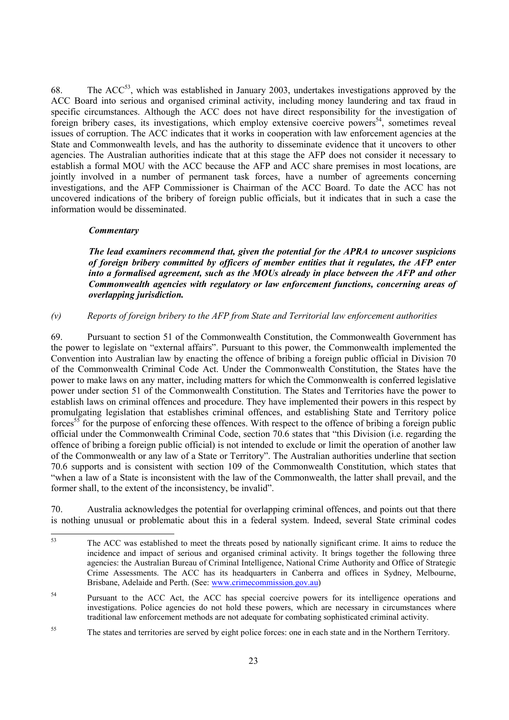68. The  $ACC^{53}$ , which was established in January 2003, undertakes investigations approved by the ACC Board into serious and organised criminal activity, including money laundering and tax fraud in specific circumstances. Although the ACC does not have direct responsibility for the investigation of foreign bribery cases, its investigations, which employ extensive coercive powers<sup>54</sup>, sometimes reveal issues of corruption. The ACC indicates that it works in cooperation with law enforcement agencies at the State and Commonwealth levels, and has the authority to disseminate evidence that it uncovers to other agencies. The Australian authorities indicate that at this stage the AFP does not consider it necessary to establish a formal MOU with the ACC because the AFP and ACC share premises in most locations, are jointly involved in a number of permanent task forces, have a number of agreements concerning investigations, and the AFP Commissioner is Chairman of the ACC Board. To date the ACC has not uncovered indications of the bribery of foreign public officials, but it indicates that in such a case the information would be disseminated.

# *Commentary*

*The lead examiners recommend that, given the potential for the APRA to uncover suspicions of foreign bribery committed by officers of member entities that it regulates, the AFP enter into a formalised agreement, such as the MOUs already in place between the AFP and other Commonwealth agencies with regulatory or law enforcement functions, concerning areas of overlapping jurisdiction.* 

# *(v) Reports of foreign bribery to the AFP from State and Territorial law enforcement authorities*

69. Pursuant to section 51 of the Commonwealth Constitution, the Commonwealth Government has the power to legislate on "external affairs". Pursuant to this power, the Commonwealth implemented the Convention into Australian law by enacting the offence of bribing a foreign public official in Division 70 of the Commonwealth Criminal Code Act. Under the Commonwealth Constitution, the States have the power to make laws on any matter, including matters for which the Commonwealth is conferred legislative power under section 51 of the Commonwealth Constitution. The States and Territories have the power to establish laws on criminal offences and procedure. They have implemented their powers in this respect by promulgating legislation that establishes criminal offences, and establishing State and Territory police forces<sup>55</sup> for the purpose of enforcing these offences. With respect to the offence of bribing a foreign public official under the Commonwealth Criminal Code, section 70.6 states that "this Division (i.e. regarding the offence of bribing a foreign public official) is not intended to exclude or limit the operation of another law of the Commonwealth or any law of a State or Territory". The Australian authorities underline that section 70.6 supports and is consistent with section 109 of the Commonwealth Constitution, which states that "when a law of a State is inconsistent with the law of the Commonwealth, the latter shall prevail, and the former shall, to the extent of the inconsistency, be invalid".

70. Australia acknowledges the potential for overlapping criminal offences, and points out that there is nothing unusual or problematic about this in a federal system. Indeed, several State criminal codes

<sup>53</sup> The ACC was established to meet the threats posed by nationally significant crime. It aims to reduce the incidence and impact of serious and organised criminal activity. It brings together the following three agencies: the Australian Bureau of Criminal Intelligence, National Crime Authority and Office of Strategic Crime Assessments. The ACC has its headquarters in Canberra and offices in Sydney, Melbourne, Brisbane, Adelaide and Perth. (See: www.crimecommission.gov.au)

<sup>&</sup>lt;sup>54</sup> Pursuant to the ACC Act, the ACC has special coercive powers for its intelligence operations and investigations. Police agencies do not hold these powers, which are necessary in circumstances where traditional law enforcement methods are not adequate for combating sophisticated criminal activity.

<sup>&</sup>lt;sup>55</sup> The states and territories are served by eight police forces: one in each state and in the Northern Territory.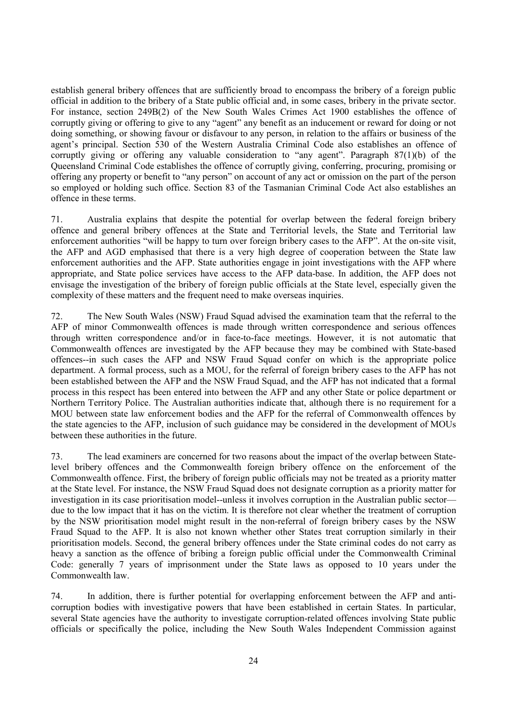establish general bribery offences that are sufficiently broad to encompass the bribery of a foreign public official in addition to the bribery of a State public official and, in some cases, bribery in the private sector. For instance, section 249B(2) of the New South Wales Crimes Act 1900 establishes the offence of corruptly giving or offering to give to any "agent" any benefit as an inducement or reward for doing or not doing something, or showing favour or disfavour to any person, in relation to the affairs or business of the agent's principal. Section 530 of the Western Australia Criminal Code also establishes an offence of corruptly giving or offering any valuable consideration to "any agent". Paragraph 87(1)(b) of the Queensland Criminal Code establishes the offence of corruptly giving, conferring, procuring, promising or offering any property or benefit to "any person" on account of any act or omission on the part of the person so employed or holding such office. Section 83 of the Tasmanian Criminal Code Act also establishes an offence in these terms.

71. Australia explains that despite the potential for overlap between the federal foreign bribery offence and general bribery offences at the State and Territorial levels, the State and Territorial law enforcement authorities "will be happy to turn over foreign bribery cases to the AFP". At the on-site visit, the AFP and AGD emphasised that there is a very high degree of cooperation between the State law enforcement authorities and the AFP. State authorities engage in joint investigations with the AFP where appropriate, and State police services have access to the AFP data-base. In addition, the AFP does not envisage the investigation of the bribery of foreign public officials at the State level, especially given the complexity of these matters and the frequent need to make overseas inquiries.

72. The New South Wales (NSW) Fraud Squad advised the examination team that the referral to the AFP of minor Commonwealth offences is made through written correspondence and serious offences through written correspondence and/or in face-to-face meetings. However, it is not automatic that Commonwealth offences are investigated by the AFP because they may be combined with State-based offences--in such cases the AFP and NSW Fraud Squad confer on which is the appropriate police department. A formal process, such as a MOU, for the referral of foreign bribery cases to the AFP has not been established between the AFP and the NSW Fraud Squad, and the AFP has not indicated that a formal process in this respect has been entered into between the AFP and any other State or police department or Northern Territory Police. The Australian authorities indicate that, although there is no requirement for a MOU between state law enforcement bodies and the AFP for the referral of Commonwealth offences by the state agencies to the AFP, inclusion of such guidance may be considered in the development of MOUs between these authorities in the future.

73. The lead examiners are concerned for two reasons about the impact of the overlap between Statelevel bribery offences and the Commonwealth foreign bribery offence on the enforcement of the Commonwealth offence. First, the bribery of foreign public officials may not be treated as a priority matter at the State level. For instance, the NSW Fraud Squad does not designate corruption as a priority matter for investigation in its case prioritisation model--unless it involves corruption in the Australian public sector due to the low impact that it has on the victim. It is therefore not clear whether the treatment of corruption by the NSW prioritisation model might result in the non-referral of foreign bribery cases by the NSW Fraud Squad to the AFP. It is also not known whether other States treat corruption similarly in their prioritisation models. Second, the general bribery offences under the State criminal codes do not carry as heavy a sanction as the offence of bribing a foreign public official under the Commonwealth Criminal Code: generally 7 years of imprisonment under the State laws as opposed to 10 years under the Commonwealth law.

74. In addition, there is further potential for overlapping enforcement between the AFP and anticorruption bodies with investigative powers that have been established in certain States. In particular, several State agencies have the authority to investigate corruption-related offences involving State public officials or specifically the police, including the New South Wales Independent Commission against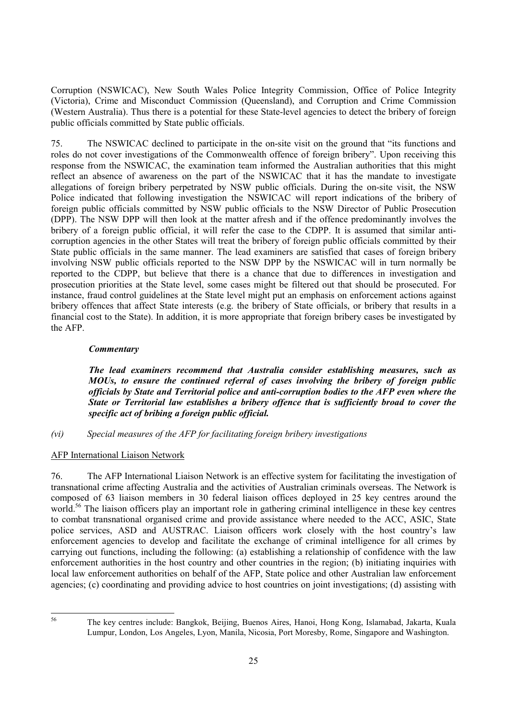Corruption (NSWICAC), New South Wales Police Integrity Commission, Office of Police Integrity (Victoria), Crime and Misconduct Commission (Queensland), and Corruption and Crime Commission (Western Australia). Thus there is a potential for these State-level agencies to detect the bribery of foreign public officials committed by State public officials.

75. The NSWICAC declined to participate in the on-site visit on the ground that "its functions and roles do not cover investigations of the Commonwealth offence of foreign bribery". Upon receiving this response from the NSWICAC, the examination team informed the Australian authorities that this might reflect an absence of awareness on the part of the NSWICAC that it has the mandate to investigate allegations of foreign bribery perpetrated by NSW public officials. During the on-site visit, the NSW Police indicated that following investigation the NSWICAC will report indications of the bribery of foreign public officials committed by NSW public officials to the NSW Director of Public Prosecution (DPP). The NSW DPP will then look at the matter afresh and if the offence predominantly involves the bribery of a foreign public official, it will refer the case to the CDPP. It is assumed that similar anticorruption agencies in the other States will treat the bribery of foreign public officials committed by their State public officials in the same manner. The lead examiners are satisfied that cases of foreign bribery involving NSW public officials reported to the NSW DPP by the NSWICAC will in turn normally be reported to the CDPP, but believe that there is a chance that due to differences in investigation and prosecution priorities at the State level, some cases might be filtered out that should be prosecuted. For instance, fraud control guidelines at the State level might put an emphasis on enforcement actions against bribery offences that affect State interests (e.g. the bribery of State officials, or bribery that results in a financial cost to the State). In addition, it is more appropriate that foreign bribery cases be investigated by the AFP.

# *Commentary*

*The lead examiners recommend that Australia consider establishing measures, such as MOUs, to ensure the continued referral of cases involving the bribery of foreign public officials by State and Territorial police and anti-corruption bodies to the AFP even where the State or Territorial law establishes a bribery offence that is sufficiently broad to cover the specific act of bribing a foreign public official.* 

*(vi) Special measures of the AFP for facilitating foreign bribery investigations* 

# AFP International Liaison Network

76. The AFP International Liaison Network is an effective system for facilitating the investigation of transnational crime affecting Australia and the activities of Australian criminals overseas. The Network is composed of 63 liaison members in 30 federal liaison offices deployed in 25 key centres around the world.<sup>56</sup> The liaison officers play an important role in gathering criminal intelligence in these key centres to combat transnational organised crime and provide assistance where needed to the ACC, ASIC, State police services, ASD and AUSTRAC. Liaison officers work closely with the host country's law enforcement agencies to develop and facilitate the exchange of criminal intelligence for all crimes by carrying out functions, including the following: (a) establishing a relationship of confidence with the law enforcement authorities in the host country and other countries in the region; (b) initiating inquiries with local law enforcement authorities on behalf of the AFP, State police and other Australian law enforcement agencies; (c) coordinating and providing advice to host countries on joint investigations; (d) assisting with

56

<sup>56</sup> The key centres include: Bangkok, Beijing, Buenos Aires, Hanoi, Hong Kong, Islamabad, Jakarta, Kuala Lumpur, London, Los Angeles, Lyon, Manila, Nicosia, Port Moresby, Rome, Singapore and Washington.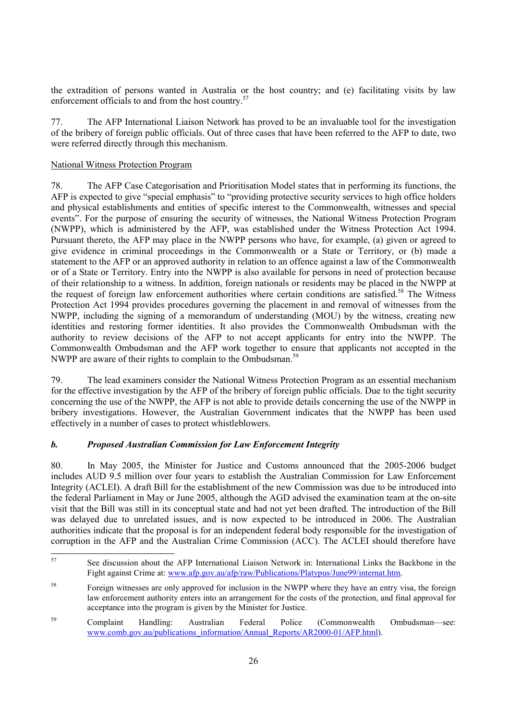the extradition of persons wanted in Australia or the host country; and (e) facilitating visits by law enforcement officials to and from the host country.<sup>57</sup>

77. The AFP International Liaison Network has proved to be an invaluable tool for the investigation of the bribery of foreign public officials. Out of three cases that have been referred to the AFP to date, two were referred directly through this mechanism.

# National Witness Protection Program

78. The AFP Case Categorisation and Prioritisation Model states that in performing its functions, the AFP is expected to give "special emphasis" to "providing protective security services to high office holders and physical establishments and entities of specific interest to the Commonwealth, witnesses and special events". For the purpose of ensuring the security of witnesses, the National Witness Protection Program (NWPP), which is administered by the AFP, was established under the Witness Protection Act 1994. Pursuant thereto, the AFP may place in the NWPP persons who have, for example, (a) given or agreed to give evidence in criminal proceedings in the Commonwealth or a State or Territory, or (b) made a statement to the AFP or an approved authority in relation to an offence against a law of the Commonwealth or of a State or Territory. Entry into the NWPP is also available for persons in need of protection because of their relationship to a witness. In addition, foreign nationals or residents may be placed in the NWPP at the request of foreign law enforcement authorities where certain conditions are satisfied.<sup>58</sup> The Witness Protection Act 1994 provides procedures governing the placement in and removal of witnesses from the NWPP, including the signing of a memorandum of understanding (MOU) by the witness, creating new identities and restoring former identities. It also provides the Commonwealth Ombudsman with the authority to review decisions of the AFP to not accept applicants for entry into the NWPP. The Commonwealth Ombudsman and the AFP work together to ensure that applicants not accepted in the NWPP are aware of their rights to complain to the Ombudsman.<sup>59</sup>

79. The lead examiners consider the National Witness Protection Program as an essential mechanism for the effective investigation by the AFP of the bribery of foreign public officials. Due to the tight security concerning the use of the NWPP, the AFP is not able to provide details concerning the use of the NWPP in bribery investigations. However, the Australian Government indicates that the NWPP has been used effectively in a number of cases to protect whistleblowers.

# *b. Proposed Australian Commission for Law Enforcement Integrity*

80. In May 2005, the Minister for Justice and Customs announced that the 2005-2006 budget includes AUD 9.5 million over four years to establish the Australian Commission for Law Enforcement Integrity (ACLEI). A draft Bill for the establishment of the new Commission was due to be introduced into the federal Parliament in May or June 2005, although the AGD advised the examination team at the on-site visit that the Bill was still in its conceptual state and had not yet been drafted. The introduction of the Bill was delayed due to unrelated issues, and is now expected to be introduced in 2006. The Australian authorities indicate that the proposal is for an independent federal body responsible for the investigation of corruption in the AFP and the Australian Crime Commission (ACC). The ACLEI should therefore have

 $57$ 57 See discussion about the AFP International Liaison Network in: International Links the Backbone in the Fight against Crime at: www.afp.gov.au/afp/raw/Publications/Platypus/June99/internat.htm.

<sup>58</sup> Foreign witnesses are only approved for inclusion in the NWPP where they have an entry visa, the foreign law enforcement authority enters into an arrangement for the costs of the protection, and final approval for acceptance into the program is given by the Minister for Justice.

<sup>59</sup> Complaint Handling: Australian Federal Police (Commonwealth Ombudsman—see: www.comb.gov.au/publications\_information/Annual\_Reports/AR2000-01/AFP.html).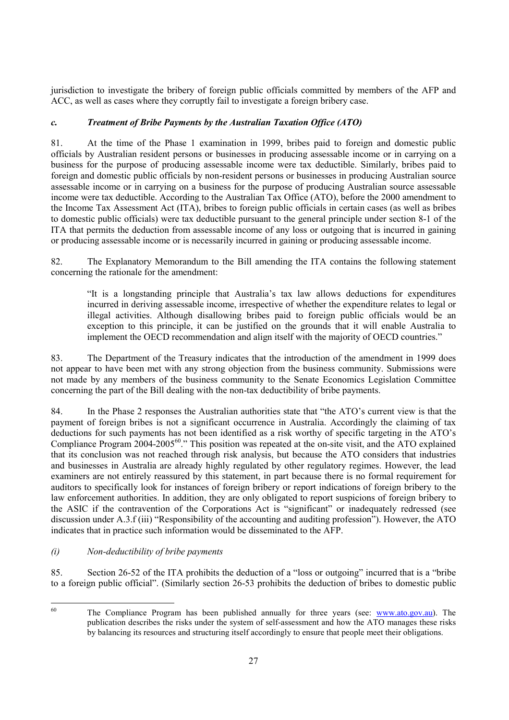jurisdiction to investigate the bribery of foreign public officials committed by members of the AFP and ACC, as well as cases where they corruptly fail to investigate a foreign bribery case.

# *c. Treatment of Bribe Payments by the Australian Taxation Office (ATO)*

81. At the time of the Phase 1 examination in 1999, bribes paid to foreign and domestic public officials by Australian resident persons or businesses in producing assessable income or in carrying on a business for the purpose of producing assessable income were tax deductible. Similarly, bribes paid to foreign and domestic public officials by non-resident persons or businesses in producing Australian source assessable income or in carrying on a business for the purpose of producing Australian source assessable income were tax deductible. According to the Australian Tax Office (ATO), before the 2000 amendment to the Income Tax Assessment Act (ITA), bribes to foreign public officials in certain cases (as well as bribes to domestic public officials) were tax deductible pursuant to the general principle under section 8-1 of the ITA that permits the deduction from assessable income of any loss or outgoing that is incurred in gaining or producing assessable income or is necessarily incurred in gaining or producing assessable income.

82. The Explanatory Memorandum to the Bill amending the ITA contains the following statement concerning the rationale for the amendment:

"It is a longstanding principle that Australia's tax law allows deductions for expenditures incurred in deriving assessable income, irrespective of whether the expenditure relates to legal or illegal activities. Although disallowing bribes paid to foreign public officials would be an exception to this principle, it can be justified on the grounds that it will enable Australia to implement the OECD recommendation and align itself with the majority of OECD countries."

83. The Department of the Treasury indicates that the introduction of the amendment in 1999 does not appear to have been met with any strong objection from the business community. Submissions were not made by any members of the business community to the Senate Economics Legislation Committee concerning the part of the Bill dealing with the non-tax deductibility of bribe payments.

84. In the Phase 2 responses the Australian authorities state that "the ATO's current view is that the payment of foreign bribes is not a significant occurrence in Australia. Accordingly the claiming of tax deductions for such payments has not been identified as a risk worthy of specific targeting in the ATO's Compliance Program 2004-2005<sup>60</sup>." This position was repeated at the on-site visit, and the ATO explained that its conclusion was not reached through risk analysis, but because the ATO considers that industries and businesses in Australia are already highly regulated by other regulatory regimes. However, the lead examiners are not entirely reassured by this statement, in part because there is no formal requirement for auditors to specifically look for instances of foreign bribery or report indications of foreign bribery to the law enforcement authorities. In addition, they are only obligated to report suspicions of foreign bribery to the ASIC if the contravention of the Corporations Act is "significant" or inadequately redressed (see discussion under A.3.f (iii) "Responsibility of the accounting and auditing profession"). However, the ATO indicates that in practice such information would be disseminated to the AFP.

# *(i) Non-deductibility of bribe payments*

85. Section 26-52 of the ITA prohibits the deduction of a "loss or outgoing" incurred that is a "bribe to a foreign public official". (Similarly section 26-53 prohibits the deduction of bribes to domestic public

60

The Compliance Program has been published annually for three years (see: www.ato.gov.au). The publication describes the risks under the system of self-assessment and how the ATO manages these risks by balancing its resources and structuring itself accordingly to ensure that people meet their obligations.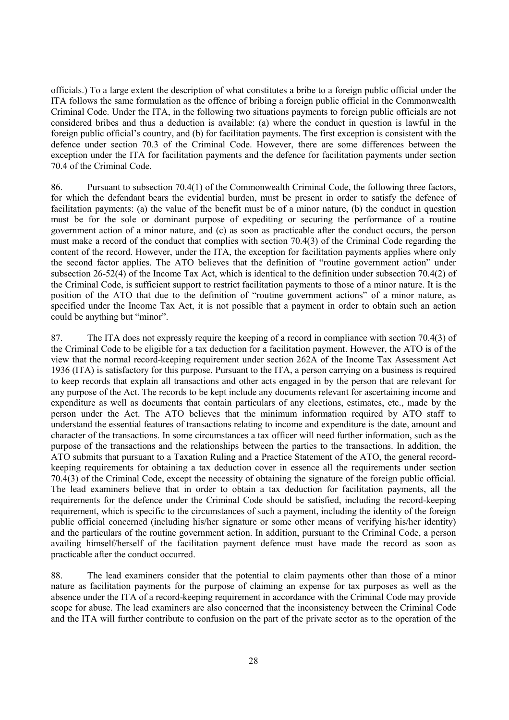officials.) To a large extent the description of what constitutes a bribe to a foreign public official under the ITA follows the same formulation as the offence of bribing a foreign public official in the Commonwealth Criminal Code. Under the ITA, in the following two situations payments to foreign public officials are not considered bribes and thus a deduction is available: (a) where the conduct in question is lawful in the foreign public official's country, and (b) for facilitation payments. The first exception is consistent with the defence under section 70.3 of the Criminal Code. However, there are some differences between the exception under the ITA for facilitation payments and the defence for facilitation payments under section 70.4 of the Criminal Code.

86. Pursuant to subsection 70.4(1) of the Commonwealth Criminal Code, the following three factors, for which the defendant bears the evidential burden, must be present in order to satisfy the defence of facilitation payments: (a) the value of the benefit must be of a minor nature, (b) the conduct in question must be for the sole or dominant purpose of expediting or securing the performance of a routine government action of a minor nature, and (c) as soon as practicable after the conduct occurs, the person must make a record of the conduct that complies with section 70.4(3) of the Criminal Code regarding the content of the record. However, under the ITA, the exception for facilitation payments applies where only the second factor applies. The ATO believes that the definition of "routine government action" under subsection 26-52(4) of the Income Tax Act, which is identical to the definition under subsection 70.4(2) of the Criminal Code, is sufficient support to restrict facilitation payments to those of a minor nature. It is the position of the ATO that due to the definition of "routine government actions" of a minor nature, as specified under the Income Tax Act, it is not possible that a payment in order to obtain such an action could be anything but "minor".

87. The ITA does not expressly require the keeping of a record in compliance with section 70.4(3) of the Criminal Code to be eligible for a tax deduction for a facilitation payment. However, the ATO is of the view that the normal record-keeping requirement under section 262A of the Income Tax Assessment Act 1936 (ITA) is satisfactory for this purpose. Pursuant to the ITA, a person carrying on a business is required to keep records that explain all transactions and other acts engaged in by the person that are relevant for any purpose of the Act. The records to be kept include any documents relevant for ascertaining income and expenditure as well as documents that contain particulars of any elections, estimates, etc., made by the person under the Act. The ATO believes that the minimum information required by ATO staff to understand the essential features of transactions relating to income and expenditure is the date, amount and character of the transactions. In some circumstances a tax officer will need further information, such as the purpose of the transactions and the relationships between the parties to the transactions. In addition, the ATO submits that pursuant to a Taxation Ruling and a Practice Statement of the ATO, the general recordkeeping requirements for obtaining a tax deduction cover in essence all the requirements under section 70.4(3) of the Criminal Code, except the necessity of obtaining the signature of the foreign public official. The lead examiners believe that in order to obtain a tax deduction for facilitation payments, all the requirements for the defence under the Criminal Code should be satisfied, including the record-keeping requirement, which is specific to the circumstances of such a payment, including the identity of the foreign public official concerned (including his/her signature or some other means of verifying his/her identity) and the particulars of the routine government action. In addition, pursuant to the Criminal Code, a person availing himself/herself of the facilitation payment defence must have made the record as soon as practicable after the conduct occurred.

88. The lead examiners consider that the potential to claim payments other than those of a minor nature as facilitation payments for the purpose of claiming an expense for tax purposes as well as the absence under the ITA of a record-keeping requirement in accordance with the Criminal Code may provide scope for abuse. The lead examiners are also concerned that the inconsistency between the Criminal Code and the ITA will further contribute to confusion on the part of the private sector as to the operation of the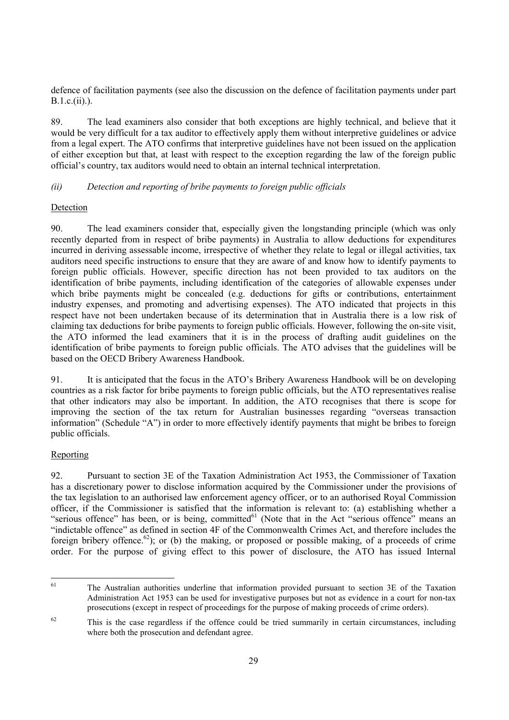defence of facilitation payments (see also the discussion on the defence of facilitation payments under part B.1.c.(ii).).

89. The lead examiners also consider that both exceptions are highly technical, and believe that it would be very difficult for a tax auditor to effectively apply them without interpretive guidelines or advice from a legal expert. The ATO confirms that interpretive guidelines have not been issued on the application of either exception but that, at least with respect to the exception regarding the law of the foreign public official's country, tax auditors would need to obtain an internal technical interpretation.

# *(ii) Detection and reporting of bribe payments to foreign public officials*

# **Detection**

90. The lead examiners consider that, especially given the longstanding principle (which was only recently departed from in respect of bribe payments) in Australia to allow deductions for expenditures incurred in deriving assessable income, irrespective of whether they relate to legal or illegal activities, tax auditors need specific instructions to ensure that they are aware of and know how to identify payments to foreign public officials. However, specific direction has not been provided to tax auditors on the identification of bribe payments, including identification of the categories of allowable expenses under which bribe payments might be concealed (e.g. deductions for gifts or contributions, entertainment industry expenses, and promoting and advertising expenses). The ATO indicated that projects in this respect have not been undertaken because of its determination that in Australia there is a low risk of claiming tax deductions for bribe payments to foreign public officials. However, following the on-site visit, the ATO informed the lead examiners that it is in the process of drafting audit guidelines on the identification of bribe payments to foreign public officials. The ATO advises that the guidelines will be based on the OECD Bribery Awareness Handbook.

91. It is anticipated that the focus in the ATO's Bribery Awareness Handbook will be on developing countries as a risk factor for bribe payments to foreign public officials, but the ATO representatives realise that other indicators may also be important. In addition, the ATO recognises that there is scope for improving the section of the tax return for Australian businesses regarding "overseas transaction information" (Schedule "A") in order to more effectively identify payments that might be bribes to foreign public officials.

# Reporting

92. Pursuant to section 3E of the Taxation Administration Act 1953, the Commissioner of Taxation has a discretionary power to disclose information acquired by the Commissioner under the provisions of the tax legislation to an authorised law enforcement agency officer, or to an authorised Royal Commission officer, if the Commissioner is satisfied that the information is relevant to: (a) establishing whether a "serious offence" has been, or is being, committed $^{61}$  (Note that in the Act "serious offence" means an "indictable offence" as defined in section 4F of the Commonwealth Crimes Act, and therefore includes the foreign bribery offence.<sup>62</sup>); or (b) the making, or proposed or possible making, of a proceeds of crime order. For the purpose of giving effect to this power of disclosure, the ATO has issued Internal

<sup>61</sup> 61 The Australian authorities underline that information provided pursuant to section 3E of the Taxation Administration Act 1953 can be used for investigative purposes but not as evidence in a court for non-tax prosecutions (except in respect of proceedings for the purpose of making proceeds of crime orders).

 $62$  This is the case regardless if the offence could be tried summarily in certain circumstances, including where both the prosecution and defendant agree.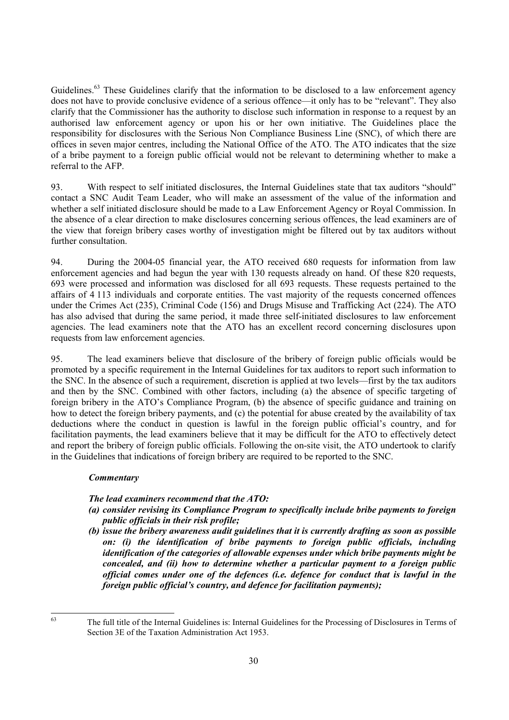Guidelines.<sup>63</sup> These Guidelines clarify that the information to be disclosed to a law enforcement agency does not have to provide conclusive evidence of a serious offence—it only has to be "relevant". They also clarify that the Commissioner has the authority to disclose such information in response to a request by an authorised law enforcement agency or upon his or her own initiative. The Guidelines place the responsibility for disclosures with the Serious Non Compliance Business Line (SNC), of which there are offices in seven major centres, including the National Office of the ATO. The ATO indicates that the size of a bribe payment to a foreign public official would not be relevant to determining whether to make a referral to the AFP.

93. With respect to self initiated disclosures, the Internal Guidelines state that tax auditors "should" contact a SNC Audit Team Leader, who will make an assessment of the value of the information and whether a self initiated disclosure should be made to a Law Enforcement Agency or Royal Commission. In the absence of a clear direction to make disclosures concerning serious offences, the lead examiners are of the view that foreign bribery cases worthy of investigation might be filtered out by tax auditors without further consultation.

94. During the 2004-05 financial year, the ATO received 680 requests for information from law enforcement agencies and had begun the year with 130 requests already on hand. Of these 820 requests, 693 were processed and information was disclosed for all 693 requests. These requests pertained to the affairs of 4 113 individuals and corporate entities. The vast majority of the requests concerned offences under the Crimes Act (235), Criminal Code (156) and Drugs Misuse and Trafficking Act (224). The ATO has also advised that during the same period, it made three self-initiated disclosures to law enforcement agencies. The lead examiners note that the ATO has an excellent record concerning disclosures upon requests from law enforcement agencies.

95. The lead examiners believe that disclosure of the bribery of foreign public officials would be promoted by a specific requirement in the Internal Guidelines for tax auditors to report such information to the SNC. In the absence of such a requirement, discretion is applied at two levels—first by the tax auditors and then by the SNC. Combined with other factors, including (a) the absence of specific targeting of foreign bribery in the ATO's Compliance Program, (b) the absence of specific guidance and training on how to detect the foreign bribery payments, and (c) the potential for abuse created by the availability of tax deductions where the conduct in question is lawful in the foreign public official's country, and for facilitation payments, the lead examiners believe that it may be difficult for the ATO to effectively detect and report the bribery of foreign public officials. Following the on-site visit, the ATO undertook to clarify in the Guidelines that indications of foreign bribery are required to be reported to the SNC.

# *Commentary*

# *The lead examiners recommend that the ATO:*

- *(a) consider revising its Compliance Program to specifically include bribe payments to foreign public officials in their risk profile;*
- *(b) issue the bribery awareness audit guidelines that it is currently drafting as soon as possible on: (i) the identification of bribe payments to foreign public officials, including identification of the categories of allowable expenses under which bribe payments might be concealed, and (ii) how to determine whether a particular payment to a foreign public official comes under one of the defences (i.e. defence for conduct that is lawful in the foreign public official's country, and defence for facilitation payments);*

<sup>63</sup> 

<sup>63</sup> The full title of the Internal Guidelines is: Internal Guidelines for the Processing of Disclosures in Terms of Section 3E of the Taxation Administration Act 1953.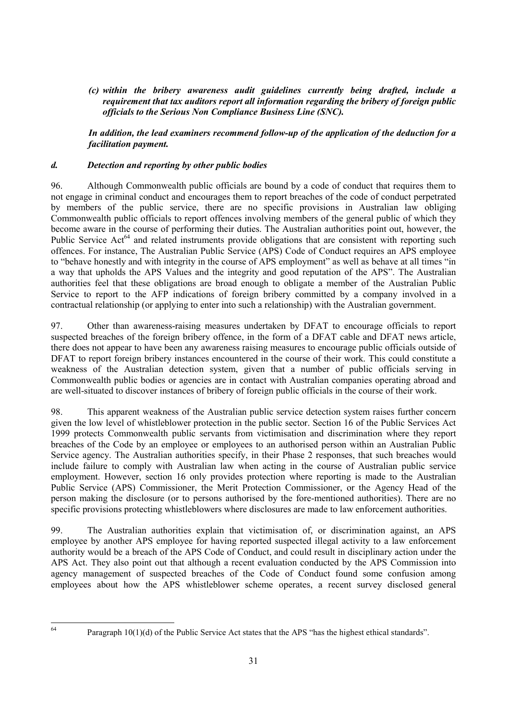*(c) within the bribery awareness audit guidelines currently being drafted, include a requirement that tax auditors report all information regarding the bribery of foreign public officials to the Serious Non Compliance Business Line (SNC).* 

*In addition, the lead examiners recommend follow-up of the application of the deduction for a facilitation payment.* 

# *d. Detection and reporting by other public bodies*

96. Although Commonwealth public officials are bound by a code of conduct that requires them to not engage in criminal conduct and encourages them to report breaches of the code of conduct perpetrated by members of the public service, there are no specific provisions in Australian law obliging Commonwealth public officials to report offences involving members of the general public of which they become aware in the course of performing their duties. The Australian authorities point out, however, the Public Service Act<sup>64</sup> and related instruments provide obligations that are consistent with reporting such offences. For instance, The Australian Public Service (APS) Code of Conduct requires an APS employee to "behave honestly and with integrity in the course of APS employment" as well as behave at all times "in a way that upholds the APS Values and the integrity and good reputation of the APS". The Australian authorities feel that these obligations are broad enough to obligate a member of the Australian Public Service to report to the AFP indications of foreign bribery committed by a company involved in a contractual relationship (or applying to enter into such a relationship) with the Australian government.

97. Other than awareness-raising measures undertaken by DFAT to encourage officials to report suspected breaches of the foreign bribery offence, in the form of a DFAT cable and DFAT news article, there does not appear to have been any awareness raising measures to encourage public officials outside of DFAT to report foreign bribery instances encountered in the course of their work. This could constitute a weakness of the Australian detection system, given that a number of public officials serving in Commonwealth public bodies or agencies are in contact with Australian companies operating abroad and are well-situated to discover instances of bribery of foreign public officials in the course of their work.

98. This apparent weakness of the Australian public service detection system raises further concern given the low level of whistleblower protection in the public sector. Section 16 of the Public Services Act 1999 protects Commonwealth public servants from victimisation and discrimination where they report breaches of the Code by an employee or employees to an authorised person within an Australian Public Service agency. The Australian authorities specify, in their Phase 2 responses, that such breaches would include failure to comply with Australian law when acting in the course of Australian public service employment. However, section 16 only provides protection where reporting is made to the Australian Public Service (APS) Commissioner, the Merit Protection Commissioner, or the Agency Head of the person making the disclosure (or to persons authorised by the fore-mentioned authorities). There are no specific provisions protecting whistleblowers where disclosures are made to law enforcement authorities.

99. The Australian authorities explain that victimisation of, or discrimination against, an APS employee by another APS employee for having reported suspected illegal activity to a law enforcement authority would be a breach of the APS Code of Conduct, and could result in disciplinary action under the APS Act. They also point out that although a recent evaluation conducted by the APS Commission into agency management of suspected breaches of the Code of Conduct found some confusion among employees about how the APS whistleblower scheme operates, a recent survey disclosed general

64

Paragraph 10(1)(d) of the Public Service Act states that the APS "has the highest ethical standards".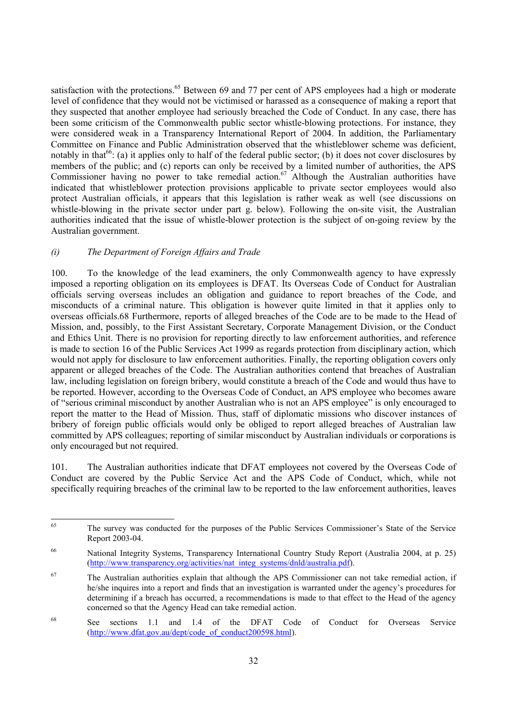satisfaction with the protections.<sup>65</sup> Between 69 and 77 per cent of APS employees had a high or moderate level of confidence that they would not be victimised or harassed as a consequence of making a report that they suspected that another employee had seriously breached the Code of Conduct. In any case, there has been some criticism of the Commonwealth public sector whistle-blowing protections. For instance, they were considered weak in a Transparency International Report of 2004. In addition, the Parliamentary Committee on Finance and Public Administration observed that the whistleblower scheme was deficient, notably in that<sup>66</sup>: (a) it applies only to half of the federal public sector; (b) it does not cover disclosures by members of the public; and (c) reports can only be received by a limited number of authorities, the APS Commissioner having no power to take remedial action.<sup>67</sup> Although the Australian authorities have indicated that whistleblower protection provisions applicable to private sector employees would also protect Australian officials, it appears that this legislation is rather weak as well (see discussions on whistle-blowing in the private sector under part g. below). Following the on-site visit, the Australian authorities indicated that the issue of whistle-blower protection is the subject of on-going review by the Australian government.

# *(i) The Department of Foreign Affairs and Trade*

100. To the knowledge of the lead examiners, the only Commonwealth agency to have expressly imposed a reporting obligation on its employees is DFAT. Its Overseas Code of Conduct for Australian officials serving overseas includes an obligation and guidance to report breaches of the Code, and misconducts of a criminal nature. This obligation is however quite limited in that it applies only to overseas officials.68 Furthermore, reports of alleged breaches of the Code are to be made to the Head of Mission, and, possibly, to the First Assistant Secretary, Corporate Management Division, or the Conduct and Ethics Unit. There is no provision for reporting directly to law enforcement authorities, and reference is made to section 16 of the Public Services Act 1999 as regards protection from disciplinary action, which would not apply for disclosure to law enforcement authorities. Finally, the reporting obligation covers only apparent or alleged breaches of the Code. The Australian authorities contend that breaches of Australian law, including legislation on foreign bribery, would constitute a breach of the Code and would thus have to be reported. However, according to the Overseas Code of Conduct, an APS employee who becomes aware of "serious criminal misconduct by another Australian who is not an APS employee" is only encouraged to report the matter to the Head of Mission. Thus, staff of diplomatic missions who discover instances of bribery of foreign public officials would only be obliged to report alleged breaches of Australian law committed by APS colleagues; reporting of similar misconduct by Australian individuals or corporations is only encouraged but not required.

101. The Australian authorities indicate that DFAT employees not covered by the Overseas Code of Conduct are covered by the Public Service Act and the APS Code of Conduct, which, while not specifically requiring breaches of the criminal law to be reported to the law enforcement authorities, leaves

<sup>65</sup> The survey was conducted for the purposes of the Public Services Commissioner's State of the Service Report 2003-04.

<sup>66</sup> National Integrity Systems, Transparency International Country Study Report (Australia 2004, at p. 25) (http://www.transparency.org/activities/nat\_integ\_systems/dnld/australia.pdf).

<sup>67</sup> The Australian authorities explain that although the APS Commissioner can not take remedial action, if he/she inquires into a report and finds that an investigation is warranted under the agency's procedures for determining if a breach has occurred, a recommendations is made to that effect to the Head of the agency concerned so that the Agency Head can take remedial action.

<sup>68</sup> See sections 1.1 and 1.4 of the DFAT Code of Conduct for Overseas Service (http://www.dfat.gov.au/dept/code\_of\_conduct200598.html).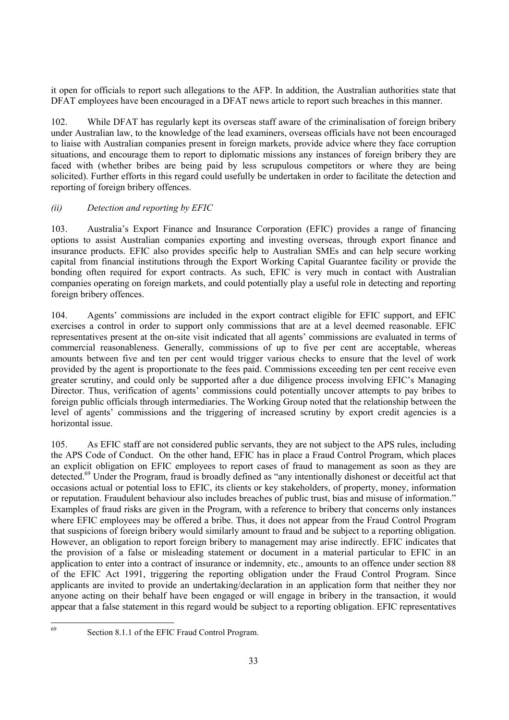it open for officials to report such allegations to the AFP. In addition, the Australian authorities state that DFAT employees have been encouraged in a DFAT news article to report such breaches in this manner.

102. While DFAT has regularly kept its overseas staff aware of the criminalisation of foreign bribery under Australian law, to the knowledge of the lead examiners, overseas officials have not been encouraged to liaise with Australian companies present in foreign markets, provide advice where they face corruption situations, and encourage them to report to diplomatic missions any instances of foreign bribery they are faced with (whether bribes are being paid by less scrupulous competitors or where they are being solicited). Further efforts in this regard could usefully be undertaken in order to facilitate the detection and reporting of foreign bribery offences.

# *(ii) Detection and reporting by EFIC*

103. Australia's Export Finance and Insurance Corporation (EFIC) provides a range of financing options to assist Australian companies exporting and investing overseas, through export finance and insurance products. EFIC also provides specific help to Australian SMEs and can help secure working capital from financial institutions through the Export Working Capital Guarantee facility or provide the bonding often required for export contracts. As such, EFIC is very much in contact with Australian companies operating on foreign markets, and could potentially play a useful role in detecting and reporting foreign bribery offences.

104. Agents' commissions are included in the export contract eligible for EFIC support, and EFIC exercises a control in order to support only commissions that are at a level deemed reasonable. EFIC representatives present at the on-site visit indicated that all agents' commissions are evaluated in terms of commercial reasonableness. Generally, commissions of up to five per cent are acceptable, whereas amounts between five and ten per cent would trigger various checks to ensure that the level of work provided by the agent is proportionate to the fees paid. Commissions exceeding ten per cent receive even greater scrutiny, and could only be supported after a due diligence process involving EFIC's Managing Director. Thus, verification of agents' commissions could potentially uncover attempts to pay bribes to foreign public officials through intermediaries. The Working Group noted that the relationship between the level of agents' commissions and the triggering of increased scrutiny by export credit agencies is a horizontal issue.

105. As EFIC staff are not considered public servants, they are not subject to the APS rules, including the APS Code of Conduct. On the other hand, EFIC has in place a Fraud Control Program, which places an explicit obligation on EFIC employees to report cases of fraud to management as soon as they are detected.<sup>69</sup> Under the Program, fraud is broadly defined as "any intentionally dishonest or deceitful act that occasions actual or potential loss to EFIC, its clients or key stakeholders, of property, money, information or reputation. Fraudulent behaviour also includes breaches of public trust, bias and misuse of information." Examples of fraud risks are given in the Program, with a reference to bribery that concerns only instances where EFIC employees may be offered a bribe. Thus, it does not appear from the Fraud Control Program that suspicions of foreign bribery would similarly amount to fraud and be subject to a reporting obligation. However, an obligation to report foreign bribery to management may arise indirectly. EFIC indicates that the provision of a false or misleading statement or document in a material particular to EFIC in an application to enter into a contract of insurance or indemnity, etc., amounts to an offence under section 88 of the EFIC Act 1991, triggering the reporting obligation under the Fraud Control Program. Since applicants are invited to provide an undertaking/declaration in an application form that neither they nor anyone acting on their behalf have been engaged or will engage in bribery in the transaction, it would appear that a false statement in this regard would be subject to a reporting obligation. EFIC representatives

<sup>69</sup> 

Section 8.1.1 of the EFIC Fraud Control Program.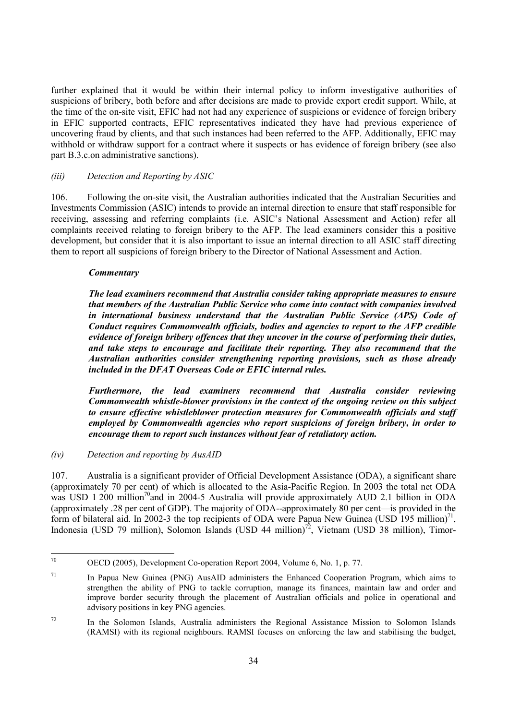further explained that it would be within their internal policy to inform investigative authorities of suspicions of bribery, both before and after decisions are made to provide export credit support. While, at the time of the on-site visit, EFIC had not had any experience of suspicions or evidence of foreign bribery in EFIC supported contracts, EFIC representatives indicated they have had previous experience of uncovering fraud by clients, and that such instances had been referred to the AFP. Additionally, EFIC may withhold or withdraw support for a contract where it suspects or has evidence of foreign bribery (see also part B.3.c.on administrative sanctions).

# *(iii) Detection and Reporting by ASIC*

106. Following the on-site visit, the Australian authorities indicated that the Australian Securities and Investments Commission (ASIC) intends to provide an internal direction to ensure that staff responsible for receiving, assessing and referring complaints (i.e. ASIC's National Assessment and Action) refer all complaints received relating to foreign bribery to the AFP. The lead examiners consider this a positive development, but consider that it is also important to issue an internal direction to all ASIC staff directing them to report all suspicions of foreign bribery to the Director of National Assessment and Action.

# *Commentary*

*The lead examiners recommend that Australia consider taking appropriate measures to ensure that members of the Australian Public Service who come into contact with companies involved in international business understand that the Australian Public Service (APS) Code of Conduct requires Commonwealth officials, bodies and agencies to report to the AFP credible evidence of foreign bribery offences that they uncover in the course of performing their duties, and take steps to encourage and facilitate their reporting. They also recommend that the Australian authorities consider strengthening reporting provisions, such as those already included in the DFAT Overseas Code or EFIC internal rules.* 

*Furthermore, the lead examiners recommend that Australia consider reviewing Commonwealth whistle-blower provisions in the context of the ongoing review on this subject to ensure effective whistleblower protection measures for Commonwealth officials and staff employed by Commonwealth agencies who report suspicions of foreign bribery, in order to encourage them to report such instances without fear of retaliatory action.* 

*(iv) Detection and reporting by AusAID* 

107. Australia is a significant provider of Official Development Assistance (ODA), a significant share (approximately 70 per cent) of which is allocated to the Asia-Pacific Region. In 2003 the total net ODA was USD 1 200 million<sup>70</sup>and in 2004-5 Australia will provide approximately AUD 2.1 billion in ODA (approximately .28 per cent of GDP). The majority of ODA--approximately 80 per cent—is provided in the form of bilateral aid. In 2002-3 the top recipients of ODA were Papua New Guinea (USD 195 million)<sup>71</sup>, Indonesia (USD 79 million), Solomon Islands (USD 44 million)<sup>72</sup>, Vietnam (USD 38 million), Timor-

 $70^{\circ}$ 70 OECD (2005), Development Co-operation Report 2004, Volume 6, No. 1, p. 77.

 $71$  In Papua New Guinea (PNG) AusAID administers the Enhanced Cooperation Program, which aims to strengthen the ability of PNG to tackle corruption, manage its finances, maintain law and order and improve border security through the placement of Australian officials and police in operational and advisory positions in key PNG agencies.

<sup>72</sup> In the Solomon Islands, Australia administers the Regional Assistance Mission to Solomon Islands (RAMSI) with its regional neighbours. RAMSI focuses on enforcing the law and stabilising the budget,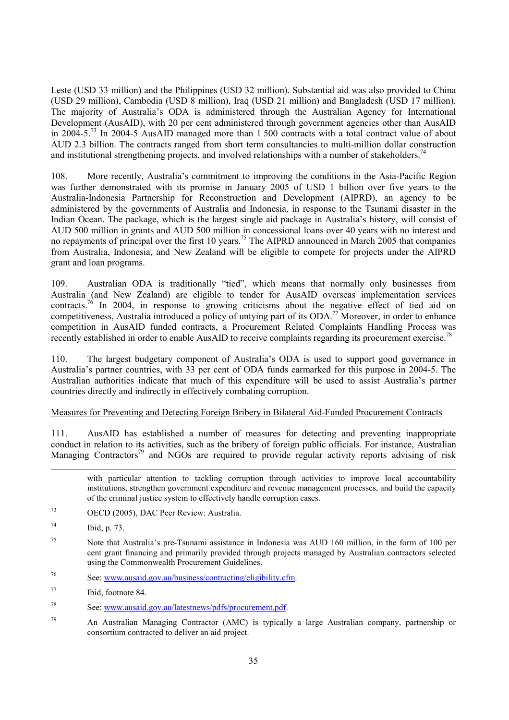Leste (USD 33 million) and the Philippines (USD 32 million). Substantial aid was also provided to China (USD 29 million), Cambodia (USD 8 million), Iraq (USD 21 million) and Bangladesh (USD 17 million). The majority of Australia's ODA is administered through the Australian Agency for International Development (AusAID), with 20 per cent administered through government agencies other than AusAID in 2004-5.<sup>73</sup> In 2004-5 AusAID managed more than 1 500 contracts with a total contract value of about AUD 2.3 billion. The contracts ranged from short term consultancies to multi-million dollar construction and institutional strengthening projects, and involved relationships with a number of stakeholders.<sup>74</sup>

108. More recently, Australia's commitment to improving the conditions in the Asia-Pacific Region was further demonstrated with its promise in January 2005 of USD 1 billion over five years to the Australia-Indonesia Partnership for Reconstruction and Development (AIPRD), an agency to be administered by the governments of Australia and Indonesia, in response to the Tsunami disaster in the Indian Ocean. The package, which is the largest single aid package in Australia's history, will consist of AUD 500 million in grants and AUD 500 million in concessional loans over 40 years with no interest and no repayments of principal over the first 10 years.<sup>75</sup> The AIPRD announced in March 2005 that companies from Australia, Indonesia, and New Zealand will be eligible to compete for projects under the AIPRD grant and loan programs.

109. Australian ODA is traditionally "tied", which means that normally only businesses from Australia (and New Zealand) are eligible to tender for AusAID overseas implementation services contracts.<sup>76</sup> In 2004, in response to growing criticisms about the negative effect of tied aid on competitiveness, Australia introduced a policy of untying part of its ODA.<sup>77</sup> Moreover, in order to enhance competition in AusAID funded contracts, a Procurement Related Complaints Handling Process was recently established in order to enable AusAID to receive complaints regarding its procurement exercise.<sup>78</sup>

110. The largest budgetary component of Australia's ODA is used to support good governance in Australia's partner countries, with 33 per cent of ODA funds earmarked for this purpose in 2004-5. The Australian authorities indicate that much of this expenditure will be used to assist Australia's partner countries directly and indirectly in effectively combating corruption.

#### Measures for Preventing and Detecting Foreign Bribery in Bilateral Aid-Funded Procurement Contracts

111. AusAID has established a number of measures for detecting and preventing inappropriate conduct in relation to its activities, such as the bribery of foreign public officials. For instance, Australian Managing Contractors<sup>79</sup> and NGOs are required to provide regular activity reports advising of risk

with particular attention to tackling corruption through activities to improve local accountability institutions, strengthen government expenditure and revenue management processes, and build the capacity of the criminal justice system to effectively handle corruption cases.

73 OECD (2005), DAC Peer Review: Australia.

1

76 See: www.ausaid.gov.au/business/contracting/eligibility.cfm.

- 78 See: www.ausaid.gov.au/latestnews/pdfs/procurement.pdf.
- 79 An Australian Managing Contractor (AMC) is typically a large Australian company, partnership or consortium contracted to deliver an aid project.

<sup>74</sup> Ibid, p. 73.

<sup>75</sup> Note that Australia's pre-Tsunami assistance in Indonesia was AUD 160 million, in the form of 100 per cent grant financing and primarily provided through projects managed by Australian contractors selected using the Commonwealth Procurement Guidelines.

<sup>77</sup> Ibid, footnote 84.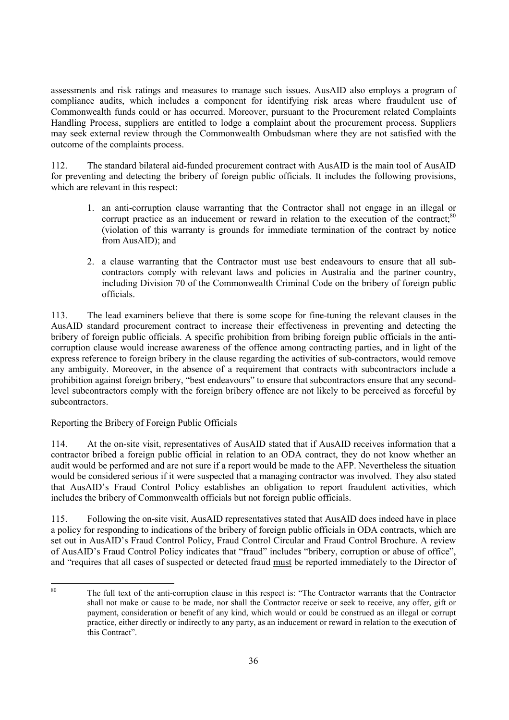assessments and risk ratings and measures to manage such issues. AusAID also employs a program of compliance audits, which includes a component for identifying risk areas where fraudulent use of Commonwealth funds could or has occurred. Moreover, pursuant to the Procurement related Complaints Handling Process, suppliers are entitled to lodge a complaint about the procurement process. Suppliers may seek external review through the Commonwealth Ombudsman where they are not satisfied with the outcome of the complaints process.

112. The standard bilateral aid-funded procurement contract with AusAID is the main tool of AusAID for preventing and detecting the bribery of foreign public officials. It includes the following provisions, which are relevant in this respect:

- 1. an anti-corruption clause warranting that the Contractor shall not engage in an illegal or corrupt practice as an inducement or reward in relation to the execution of the contract: $80$ (violation of this warranty is grounds for immediate termination of the contract by notice from AusAID); and
- 2. a clause warranting that the Contractor must use best endeavours to ensure that all subcontractors comply with relevant laws and policies in Australia and the partner country, including Division 70 of the Commonwealth Criminal Code on the bribery of foreign public officials.

113. The lead examiners believe that there is some scope for fine-tuning the relevant clauses in the AusAID standard procurement contract to increase their effectiveness in preventing and detecting the bribery of foreign public officials. A specific prohibition from bribing foreign public officials in the anticorruption clause would increase awareness of the offence among contracting parties, and in light of the express reference to foreign bribery in the clause regarding the activities of sub-contractors, would remove any ambiguity. Moreover, in the absence of a requirement that contracts with subcontractors include a prohibition against foreign bribery, "best endeavours" to ensure that subcontractors ensure that any secondlevel subcontractors comply with the foreign bribery offence are not likely to be perceived as forceful by subcontractors.

# Reporting the Bribery of Foreign Public Officials

114. At the on-site visit, representatives of AusAID stated that if AusAID receives information that a contractor bribed a foreign public official in relation to an ODA contract, they do not know whether an audit would be performed and are not sure if a report would be made to the AFP. Nevertheless the situation would be considered serious if it were suspected that a managing contractor was involved. They also stated that AusAID's Fraud Control Policy establishes an obligation to report fraudulent activities, which includes the bribery of Commonwealth officials but not foreign public officials.

115. Following the on-site visit, AusAID representatives stated that AusAID does indeed have in place a policy for responding to indications of the bribery of foreign public officials in ODA contracts, which are set out in AusAID's Fraud Control Policy, Fraud Control Circular and Fraud Control Brochure. A review of AusAID's Fraud Control Policy indicates that "fraud" includes "bribery, corruption or abuse of office", and "requires that all cases of suspected or detected fraud must be reported immediately to the Director of

 $80$ 80 The full text of the anti-corruption clause in this respect is: "The Contractor warrants that the Contractor shall not make or cause to be made, nor shall the Contractor receive or seek to receive, any offer, gift or payment, consideration or benefit of any kind, which would or could be construed as an illegal or corrupt practice, either directly or indirectly to any party, as an inducement or reward in relation to the execution of this Contract".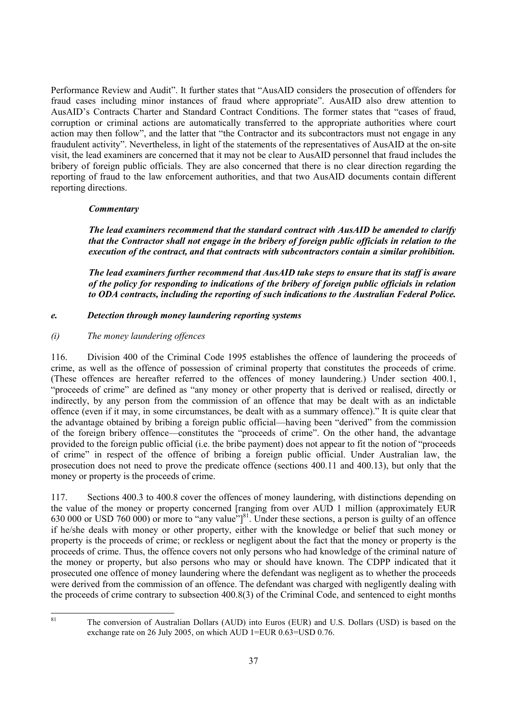Performance Review and Audit". It further states that "AusAID considers the prosecution of offenders for fraud cases including minor instances of fraud where appropriate". AusAID also drew attention to AusAID's Contracts Charter and Standard Contract Conditions. The former states that "cases of fraud, corruption or criminal actions are automatically transferred to the appropriate authorities where court action may then follow", and the latter that "the Contractor and its subcontractors must not engage in any fraudulent activity". Nevertheless, in light of the statements of the representatives of AusAID at the on-site visit, the lead examiners are concerned that it may not be clear to AusAID personnel that fraud includes the bribery of foreign public officials. They are also concerned that there is no clear direction regarding the reporting of fraud to the law enforcement authorities, and that two AusAID documents contain different reporting directions.

# *Commentary*

*The lead examiners recommend that the standard contract with AusAID be amended to clarify that the Contractor shall not engage in the bribery of foreign public officials in relation to the execution of the contract, and that contracts with subcontractors contain a similar prohibition.* 

*The lead examiners further recommend that AusAID take steps to ensure that its staff is aware of the policy for responding to indications of the bribery of foreign public officials in relation to ODA contracts, including the reporting of such indications to the Australian Federal Police.* 

# *e. Detection through money laundering reporting systems*

# *(i) The money laundering offences*

116. Division 400 of the Criminal Code 1995 establishes the offence of laundering the proceeds of crime, as well as the offence of possession of criminal property that constitutes the proceeds of crime. (These offences are hereafter referred to the offences of money laundering.) Under section 400.1, "proceeds of crime" are defined as "any money or other property that is derived or realised, directly or indirectly, by any person from the commission of an offence that may be dealt with as an indictable offence (even if it may, in some circumstances, be dealt with as a summary offence)." It is quite clear that the advantage obtained by bribing a foreign public official—having been "derived" from the commission of the foreign bribery offence—constitutes the "proceeds of crime". On the other hand, the advantage provided to the foreign public official (i.e. the bribe payment) does not appear to fit the notion of "proceeds of crime" in respect of the offence of bribing a foreign public official. Under Australian law, the prosecution does not need to prove the predicate offence (sections 400.11 and 400.13), but only that the money or property is the proceeds of crime.

117. Sections 400.3 to 400.8 cover the offences of money laundering, with distinctions depending on the value of the money or property concerned [ranging from over AUD 1 million (approximately EUR 630 000 or USD 760 000) or more to "any value" $\vert$ <sup>81</sup>. Under these sections, a person is guilty of an offence if he/she deals with money or other property, either with the knowledge or belief that such money or property is the proceeds of crime; or reckless or negligent about the fact that the money or property is the proceeds of crime. Thus, the offence covers not only persons who had knowledge of the criminal nature of the money or property, but also persons who may or should have known. The CDPP indicated that it prosecuted one offence of money laundering where the defendant was negligent as to whether the proceeds were derived from the commission of an offence. The defendant was charged with negligently dealing with the proceeds of crime contrary to subsection 400.8(3) of the Criminal Code, and sentenced to eight months

81

<sup>81</sup> The conversion of Australian Dollars (AUD) into Euros (EUR) and U.S. Dollars (USD) is based on the exchange rate on 26 July 2005, on which AUD 1=EUR 0.63=USD 0.76.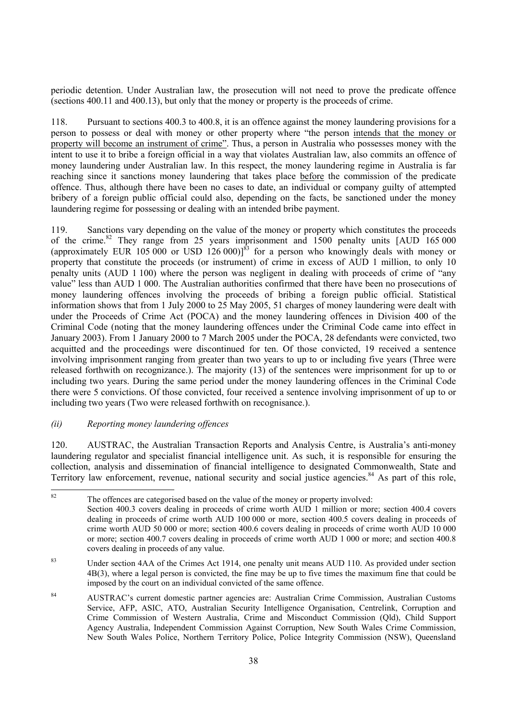periodic detention. Under Australian law, the prosecution will not need to prove the predicate offence (sections 400.11 and 400.13), but only that the money or property is the proceeds of crime.

118. Pursuant to sections 400.3 to 400.8, it is an offence against the money laundering provisions for a person to possess or deal with money or other property where "the person intends that the money or property will become an instrument of crime". Thus, a person in Australia who possesses money with the intent to use it to bribe a foreign official in a way that violates Australian law, also commits an offence of money laundering under Australian law. In this respect, the money laundering regime in Australia is far reaching since it sanctions money laundering that takes place before the commission of the predicate offence. Thus, although there have been no cases to date, an individual or company guilty of attempted bribery of a foreign public official could also, depending on the facts, be sanctioned under the money laundering regime for possessing or dealing with an intended bribe payment.

119. Sanctions vary depending on the value of the money or property which constitutes the proceeds of the crime.<sup>82</sup> They range from 25 years imprisonment and 1500 penalty units [AUD 165 000 (approximately EUR 105 000 or USD 126 000)]<sup>83</sup> for a person who knowingly deals with money or property that constitute the proceeds (or instrument) of crime in excess of AUD 1 million, to only 10 penalty units (AUD 1 100) where the person was negligent in dealing with proceeds of crime of "any value" less than AUD 1 000. The Australian authorities confirmed that there have been no prosecutions of money laundering offences involving the proceeds of bribing a foreign public official. Statistical information shows that from 1 July 2000 to 25 May 2005, 51 charges of money laundering were dealt with under the Proceeds of Crime Act (POCA) and the money laundering offences in Division 400 of the Criminal Code (noting that the money laundering offences under the Criminal Code came into effect in January 2003). From 1 January 2000 to 7 March 2005 under the POCA, 28 defendants were convicted, two acquitted and the proceedings were discontinued for ten. Of those convicted, 19 received a sentence involving imprisonment ranging from greater than two years to up to or including five years (Three were released forthwith on recognizance.). The majority (13) of the sentences were imprisonment for up to or including two years. During the same period under the money laundering offences in the Criminal Code there were 5 convictions. Of those convicted, four received a sentence involving imprisonment of up to or including two years (Two were released forthwith on recognisance.).

# *(ii) Reporting money laundering offences*

120. AUSTRAC, the Australian Transaction Reports and Analysis Centre, is Australia's anti-money laundering regulator and specialist financial intelligence unit. As such, it is responsible for ensuring the collection, analysis and dissemination of financial intelligence to designated Commonwealth, State and Territory law enforcement, revenue, national security and social justice agencies.<sup>84</sup> As part of this role,

 $82$ The offences are categorised based on the value of the money or property involved: Section 400.3 covers dealing in proceeds of crime worth AUD 1 million or more; section 400.4 covers dealing in proceeds of crime worth AUD 100 000 or more, section 400.5 covers dealing in proceeds of crime worth AUD 50 000 or more; section 400.6 covers dealing in proceeds of crime worth AUD 10 000 or more; section 400.7 covers dealing in proceeds of crime worth AUD 1 000 or more; and section 400.8 covers dealing in proceeds of any value.

<sup>&</sup>lt;sup>83</sup> Under section 4AA of the Crimes Act 1914, one penalty unit means AUD 110. As provided under section 4B(3), where a legal person is convicted, the fine may be up to five times the maximum fine that could be imposed by the court on an individual convicted of the same offence.

<sup>84</sup> AUSTRAC's current domestic partner agencies are: Australian Crime Commission, Australian Customs Service, AFP, ASIC, ATO, Australian Security Intelligence Organisation, Centrelink, Corruption and Crime Commission of Western Australia, Crime and Misconduct Commission (Qld), Child Support Agency Australia, Independent Commission Against Corruption, New South Wales Crime Commission, New South Wales Police, Northern Territory Police, Police Integrity Commission (NSW), Queensland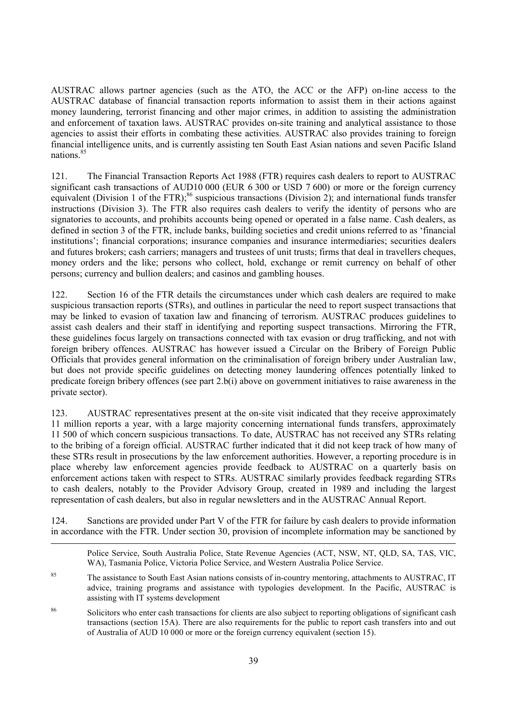AUSTRAC allows partner agencies (such as the ATO, the ACC or the AFP) on-line access to the AUSTRAC database of financial transaction reports information to assist them in their actions against money laundering, terrorist financing and other major crimes, in addition to assisting the administration and enforcement of taxation laws. AUSTRAC provides on-site training and analytical assistance to those agencies to assist their efforts in combating these activities. AUSTRAC also provides training to foreign financial intelligence units, and is currently assisting ten South East Asian nations and seven Pacific Island nations.<sup>85</sup>

121. The Financial Transaction Reports Act 1988 (FTR) requires cash dealers to report to AUSTRAC significant cash transactions of AUD10 000 (EUR 6 300 or USD 7 600) or more or the foreign currency equivalent (Division 1 of the FTR);<sup>86</sup> suspicious transactions (Division 2); and international funds transfer instructions (Division 3). The FTR also requires cash dealers to verify the identity of persons who are signatories to accounts, and prohibits accounts being opened or operated in a false name. Cash dealers, as defined in section 3 of the FTR, include banks, building societies and credit unions referred to as 'financial institutions'; financial corporations; insurance companies and insurance intermediaries; securities dealers and futures brokers; cash carriers; managers and trustees of unit trusts; firms that deal in travellers cheques, money orders and the like; persons who collect, hold, exchange or remit currency on behalf of other persons; currency and bullion dealers; and casinos and gambling houses.

122. Section 16 of the FTR details the circumstances under which cash dealers are required to make suspicious transaction reports (STRs), and outlines in particular the need to report suspect transactions that may be linked to evasion of taxation law and financing of terrorism. AUSTRAC produces guidelines to assist cash dealers and their staff in identifying and reporting suspect transactions. Mirroring the FTR, these guidelines focus largely on transactions connected with tax evasion or drug trafficking, and not with foreign bribery offences. AUSTRAC has however issued a Circular on the Bribery of Foreign Public Officials that provides general information on the criminalisation of foreign bribery under Australian law, but does not provide specific guidelines on detecting money laundering offences potentially linked to predicate foreign bribery offences (see part 2.b(i) above on government initiatives to raise awareness in the private sector).

123. AUSTRAC representatives present at the on-site visit indicated that they receive approximately 11 million reports a year, with a large majority concerning international funds transfers, approximately 11 500 of which concern suspicious transactions. To date, AUSTRAC has not received any STRs relating to the bribing of a foreign official. AUSTRAC further indicated that it did not keep track of how many of these STRs result in prosecutions by the law enforcement authorities. However, a reporting procedure is in place whereby law enforcement agencies provide feedback to AUSTRAC on a quarterly basis on enforcement actions taken with respect to STRs. AUSTRAC similarly provides feedback regarding STRs to cash dealers, notably to the Provider Advisory Group, created in 1989 and including the largest representation of cash dealers, but also in regular newsletters and in the AUSTRAC Annual Report.

124. Sanctions are provided under Part V of the FTR for failure by cash dealers to provide information in accordance with the FTR. Under section 30, provision of incomplete information may be sanctioned by

1

Police Service, South Australia Police, State Revenue Agencies (ACT, NSW, NT, QLD, SA, TAS, VIC, WA), Tasmania Police, Victoria Police Service, and Western Australia Police Service.

<sup>85</sup> The assistance to South East Asian nations consists of in-country mentoring, attachments to AUSTRAC, IT advice, training programs and assistance with typologies development. In the Pacific, AUSTRAC is assisting with IT systems development

86 Solicitors who enter cash transactions for clients are also subject to reporting obligations of significant cash transactions (section 15A). There are also requirements for the public to report cash transfers into and out of Australia of AUD 10 000 or more or the foreign currency equivalent (section 15).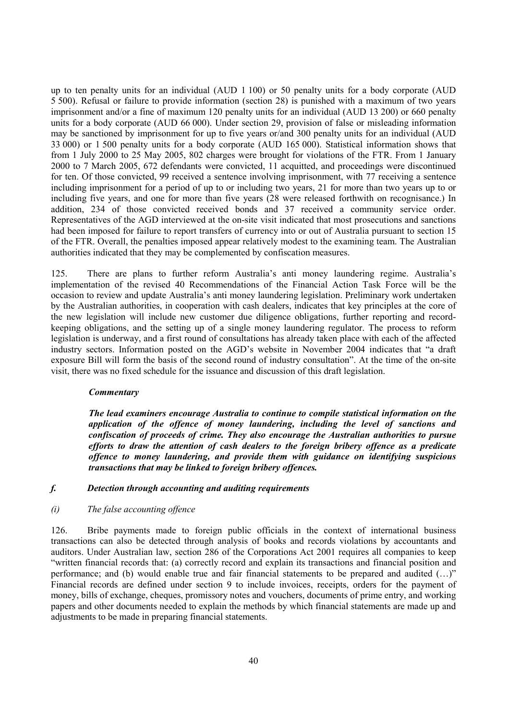up to ten penalty units for an individual (AUD 1 100) or 50 penalty units for a body corporate (AUD 5 500). Refusal or failure to provide information (section 28) is punished with a maximum of two years imprisonment and/or a fine of maximum 120 penalty units for an individual (AUD 13 200) or 660 penalty units for a body corporate (AUD 66 000). Under section 29, provision of false or misleading information may be sanctioned by imprisonment for up to five years or/and 300 penalty units for an individual (AUD 33 000) or 1 500 penalty units for a body corporate (AUD 165 000). Statistical information shows that from 1 July 2000 to 25 May 2005, 802 charges were brought for violations of the FTR. From 1 January 2000 to 7 March 2005, 672 defendants were convicted, 11 acquitted, and proceedings were discontinued for ten. Of those convicted, 99 received a sentence involving imprisonment, with 77 receiving a sentence including imprisonment for a period of up to or including two years, 21 for more than two years up to or including five years, and one for more than five years (28 were released forthwith on recognisance.) In addition, 234 of those convicted received bonds and 37 received a community service order. Representatives of the AGD interviewed at the on-site visit indicated that most prosecutions and sanctions had been imposed for failure to report transfers of currency into or out of Australia pursuant to section 15 of the FTR. Overall, the penalties imposed appear relatively modest to the examining team. The Australian authorities indicated that they may be complemented by confiscation measures.

125. There are plans to further reform Australia's anti money laundering regime. Australia's implementation of the revised 40 Recommendations of the Financial Action Task Force will be the occasion to review and update Australia's anti money laundering legislation. Preliminary work undertaken by the Australian authorities, in cooperation with cash dealers, indicates that key principles at the core of the new legislation will include new customer due diligence obligations, further reporting and recordkeeping obligations, and the setting up of a single money laundering regulator. The process to reform legislation is underway, and a first round of consultations has already taken place with each of the affected industry sectors. Information posted on the AGD's website in November 2004 indicates that "a draft exposure Bill will form the basis of the second round of industry consultation". At the time of the on-site visit, there was no fixed schedule for the issuance and discussion of this draft legislation.

#### *Commentary*

*The lead examiners encourage Australia to continue to compile statistical information on the application of the offence of money laundering, including the level of sanctions and confiscation of proceeds of crime. They also encourage the Australian authorities to pursue efforts to draw the attention of cash dealers to the foreign bribery offence as a predicate offence to money laundering, and provide them with guidance on identifying suspicious transactions that may be linked to foreign bribery offences.* 

#### *f. Detection through accounting and auditing requirements*

### *(i) The false accounting offence*

126. Bribe payments made to foreign public officials in the context of international business transactions can also be detected through analysis of books and records violations by accountants and auditors. Under Australian law, section 286 of the Corporations Act 2001 requires all companies to keep "written financial records that: (a) correctly record and explain its transactions and financial position and performance; and (b) would enable true and fair financial statements to be prepared and audited (…)" Financial records are defined under section 9 to include invoices, receipts, orders for the payment of money, bills of exchange, cheques, promissory notes and vouchers, documents of prime entry, and working papers and other documents needed to explain the methods by which financial statements are made up and adjustments to be made in preparing financial statements.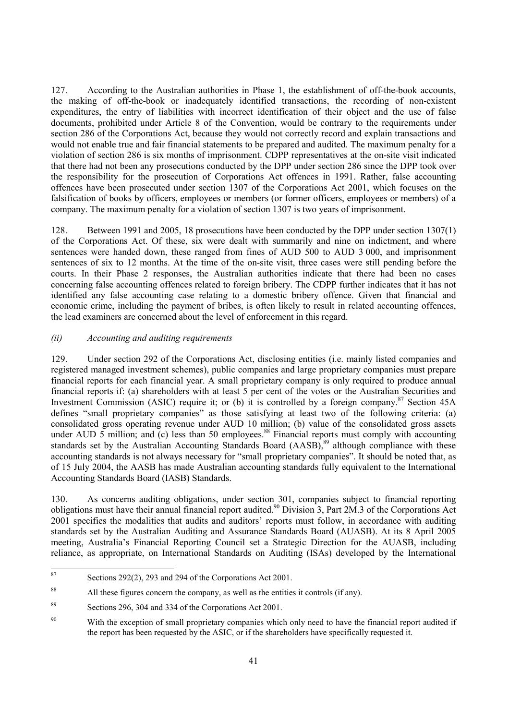127. According to the Australian authorities in Phase 1, the establishment of off-the-book accounts, the making of off-the-book or inadequately identified transactions, the recording of non-existent expenditures, the entry of liabilities with incorrect identification of their object and the use of false documents, prohibited under Article 8 of the Convention, would be contrary to the requirements under section 286 of the Corporations Act, because they would not correctly record and explain transactions and would not enable true and fair financial statements to be prepared and audited. The maximum penalty for a violation of section 286 is six months of imprisonment. CDPP representatives at the on-site visit indicated that there had not been any prosecutions conducted by the DPP under section 286 since the DPP took over the responsibility for the prosecution of Corporations Act offences in 1991. Rather, false accounting offences have been prosecuted under section 1307 of the Corporations Act 2001, which focuses on the falsification of books by officers, employees or members (or former officers, employees or members) of a company. The maximum penalty for a violation of section 1307 is two years of imprisonment.

128. Between 1991 and 2005, 18 prosecutions have been conducted by the DPP under section 1307(1) of the Corporations Act. Of these, six were dealt with summarily and nine on indictment, and where sentences were handed down, these ranged from fines of AUD 500 to AUD 3 000, and imprisonment sentences of six to 12 months. At the time of the on-site visit, three cases were still pending before the courts. In their Phase 2 responses, the Australian authorities indicate that there had been no cases concerning false accounting offences related to foreign bribery. The CDPP further indicates that it has not identified any false accounting case relating to a domestic bribery offence. Given that financial and economic crime, including the payment of bribes, is often likely to result in related accounting offences, the lead examiners are concerned about the level of enforcement in this regard.

# *(ii) Accounting and auditing requirements*

129. Under section 292 of the Corporations Act, disclosing entities (i.e. mainly listed companies and registered managed investment schemes), public companies and large proprietary companies must prepare financial reports for each financial year. A small proprietary company is only required to produce annual financial reports if: (a) shareholders with at least 5 per cent of the votes or the Australian Securities and Investment Commission (ASIC) require it; or (b) it is controlled by a foreign company.<sup>87</sup> Section 45A defines "small proprietary companies" as those satisfying at least two of the following criteria: (a) consolidated gross operating revenue under AUD 10 million; (b) value of the consolidated gross assets under AUD 5 million; and (c) less than 50 employees.<sup>88</sup> Financial reports must comply with accounting standards set by the Australian Accounting Standards Board (AASB),<sup>89</sup> although compliance with these accounting standards is not always necessary for "small proprietary companies". It should be noted that, as of 15 July 2004, the AASB has made Australian accounting standards fully equivalent to the International Accounting Standards Board (IASB) Standards.

130. As concerns auditing obligations, under section 301, companies subject to financial reporting obligations must have their annual financial report audited.90 Division 3, Part 2M.3 of the Corporations Act 2001 specifies the modalities that audits and auditors' reports must follow, in accordance with auditing standards set by the Australian Auditing and Assurance Standards Board (AUASB). At its 8 April 2005 meeting, Australia's Financial Reporting Council set a Strategic Direction for the AUASB, including reliance, as appropriate, on International Standards on Auditing (ISAs) developed by the International

<sup>87</sup> Sections  $292(2)$ , 293 and 294 of the Corporations Act 2001.

<sup>&</sup>lt;sup>88</sup> All these figures concern the company, as well as the entities it controls (if any).

<sup>89</sup> Sections 296, 304 and 334 of the Corporations Act 2001.

<sup>&</sup>lt;sup>90</sup> With the exception of small proprietary companies which only need to have the financial report audited if the report has been requested by the ASIC, or if the shareholders have specifically requested it.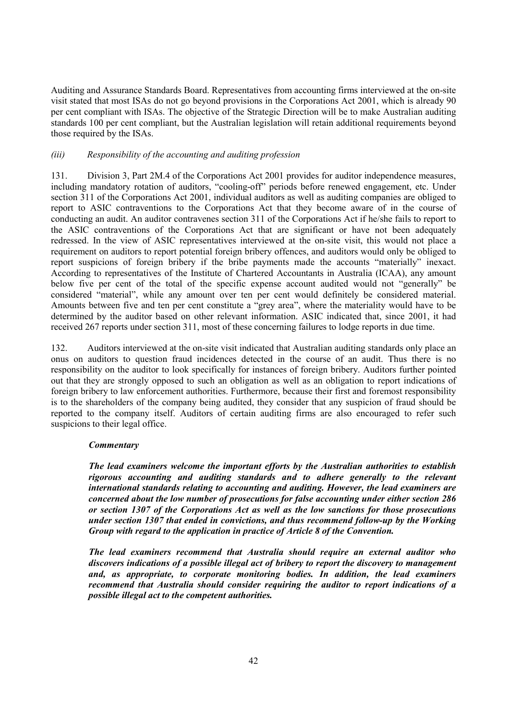Auditing and Assurance Standards Board. Representatives from accounting firms interviewed at the on-site visit stated that most ISAs do not go beyond provisions in the Corporations Act 2001, which is already 90 per cent compliant with ISAs. The objective of the Strategic Direction will be to make Australian auditing standards 100 per cent compliant, but the Australian legislation will retain additional requirements beyond those required by the ISAs.

# *(iii) Responsibility of the accounting and auditing profession*

131. Division 3, Part 2M.4 of the Corporations Act 2001 provides for auditor independence measures, including mandatory rotation of auditors, "cooling-off" periods before renewed engagement, etc. Under section 311 of the Corporations Act 2001, individual auditors as well as auditing companies are obliged to report to ASIC contraventions to the Corporations Act that they become aware of in the course of conducting an audit. An auditor contravenes section 311 of the Corporations Act if he/she fails to report to the ASIC contraventions of the Corporations Act that are significant or have not been adequately redressed. In the view of ASIC representatives interviewed at the on-site visit, this would not place a requirement on auditors to report potential foreign bribery offences, and auditors would only be obliged to report suspicions of foreign bribery if the bribe payments made the accounts "materially" inexact. According to representatives of the Institute of Chartered Accountants in Australia (ICAA), any amount below five per cent of the total of the specific expense account audited would not "generally" be considered "material", while any amount over ten per cent would definitely be considered material. Amounts between five and ten per cent constitute a "grey area", where the materiality would have to be determined by the auditor based on other relevant information. ASIC indicated that, since 2001, it had received 267 reports under section 311, most of these concerning failures to lodge reports in due time.

132. Auditors interviewed at the on-site visit indicated that Australian auditing standards only place an onus on auditors to question fraud incidences detected in the course of an audit. Thus there is no responsibility on the auditor to look specifically for instances of foreign bribery. Auditors further pointed out that they are strongly opposed to such an obligation as well as an obligation to report indications of foreign bribery to law enforcement authorities. Furthermore, because their first and foremost responsibility is to the shareholders of the company being audited, they consider that any suspicion of fraud should be reported to the company itself. Auditors of certain auditing firms are also encouraged to refer such suspicions to their legal office.

#### *Commentary*

*The lead examiners welcome the important efforts by the Australian authorities to establish rigorous accounting and auditing standards and to adhere generally to the relevant international standards relating to accounting and auditing. However, the lead examiners are concerned about the low number of prosecutions for false accounting under either section 286 or section 1307 of the Corporations Act as well as the low sanctions for those prosecutions under section 1307 that ended in convictions, and thus recommend follow-up by the Working Group with regard to the application in practice of Article 8 of the Convention.* 

*The lead examiners recommend that Australia should require an external auditor who discovers indications of a possible illegal act of bribery to report the discovery to management and, as appropriate, to corporate monitoring bodies. In addition, the lead examiners recommend that Australia should consider requiring the auditor to report indications of a possible illegal act to the competent authorities.*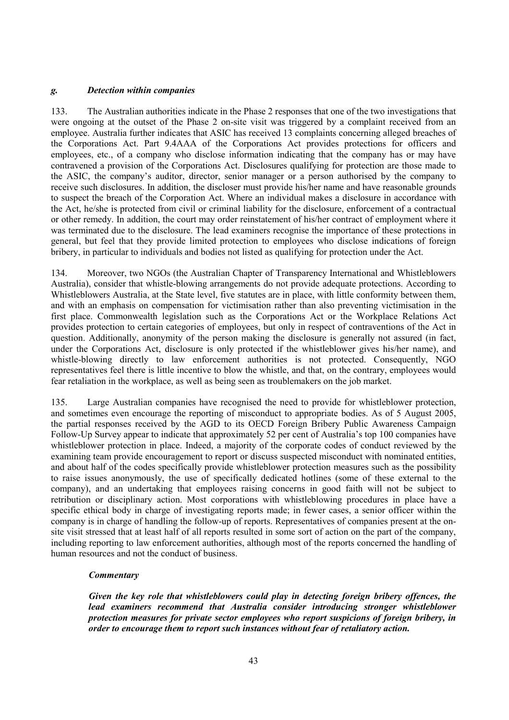# *g. Detection within companies*

133. The Australian authorities indicate in the Phase 2 responses that one of the two investigations that were ongoing at the outset of the Phase 2 on-site visit was triggered by a complaint received from an employee. Australia further indicates that ASIC has received 13 complaints concerning alleged breaches of the Corporations Act. Part 9.4AAA of the Corporations Act provides protections for officers and employees, etc., of a company who disclose information indicating that the company has or may have contravened a provision of the Corporations Act. Disclosures qualifying for protection are those made to the ASIC, the company's auditor, director, senior manager or a person authorised by the company to receive such disclosures. In addition, the discloser must provide his/her name and have reasonable grounds to suspect the breach of the Corporation Act. Where an individual makes a disclosure in accordance with the Act, he/she is protected from civil or criminal liability for the disclosure, enforcement of a contractual or other remedy. In addition, the court may order reinstatement of his/her contract of employment where it was terminated due to the disclosure. The lead examiners recognise the importance of these protections in general, but feel that they provide limited protection to employees who disclose indications of foreign bribery, in particular to individuals and bodies not listed as qualifying for protection under the Act.

134. Moreover, two NGOs (the Australian Chapter of Transparency International and Whistleblowers Australia), consider that whistle-blowing arrangements do not provide adequate protections. According to Whistleblowers Australia, at the State level, five statutes are in place, with little conformity between them, and with an emphasis on compensation for victimisation rather than also preventing victimisation in the first place. Commonwealth legislation such as the Corporations Act or the Workplace Relations Act provides protection to certain categories of employees, but only in respect of contraventions of the Act in question. Additionally, anonymity of the person making the disclosure is generally not assured (in fact, under the Corporations Act, disclosure is only protected if the whistleblower gives his/her name), and whistle-blowing directly to law enforcement authorities is not protected. Consequently, NGO representatives feel there is little incentive to blow the whistle, and that, on the contrary, employees would fear retaliation in the workplace, as well as being seen as troublemakers on the job market.

135. Large Australian companies have recognised the need to provide for whistleblower protection, and sometimes even encourage the reporting of misconduct to appropriate bodies. As of 5 August 2005, the partial responses received by the AGD to its OECD Foreign Bribery Public Awareness Campaign Follow-Up Survey appear to indicate that approximately 52 per cent of Australia's top 100 companies have whistleblower protection in place. Indeed, a majority of the corporate codes of conduct reviewed by the examining team provide encouragement to report or discuss suspected misconduct with nominated entities, and about half of the codes specifically provide whistleblower protection measures such as the possibility to raise issues anonymously, the use of specifically dedicated hotlines (some of these external to the company), and an undertaking that employees raising concerns in good faith will not be subject to retribution or disciplinary action. Most corporations with whistleblowing procedures in place have a specific ethical body in charge of investigating reports made; in fewer cases, a senior officer within the company is in charge of handling the follow-up of reports. Representatives of companies present at the onsite visit stressed that at least half of all reports resulted in some sort of action on the part of the company, including reporting to law enforcement authorities, although most of the reports concerned the handling of human resources and not the conduct of business.

# *Commentary*

*Given the key role that whistleblowers could play in detecting foreign bribery offences, the lead examiners recommend that Australia consider introducing stronger whistleblower protection measures for private sector employees who report suspicions of foreign bribery, in order to encourage them to report such instances without fear of retaliatory action.*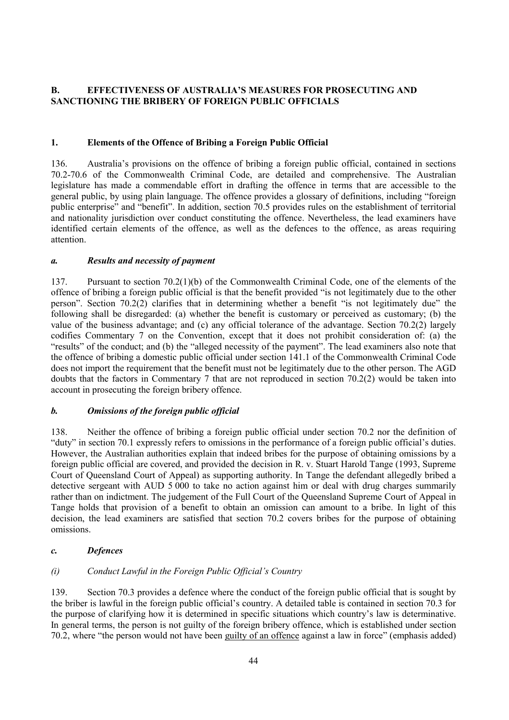# **B. EFFECTIVENESS OF AUSTRALIA'S MEASURES FOR PROSECUTING AND SANCTIONING THE BRIBERY OF FOREIGN PUBLIC OFFICIALS**

# **1. Elements of the Offence of Bribing a Foreign Public Official**

136. Australia's provisions on the offence of bribing a foreign public official, contained in sections 70.2-70.6 of the Commonwealth Criminal Code, are detailed and comprehensive. The Australian legislature has made a commendable effort in drafting the offence in terms that are accessible to the general public, by using plain language. The offence provides a glossary of definitions, including "foreign public enterprise" and "benefit". In addition, section 70.5 provides rules on the establishment of territorial and nationality jurisdiction over conduct constituting the offence. Nevertheless, the lead examiners have identified certain elements of the offence, as well as the defences to the offence, as areas requiring attention.

# *a. Results and necessity of payment*

137. Pursuant to section 70.2(1)(b) of the Commonwealth Criminal Code, one of the elements of the offence of bribing a foreign public official is that the benefit provided "is not legitimately due to the other person". Section 70.2(2) clarifies that in determining whether a benefit "is not legitimately due" the following shall be disregarded: (a) whether the benefit is customary or perceived as customary; (b) the value of the business advantage; and (c) any official tolerance of the advantage. Section 70.2(2) largely codifies Commentary 7 on the Convention, except that it does not prohibit consideration of: (a) the "results" of the conduct; and (b) the "alleged necessity of the payment". The lead examiners also note that the offence of bribing a domestic public official under section 141.1 of the Commonwealth Criminal Code does not import the requirement that the benefit must not be legitimately due to the other person. The AGD doubts that the factors in Commentary 7 that are not reproduced in section 70.2(2) would be taken into account in prosecuting the foreign bribery offence.

# *b. Omissions of the foreign public official*

138. Neither the offence of bribing a foreign public official under section 70.2 nor the definition of "duty" in section 70.1 expressly refers to omissions in the performance of a foreign public official's duties. However, the Australian authorities explain that indeed bribes for the purpose of obtaining omissions by a foreign public official are covered, and provided the decision in R. v. Stuart Harold Tange (1993, Supreme Court of Queensland Court of Appeal) as supporting authority. In Tange the defendant allegedly bribed a detective sergeant with AUD 5 000 to take no action against him or deal with drug charges summarily rather than on indictment. The judgement of the Full Court of the Queensland Supreme Court of Appeal in Tange holds that provision of a benefit to obtain an omission can amount to a bribe. In light of this decision, the lead examiners are satisfied that section 70.2 covers bribes for the purpose of obtaining omissions.

# *c. Defences*

# *(i) Conduct Lawful in the Foreign Public Official's Country*

139. Section 70.3 provides a defence where the conduct of the foreign public official that is sought by the briber is lawful in the foreign public official's country. A detailed table is contained in section 70.3 for the purpose of clarifying how it is determined in specific situations which country's law is determinative. In general terms, the person is not guilty of the foreign bribery offence, which is established under section 70.2, where "the person would not have been guilty of an offence against a law in force" (emphasis added)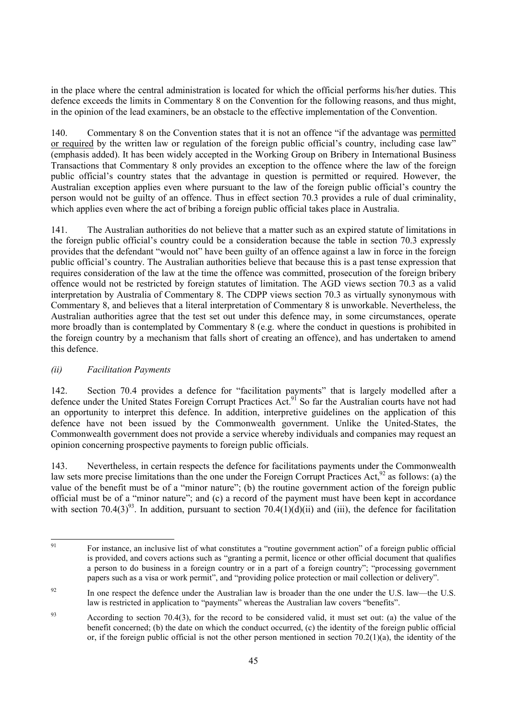in the place where the central administration is located for which the official performs his/her duties. This defence exceeds the limits in Commentary 8 on the Convention for the following reasons, and thus might, in the opinion of the lead examiners, be an obstacle to the effective implementation of the Convention.

140. Commentary 8 on the Convention states that it is not an offence "if the advantage was permitted or required by the written law or regulation of the foreign public official's country, including case law" (emphasis added). It has been widely accepted in the Working Group on Bribery in International Business Transactions that Commentary 8 only provides an exception to the offence where the law of the foreign public official's country states that the advantage in question is permitted or required. However, the Australian exception applies even where pursuant to the law of the foreign public official's country the person would not be guilty of an offence. Thus in effect section 70.3 provides a rule of dual criminality, which applies even where the act of bribing a foreign public official takes place in Australia.

141. The Australian authorities do not believe that a matter such as an expired statute of limitations in the foreign public official's country could be a consideration because the table in section 70.3 expressly provides that the defendant "would not" have been guilty of an offence against a law in force in the foreign public official's country. The Australian authorities believe that because this is a past tense expression that requires consideration of the law at the time the offence was committed, prosecution of the foreign bribery offence would not be restricted by foreign statutes of limitation. The AGD views section 70.3 as a valid interpretation by Australia of Commentary 8. The CDPP views section 70.3 as virtually synonymous with Commentary 8, and believes that a literal interpretation of Commentary 8 is unworkable. Nevertheless, the Australian authorities agree that the test set out under this defence may, in some circumstances, operate more broadly than is contemplated by Commentary 8 (e.g. where the conduct in questions is prohibited in the foreign country by a mechanism that falls short of creating an offence), and has undertaken to amend this defence.

# *(ii) Facilitation Payments*

142. Section 70.4 provides a defence for "facilitation payments" that is largely modelled after a defence under the United States Foreign Corrupt Practices Act.<sup>91</sup> So far the Australian courts have not had an opportunity to interpret this defence. In addition, interpretive guidelines on the application of this defence have not been issued by the Commonwealth government. Unlike the United-States, the Commonwealth government does not provide a service whereby individuals and companies may request an opinion concerning prospective payments to foreign public officials.

143. Nevertheless, in certain respects the defence for facilitations payments under the Commonwealth law sets more precise limitations than the one under the Foreign Corrupt Practices Act,<sup>92</sup> as follows: (a) the value of the benefit must be of a "minor nature"; (b) the routine government action of the foreign public official must be of a "minor nature"; and (c) a record of the payment must have been kept in accordance with section  $70.4(3)^{93}$ . In addition, pursuant to section  $70.4(1)(d)(ii)$  and (iii), the defence for facilitation

<sup>91</sup> 91 For instance, an inclusive list of what constitutes a "routine government action" of a foreign public official is provided, and covers actions such as "granting a permit, licence or other official document that qualifies a person to do business in a foreign country or in a part of a foreign country"; "processing government papers such as a visa or work permit", and "providing police protection or mail collection or delivery".

<sup>&</sup>lt;sup>92</sup> In one respect the defence under the Australian law is broader than the one under the U.S. law—the U.S. law is restricted in application to "payments" whereas the Australian law covers "benefits".

<sup>&</sup>lt;sup>93</sup> According to section 70.4(3), for the record to be considered valid, it must set out: (a) the value of the benefit concerned; (b) the date on which the conduct occurred, (c) the identity of the foreign public official or, if the foreign public official is not the other person mentioned in section  $70.2(1)(a)$ , the identity of the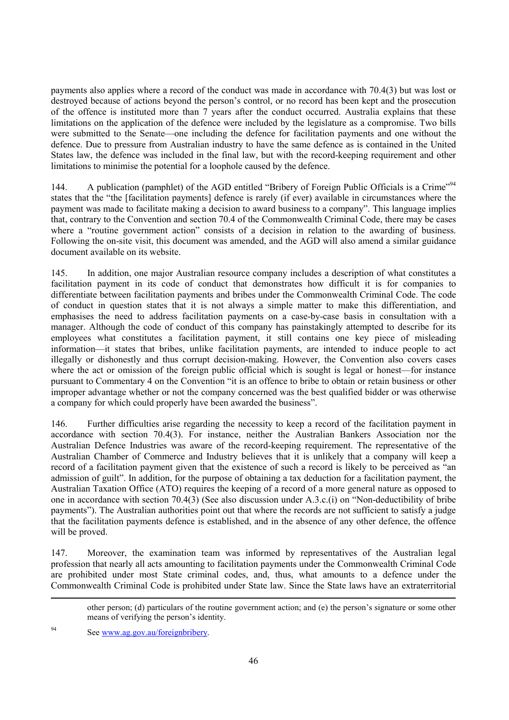payments also applies where a record of the conduct was made in accordance with 70.4(3) but was lost or destroyed because of actions beyond the person's control, or no record has been kept and the prosecution of the offence is instituted more than 7 years after the conduct occurred. Australia explains that these limitations on the application of the defence were included by the legislature as a compromise. Two bills were submitted to the Senate—one including the defence for facilitation payments and one without the defence. Due to pressure from Australian industry to have the same defence as is contained in the United States law, the defence was included in the final law, but with the record-keeping requirement and other limitations to minimise the potential for a loophole caused by the defence.

144. A publication (pamphlet) of the AGD entitled "Bribery of Foreign Public Officials is a Crime"<sup>94</sup> states that the "the [facilitation payments] defence is rarely (if ever) available in circumstances where the payment was made to facilitate making a decision to award business to a company". This language implies that, contrary to the Convention and section 70.4 of the Commonwealth Criminal Code, there may be cases where a "routine government action" consists of a decision in relation to the awarding of business. Following the on-site visit, this document was amended, and the AGD will also amend a similar guidance document available on its website.

145. In addition, one major Australian resource company includes a description of what constitutes a facilitation payment in its code of conduct that demonstrates how difficult it is for companies to differentiate between facilitation payments and bribes under the Commonwealth Criminal Code. The code of conduct in question states that it is not always a simple matter to make this differentiation, and emphasises the need to address facilitation payments on a case-by-case basis in consultation with a manager. Although the code of conduct of this company has painstakingly attempted to describe for its employees what constitutes a facilitation payment, it still contains one key piece of misleading information—it states that bribes, unlike facilitation payments, are intended to induce people to act illegally or dishonestly and thus corrupt decision-making. However, the Convention also covers cases where the act or omission of the foreign public official which is sought is legal or honest—for instance pursuant to Commentary 4 on the Convention "it is an offence to bribe to obtain or retain business or other improper advantage whether or not the company concerned was the best qualified bidder or was otherwise a company for which could properly have been awarded the business".

146. Further difficulties arise regarding the necessity to keep a record of the facilitation payment in accordance with section 70.4(3). For instance, neither the Australian Bankers Association nor the Australian Defence Industries was aware of the record-keeping requirement. The representative of the Australian Chamber of Commerce and Industry believes that it is unlikely that a company will keep a record of a facilitation payment given that the existence of such a record is likely to be perceived as "an admission of guilt". In addition, for the purpose of obtaining a tax deduction for a facilitation payment, the Australian Taxation Office (ATO) requires the keeping of a record of a more general nature as opposed to one in accordance with section 70.4(3) (See also discussion under A.3.c.(i) on "Non-deductibility of bribe payments"). The Australian authorities point out that where the records are not sufficient to satisfy a judge that the facilitation payments defence is established, and in the absence of any other defence, the offence will be proved.

147. Moreover, the examination team was informed by representatives of the Australian legal profession that nearly all acts amounting to facilitation payments under the Commonwealth Criminal Code are prohibited under most State criminal codes, and, thus, what amounts to a defence under the Commonwealth Criminal Code is prohibited under State law. Since the State laws have an extraterritorial

94 See www.ag.gov.au/foreignbribery.

-

other person; (d) particulars of the routine government action; and (e) the person's signature or some other means of verifying the person's identity.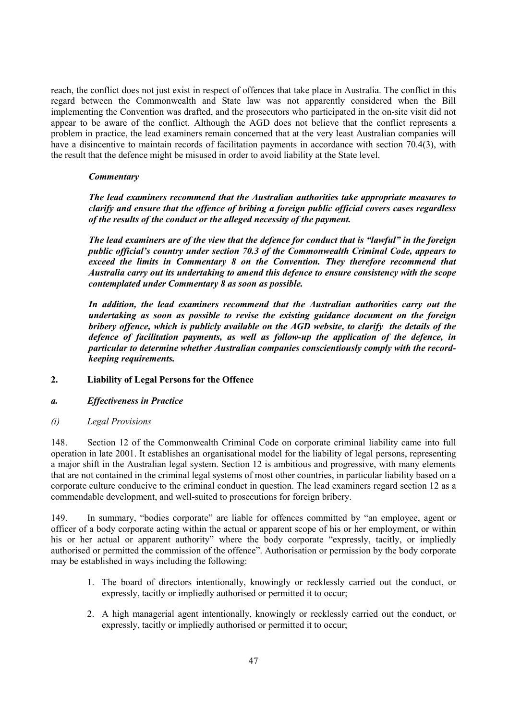reach, the conflict does not just exist in respect of offences that take place in Australia. The conflict in this regard between the Commonwealth and State law was not apparently considered when the Bill implementing the Convention was drafted, and the prosecutors who participated in the on-site visit did not appear to be aware of the conflict. Although the AGD does not believe that the conflict represents a problem in practice, the lead examiners remain concerned that at the very least Australian companies will have a disincentive to maintain records of facilitation payments in accordance with section 70.4(3), with the result that the defence might be misused in order to avoid liability at the State level.

#### *Commentary*

*The lead examiners recommend that the Australian authorities take appropriate measures to clarify and ensure that the offence of bribing a foreign public official covers cases regardless of the results of the conduct or the alleged necessity of the payment.* 

*The lead examiners are of the view that the defence for conduct that is "lawful" in the foreign public official's country under section 70.3 of the Commonwealth Criminal Code, appears to exceed the limits in Commentary 8 on the Convention. They therefore recommend that Australia carry out its undertaking to amend this defence to ensure consistency with the scope contemplated under Commentary 8 as soon as possible.* 

*In addition, the lead examiners recommend that the Australian authorities carry out the undertaking as soon as possible to revise the existing guidance document on the foreign bribery offence, which is publicly available on the AGD website, to clarify the details of the defence of facilitation payments, as well as follow-up the application of the defence, in particular to determine whether Australian companies conscientiously comply with the recordkeeping requirements.* 

# **2. Liability of Legal Persons for the Offence**

# *a. Effectiveness in Practice*

# *(i) Legal Provisions*

148. Section 12 of the Commonwealth Criminal Code on corporate criminal liability came into full operation in late 2001. It establishes an organisational model for the liability of legal persons, representing a major shift in the Australian legal system. Section 12 is ambitious and progressive, with many elements that are not contained in the criminal legal systems of most other countries, in particular liability based on a corporate culture conducive to the criminal conduct in question. The lead examiners regard section 12 as a commendable development, and well-suited to prosecutions for foreign bribery.

149. In summary, "bodies corporate" are liable for offences committed by "an employee, agent or officer of a body corporate acting within the actual or apparent scope of his or her employment, or within his or her actual or apparent authority" where the body corporate "expressly, tacitly, or impliedly authorised or permitted the commission of the offence". Authorisation or permission by the body corporate may be established in ways including the following:

- 1. The board of directors intentionally, knowingly or recklessly carried out the conduct, or expressly, tacitly or impliedly authorised or permitted it to occur;
- 2. A high managerial agent intentionally, knowingly or recklessly carried out the conduct, or expressly, tacitly or impliedly authorised or permitted it to occur;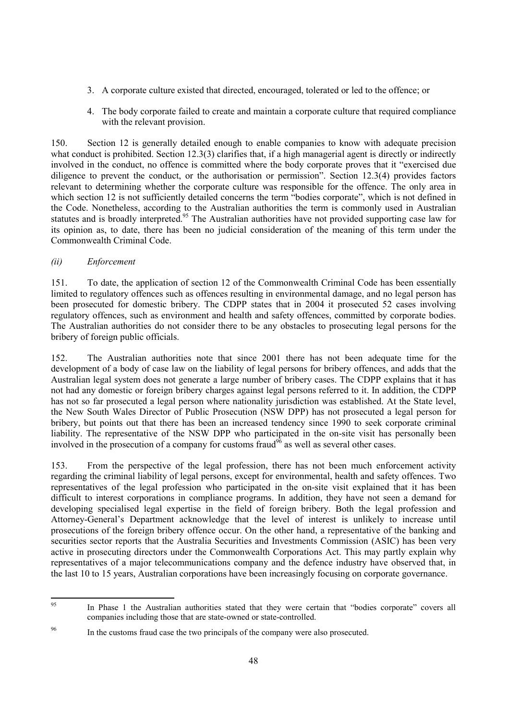- 3. A corporate culture existed that directed, encouraged, tolerated or led to the offence; or
- 4. The body corporate failed to create and maintain a corporate culture that required compliance with the relevant provision.

150. Section 12 is generally detailed enough to enable companies to know with adequate precision what conduct is prohibited. Section 12.3(3) clarifies that, if a high managerial agent is directly or indirectly involved in the conduct, no offence is committed where the body corporate proves that it "exercised due diligence to prevent the conduct, or the authorisation or permission". Section 12.3(4) provides factors relevant to determining whether the corporate culture was responsible for the offence. The only area in which section 12 is not sufficiently detailed concerns the term "bodies corporate", which is not defined in the Code. Nonetheless, according to the Australian authorities the term is commonly used in Australian statutes and is broadly interpreted.<sup>95</sup> The Australian authorities have not provided supporting case law for its opinion as, to date, there has been no judicial consideration of the meaning of this term under the Commonwealth Criminal Code.

# *(ii) Enforcement*

151. To date, the application of section 12 of the Commonwealth Criminal Code has been essentially limited to regulatory offences such as offences resulting in environmental damage, and no legal person has been prosecuted for domestic bribery. The CDPP states that in 2004 it prosecuted 52 cases involving regulatory offences, such as environment and health and safety offences, committed by corporate bodies. The Australian authorities do not consider there to be any obstacles to prosecuting legal persons for the bribery of foreign public officials.

152. The Australian authorities note that since 2001 there has not been adequate time for the development of a body of case law on the liability of legal persons for bribery offences, and adds that the Australian legal system does not generate a large number of bribery cases. The CDPP explains that it has not had any domestic or foreign bribery charges against legal persons referred to it. In addition, the CDPP has not so far prosecuted a legal person where nationality jurisdiction was established. At the State level, the New South Wales Director of Public Prosecution (NSW DPP) has not prosecuted a legal person for bribery, but points out that there has been an increased tendency since 1990 to seek corporate criminal liability. The representative of the NSW DPP who participated in the on-site visit has personally been involved in the prosecution of a company for customs fraud<sup>96</sup> as well as several other cases.

153. From the perspective of the legal profession, there has not been much enforcement activity regarding the criminal liability of legal persons, except for environmental, health and safety offences. Two representatives of the legal profession who participated in the on-site visit explained that it has been difficult to interest corporations in compliance programs. In addition, they have not seen a demand for developing specialised legal expertise in the field of foreign bribery. Both the legal profession and Attorney-General's Department acknowledge that the level of interest is unlikely to increase until prosecutions of the foreign bribery offence occur. On the other hand, a representative of the banking and securities sector reports that the Australia Securities and Investments Commission (ASIC) has been very active in prosecuting directors under the Commonwealth Corporations Act. This may partly explain why representatives of a major telecommunications company and the defence industry have observed that, in the last 10 to 15 years, Australian corporations have been increasingly focusing on corporate governance.

 $95$ In Phase 1 the Australian authorities stated that they were certain that "bodies corporate" covers all companies including those that are state-owned or state-controlled.

<sup>&</sup>lt;sup>96</sup> In the customs fraud case the two principals of the company were also prosecuted.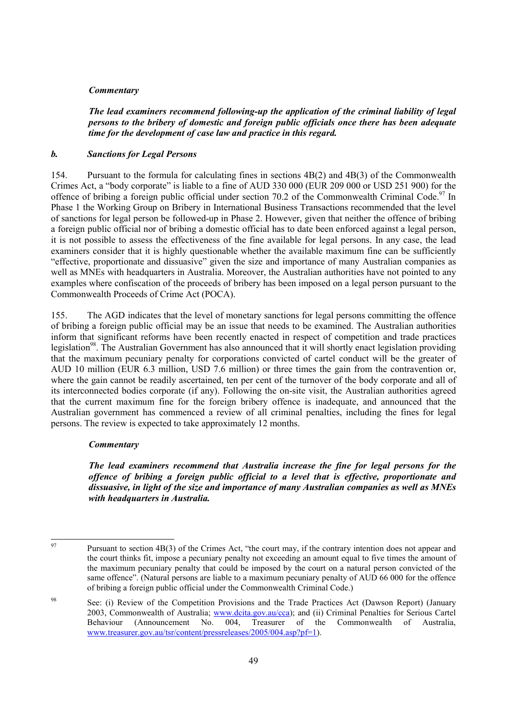#### *Commentary*

*The lead examiners recommend following-up the application of the criminal liability of legal persons to the bribery of domestic and foreign public officials once there has been adequate time for the development of case law and practice in this regard.* 

#### *b. Sanctions for Legal Persons*

154. Pursuant to the formula for calculating fines in sections 4B(2) and 4B(3) of the Commonwealth Crimes Act, a "body corporate" is liable to a fine of AUD 330 000 (EUR 209 000 or USD 251 900) for the offence of bribing a foreign public official under section 70.2 of the Commonwealth Criminal Code.<sup>97</sup> In Phase 1 the Working Group on Bribery in International Business Transactions recommended that the level of sanctions for legal person be followed-up in Phase 2. However, given that neither the offence of bribing a foreign public official nor of bribing a domestic official has to date been enforced against a legal person, it is not possible to assess the effectiveness of the fine available for legal persons. In any case, the lead examiners consider that it is highly questionable whether the available maximum fine can be sufficiently "effective, proportionate and dissuasive" given the size and importance of many Australian companies as well as MNEs with headquarters in Australia. Moreover, the Australian authorities have not pointed to any examples where confiscation of the proceeds of bribery has been imposed on a legal person pursuant to the Commonwealth Proceeds of Crime Act (POCA).

155. The AGD indicates that the level of monetary sanctions for legal persons committing the offence of bribing a foreign public official may be an issue that needs to be examined. The Australian authorities inform that significant reforms have been recently enacted in respect of competition and trade practices legislation<sup>98</sup>. The Australian Government has also announced that it will shortly enact legislation providing that the maximum pecuniary penalty for corporations convicted of cartel conduct will be the greater of AUD 10 million (EUR 6.3 million, USD 7.6 million) or three times the gain from the contravention or, where the gain cannot be readily ascertained, ten per cent of the turnover of the body corporate and all of its interconnected bodies corporate (if any). Following the on-site visit, the Australian authorities agreed that the current maximum fine for the foreign bribery offence is inadequate, and announced that the Australian government has commenced a review of all criminal penalties, including the fines for legal persons. The review is expected to take approximately 12 months.

#### *Commentary*

*The lead examiners recommend that Australia increase the fine for legal persons for the offence of bribing a foreign public official to a level that is effective, proportionate and dissuasive, in light of the size and importance of many Australian companies as well as MNEs with headquarters in Australia.* 

 $Q<sub>7</sub>$ 

Pursuant to section 4B(3) of the Crimes Act, "the court may, if the contrary intention does not appear and the court thinks fit, impose a pecuniary penalty not exceeding an amount equal to five times the amount of the maximum pecuniary penalty that could be imposed by the court on a natural person convicted of the same offence". (Natural persons are liable to a maximum pecuniary penalty of AUD 66 000 for the offence of bribing a foreign public official under the Commonwealth Criminal Code.)

<sup>98</sup> See: (i) Review of the Competition Provisions and the Trade Practices Act (Dawson Report) (January 2003, Commonwealth of Australia; www.dcita.gov.au/cca); and (ii) Criminal Penalties for Serious Cartel Behaviour (Announcement No. 004, Treasurer of the Commonwealth of Australia, www.treasurer.gov.au/tsr/content/pressreleases/2005/004.asp?pf=1).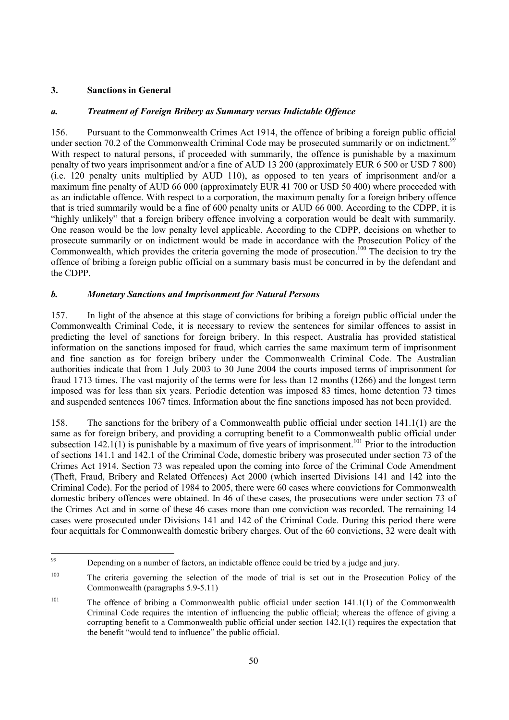# **3. Sanctions in General**

# *a. Treatment of Foreign Bribery as Summary versus Indictable Offence*

156. Pursuant to the Commonwealth Crimes Act 1914, the offence of bribing a foreign public official under section 70.2 of the Commonwealth Criminal Code may be prosecuted summarily or on indictment.<sup>99</sup> With respect to natural persons, if proceeded with summarily, the offence is punishable by a maximum penalty of two years imprisonment and/or a fine of AUD 13 200 (approximately EUR 6 500 or USD 7 800) (i.e. 120 penalty units multiplied by AUD 110), as opposed to ten years of imprisonment and/or a maximum fine penalty of AUD 66 000 (approximately EUR 41 700 or USD 50 400) where proceeded with as an indictable offence. With respect to a corporation, the maximum penalty for a foreign bribery offence that is tried summarily would be a fine of 600 penalty units or AUD 66 000. According to the CDPP, it is "highly unlikely" that a foreign bribery offence involving a corporation would be dealt with summarily. One reason would be the low penalty level applicable. According to the CDPP, decisions on whether to prosecute summarily or on indictment would be made in accordance with the Prosecution Policy of the Commonwealth, which provides the criteria governing the mode of prosecution.<sup>100</sup> The decision to try the offence of bribing a foreign public official on a summary basis must be concurred in by the defendant and the CDPP.

# *b. Monetary Sanctions and Imprisonment for Natural Persons*

157. In light of the absence at this stage of convictions for bribing a foreign public official under the Commonwealth Criminal Code, it is necessary to review the sentences for similar offences to assist in predicting the level of sanctions for foreign bribery. In this respect, Australia has provided statistical information on the sanctions imposed for fraud, which carries the same maximum term of imprisonment and fine sanction as for foreign bribery under the Commonwealth Criminal Code. The Australian authorities indicate that from 1 July 2003 to 30 June 2004 the courts imposed terms of imprisonment for fraud 1713 times. The vast majority of the terms were for less than 12 months (1266) and the longest term imposed was for less than six years. Periodic detention was imposed 83 times, home detention 73 times and suspended sentences 1067 times. Information about the fine sanctions imposed has not been provided.

158. The sanctions for the bribery of a Commonwealth public official under section 141.1(1) are the same as for foreign bribery, and providing a corrupting benefit to a Commonwealth public official under subsection  $142.1(1)$  is punishable by a maximum of five years of imprisonment.<sup>101</sup> Prior to the introduction of sections 141.1 and 142.1 of the Criminal Code, domestic bribery was prosecuted under section 73 of the Crimes Act 1914. Section 73 was repealed upon the coming into force of the Criminal Code Amendment (Theft, Fraud, Bribery and Related Offences) Act 2000 (which inserted Divisions 141 and 142 into the Criminal Code). For the period of 1984 to 2005, there were 60 cases where convictions for Commonwealth domestic bribery offences were obtained. In 46 of these cases, the prosecutions were under section 73 of the Crimes Act and in some of these 46 cases more than one conviction was recorded. The remaining 14 cases were prosecuted under Divisions 141 and 142 of the Criminal Code. During this period there were four acquittals for Commonwealth domestic bribery charges. Out of the 60 convictions, 32 were dealt with

<sup>99</sup> Depending on a number of factors, an indictable offence could be tried by a judge and jury.

<sup>&</sup>lt;sup>100</sup> The criteria governing the selection of the mode of trial is set out in the Prosecution Policy of the Commonwealth (paragraphs 5.9-5.11)

<sup>&</sup>lt;sup>101</sup> The offence of bribing a Commonwealth public official under section 141.1(1) of the Commonwealth Criminal Code requires the intention of influencing the public official; whereas the offence of giving a corrupting benefit to a Commonwealth public official under section 142.1(1) requires the expectation that the benefit "would tend to influence" the public official.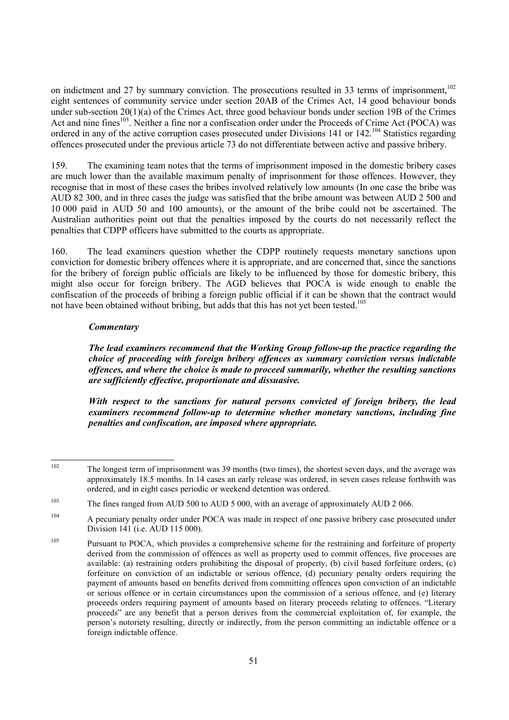on indictment and 27 by summary conviction. The prosecutions resulted in 33 terms of imprisonment, $102$ eight sentences of community service under section 20AB of the Crimes Act, 14 good behaviour bonds under sub-section 20(1)(a) of the Crimes Act, three good behaviour bonds under section 19B of the Crimes Act and nine fines<sup>103</sup>. Neither a fine nor a confiscation order under the Proceeds of Crime Act (POCA) was ordered in any of the active corruption cases prosecuted under Divisions 141 or 142.<sup>104</sup> Statistics regarding offences prosecuted under the previous article 73 do not differentiate between active and passive bribery.

159. The examining team notes that the terms of imprisonment imposed in the domestic bribery cases are much lower than the available maximum penalty of imprisonment for those offences. However, they recognise that in most of these cases the bribes involved relatively low amounts (In one case the bribe was AUD 82 300, and in three cases the judge was satisfied that the bribe amount was between AUD 2 500 and 10 000 paid in AUD 50 and 100 amounts), or the amount of the bribe could not be ascertained. The Australian authorities point out that the penalties imposed by the courts do not necessarily reflect the penalties that CDPP officers have submitted to the courts as appropriate.

160. The lead examiners question whether the CDPP routinely requests monetary sanctions upon conviction for domestic bribery offences where it is appropriate, and are concerned that, since the sanctions for the bribery of foreign public officials are likely to be influenced by those for domestic bribery, this might also occur for foreign bribery. The AGD believes that POCA is wide enough to enable the confiscation of the proceeds of bribing a foreign public official if it can be shown that the contract would not have been obtained without bribing, but adds that this has not yet been tested.<sup>105</sup>

#### *Commentary*

*The lead examiners recommend that the Working Group follow-up the practice regarding the choice of proceeding with foreign bribery offences as summary conviction versus indictable offences, and where the choice is made to proceed summarily, whether the resulting sanctions are sufficiently effective, proportionate and dissuasive.* 

*With respect to the sanctions for natural persons convicted of foreign bribery, the lead examiners recommend follow-up to determine whether monetary sanctions, including fine penalties and confiscation, are imposed where appropriate.* 

 $102$ The longest term of imprisonment was 39 months (two times), the shortest seven days, and the average was approximately 18.5 months. In 14 cases an early release was ordered, in seven cases release forthwith was ordered, and in eight cases periodic or weekend detention was ordered.

<sup>&</sup>lt;sup>103</sup> The fines ranged from AUD 500 to AUD 5 000, with an average of approximately AUD 2 066.

<sup>&</sup>lt;sup>104</sup> A pecuniary penalty order under POCA was made in respect of one passive bribery case prosecuted under Division 141 (i.e. AUD 115 000).

<sup>&</sup>lt;sup>105</sup> Pursuant to POCA, which provides a comprehensive scheme for the restraining and forfeiture of property derived from the commission of offences as well as property used to commit offences, five processes are available: (a) restraining orders prohibiting the disposal of property, (b) civil based forfeiture orders, (c) forfeiture on conviction of an indictable or serious offence, (d) pecuniary penalty orders requiring the payment of amounts based on benefits derived from committing offences upon conviction of an indictable or serious offence or in certain circumstances upon the commission of a serious offence, and (e) literary proceeds orders requiring payment of amounts based on literary proceeds relating to offences. "Literary proceeds" are any benefit that a person derives from the commercial exploitation of, for example, the person's notoriety resulting, directly or indirectly, from the person committing an indictable offence or a foreign indictable offence.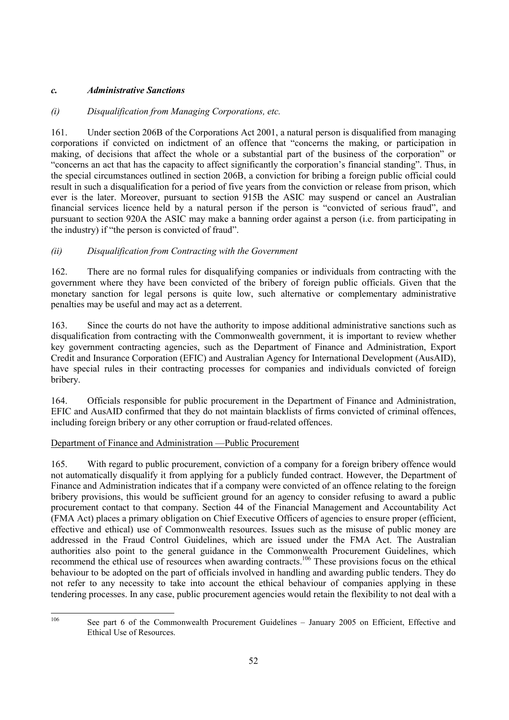# *c. Administrative Sanctions*

# *(i) Disqualification from Managing Corporations, etc.*

161. Under section 206B of the Corporations Act 2001, a natural person is disqualified from managing corporations if convicted on indictment of an offence that "concerns the making, or participation in making, of decisions that affect the whole or a substantial part of the business of the corporation" or "concerns an act that has the capacity to affect significantly the corporation's financial standing". Thus, in the special circumstances outlined in section 206B, a conviction for bribing a foreign public official could result in such a disqualification for a period of five years from the conviction or release from prison, which ever is the later. Moreover, pursuant to section 915B the ASIC may suspend or cancel an Australian financial services licence held by a natural person if the person is "convicted of serious fraud", and pursuant to section 920A the ASIC may make a banning order against a person (i.e. from participating in the industry) if "the person is convicted of fraud".

# *(ii) Disqualification from Contracting with the Government*

162. There are no formal rules for disqualifying companies or individuals from contracting with the government where they have been convicted of the bribery of foreign public officials. Given that the monetary sanction for legal persons is quite low, such alternative or complementary administrative penalties may be useful and may act as a deterrent.

163. Since the courts do not have the authority to impose additional administrative sanctions such as disqualification from contracting with the Commonwealth government, it is important to review whether key government contracting agencies, such as the Department of Finance and Administration, Export Credit and Insurance Corporation (EFIC) and Australian Agency for International Development (AusAID), have special rules in their contracting processes for companies and individuals convicted of foreign bribery.

164. Officials responsible for public procurement in the Department of Finance and Administration, EFIC and AusAID confirmed that they do not maintain blacklists of firms convicted of criminal offences, including foreign bribery or any other corruption or fraud-related offences.

# Department of Finance and Administration —Public Procurement

165. With regard to public procurement, conviction of a company for a foreign bribery offence would not automatically disqualify it from applying for a publicly funded contract. However, the Department of Finance and Administration indicates that if a company were convicted of an offence relating to the foreign bribery provisions, this would be sufficient ground for an agency to consider refusing to award a public procurement contact to that company. Section 44 of the Financial Management and Accountability Act (FMA Act) places a primary obligation on Chief Executive Officers of agencies to ensure proper (efficient, effective and ethical) use of Commonwealth resources. Issues such as the misuse of public money are addressed in the Fraud Control Guidelines, which are issued under the FMA Act. The Australian authorities also point to the general guidance in the Commonwealth Procurement Guidelines, which recommend the ethical use of resources when awarding contracts.<sup>106</sup> These provisions focus on the ethical behaviour to be adopted on the part of officials involved in handling and awarding public tenders. They do not refer to any necessity to take into account the ethical behaviour of companies applying in these tendering processes. In any case, public procurement agencies would retain the flexibility to not deal with a

<sup>106</sup> 

See part 6 of the Commonwealth Procurement Guidelines – January 2005 on Efficient, Effective and Ethical Use of Resources.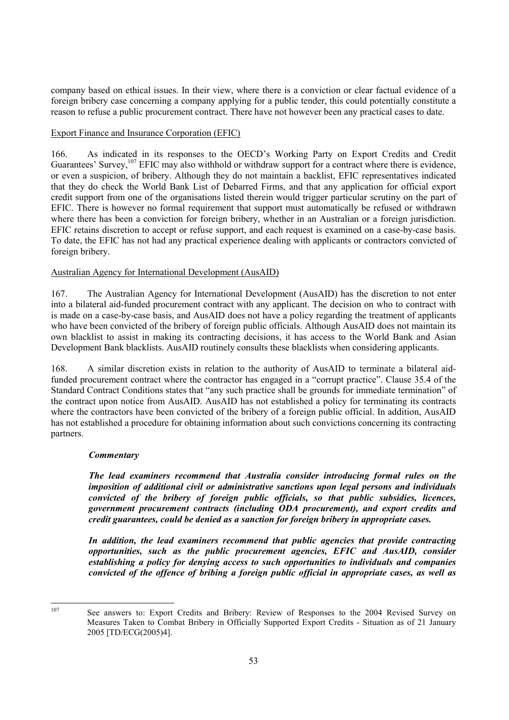company based on ethical issues. In their view, where there is a conviction or clear factual evidence of a foreign bribery case concerning a company applying for a public tender, this could potentially constitute a reason to refuse a public procurement contract. There have not however been any practical cases to date.

# Export Finance and Insurance Corporation (EFIC)

166. As indicated in its responses to the OECD's Working Party on Export Credits and Credit Guarantees' Survey,<sup>107</sup> EFIC may also withhold or withdraw support for a contract where there is evidence, or even a suspicion, of bribery. Although they do not maintain a backlist, EFIC representatives indicated that they do check the World Bank List of Debarred Firms, and that any application for official export credit support from one of the organisations listed therein would trigger particular scrutiny on the part of EFIC. There is however no formal requirement that support must automatically be refused or withdrawn where there has been a conviction for foreign bribery, whether in an Australian or a foreign jurisdiction. EFIC retains discretion to accept or refuse support, and each request is examined on a case-by-case basis. To date, the EFIC has not had any practical experience dealing with applicants or contractors convicted of foreign bribery.

# Australian Agency for International Development (AusAID)

167. The Australian Agency for International Development (AusAID) has the discretion to not enter into a bilateral aid-funded procurement contract with any applicant. The decision on who to contract with is made on a case-by-case basis, and AusAID does not have a policy regarding the treatment of applicants who have been convicted of the bribery of foreign public officials. Although AusAID does not maintain its own blacklist to assist in making its contracting decisions, it has access to the World Bank and Asian Development Bank blacklists. AusAID routinely consults these blacklists when considering applicants.

168. A similar discretion exists in relation to the authority of AusAID to terminate a bilateral aidfunded procurement contract where the contractor has engaged in a "corrupt practice". Clause 35.4 of the Standard Contract Conditions states that "any such practice shall be grounds for immediate termination" of the contract upon notice from AusAID. AusAID has not established a policy for terminating its contracts where the contractors have been convicted of the bribery of a foreign public official. In addition, AusAID has not established a procedure for obtaining information about such convictions concerning its contracting partners.

# *Commentary*

*The lead examiners recommend that Australia consider introducing formal rules on the imposition of additional civil or administrative sanctions upon legal persons and individuals convicted of the bribery of foreign public officials, so that public subsidies, licences, government procurement contracts (including ODA procurement), and export credits and credit guarantees, could be denied as a sanction for foreign bribery in appropriate cases.* 

*In addition, the lead examiners recommend that public agencies that provide contracting opportunities, such as the public procurement agencies, EFIC and AusAID, consider establishing a policy for denying access to such opportunities to individuals and companies convicted of the offence of bribing a foreign public official in appropriate cases, as well as* 

107

See answers to: Export Credits and Bribery: Review of Responses to the 2004 Revised Survey on Measures Taken to Combat Bribery in Officially Supported Export Credits - Situation as of 21 January 2005 [TD/ECG(2005)4].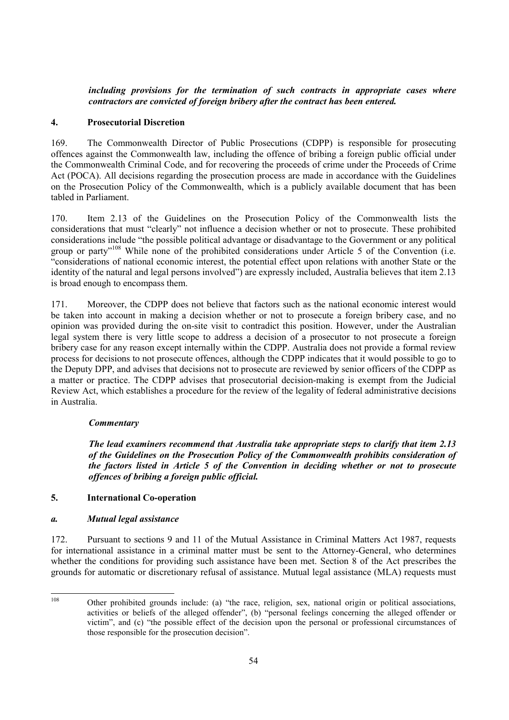# *including provisions for the termination of such contracts in appropriate cases where contractors are convicted of foreign bribery after the contract has been entered.*

# **4. Prosecutorial Discretion**

169. The Commonwealth Director of Public Prosecutions (CDPP) is responsible for prosecuting offences against the Commonwealth law, including the offence of bribing a foreign public official under the Commonwealth Criminal Code, and for recovering the proceeds of crime under the Proceeds of Crime Act (POCA). All decisions regarding the prosecution process are made in accordance with the Guidelines on the Prosecution Policy of the Commonwealth, which is a publicly available document that has been tabled in Parliament.

170. Item 2.13 of the Guidelines on the Prosecution Policy of the Commonwealth lists the considerations that must "clearly" not influence a decision whether or not to prosecute. These prohibited considerations include "the possible political advantage or disadvantage to the Government or any political group or party<sup>"108</sup> While none of the prohibited considerations under Article 5 of the Convention (i.e. "considerations of national economic interest, the potential effect upon relations with another State or the identity of the natural and legal persons involved") are expressly included, Australia believes that item 2.13 is broad enough to encompass them.

171. Moreover, the CDPP does not believe that factors such as the national economic interest would be taken into account in making a decision whether or not to prosecute a foreign bribery case, and no opinion was provided during the on-site visit to contradict this position. However, under the Australian legal system there is very little scope to address a decision of a prosecutor to not prosecute a foreign bribery case for any reason except internally within the CDPP. Australia does not provide a formal review process for decisions to not prosecute offences, although the CDPP indicates that it would possible to go to the Deputy DPP, and advises that decisions not to prosecute are reviewed by senior officers of the CDPP as a matter or practice. The CDPP advises that prosecutorial decision-making is exempt from the Judicial Review Act, which establishes a procedure for the review of the legality of federal administrative decisions in Australia.

# *Commentary*

*The lead examiners recommend that Australia take appropriate steps to clarify that item 2.13 of the Guidelines on the Prosecution Policy of the Commonwealth prohibits consideration of the factors listed in Article 5 of the Convention in deciding whether or not to prosecute offences of bribing a foreign public official.* 

# **5. International Co-operation**

# *a. Mutual legal assistance*

172. Pursuant to sections 9 and 11 of the Mutual Assistance in Criminal Matters Act 1987, requests for international assistance in a criminal matter must be sent to the Attorney-General, who determines whether the conditions for providing such assistance have been met. Section 8 of the Act prescribes the grounds for automatic or discretionary refusal of assistance. Mutual legal assistance (MLA) requests must

<sup>108</sup> Other prohibited grounds include: (a) "the race, religion, sex, national origin or political associations, activities or beliefs of the alleged offender", (b) "personal feelings concerning the alleged offender or victim", and (c) "the possible effect of the decision upon the personal or professional circumstances of those responsible for the prosecution decision".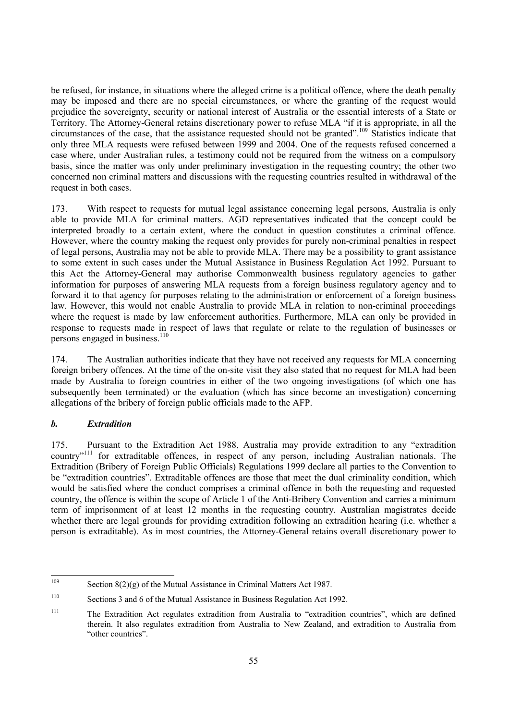be refused, for instance, in situations where the alleged crime is a political offence, where the death penalty may be imposed and there are no special circumstances, or where the granting of the request would prejudice the sovereignty, security or national interest of Australia or the essential interests of a State or Territory. The Attorney-General retains discretionary power to refuse MLA "if it is appropriate, in all the circumstances of the case, that the assistance requested should not be granted".109 Statistics indicate that only three MLA requests were refused between 1999 and 2004. One of the requests refused concerned a case where, under Australian rules, a testimony could not be required from the witness on a compulsory basis, since the matter was only under preliminary investigation in the requesting country; the other two concerned non criminal matters and discussions with the requesting countries resulted in withdrawal of the request in both cases.

173. With respect to requests for mutual legal assistance concerning legal persons, Australia is only able to provide MLA for criminal matters. AGD representatives indicated that the concept could be interpreted broadly to a certain extent, where the conduct in question constitutes a criminal offence. However, where the country making the request only provides for purely non-criminal penalties in respect of legal persons, Australia may not be able to provide MLA. There may be a possibility to grant assistance to some extent in such cases under the Mutual Assistance in Business Regulation Act 1992. Pursuant to this Act the Attorney-General may authorise Commonwealth business regulatory agencies to gather information for purposes of answering MLA requests from a foreign business regulatory agency and to forward it to that agency for purposes relating to the administration or enforcement of a foreign business law. However, this would not enable Australia to provide MLA in relation to non-criminal proceedings where the request is made by law enforcement authorities. Furthermore, MLA can only be provided in response to requests made in respect of laws that regulate or relate to the regulation of businesses or persons engaged in business.<sup>110</sup>

174. The Australian authorities indicate that they have not received any requests for MLA concerning foreign bribery offences. At the time of the on-site visit they also stated that no request for MLA had been made by Australia to foreign countries in either of the two ongoing investigations (of which one has subsequently been terminated) or the evaluation (which has since become an investigation) concerning allegations of the bribery of foreign public officials made to the AFP.

# *b. Extradition*

175. Pursuant to the Extradition Act 1988, Australia may provide extradition to any "extradition country"111 for extraditable offences, in respect of any person, including Australian nationals. The Extradition (Bribery of Foreign Public Officials) Regulations 1999 declare all parties to the Convention to be "extradition countries". Extraditable offences are those that meet the dual criminality condition, which would be satisfied where the conduct comprises a criminal offence in both the requesting and requested country, the offence is within the scope of Article 1 of the Anti-Bribery Convention and carries a minimum term of imprisonment of at least 12 months in the requesting country. Australian magistrates decide whether there are legal grounds for providing extradition following an extradition hearing (i.e. whether a person is extraditable). As in most countries, the Attorney-General retains overall discretionary power to

<sup>109</sup> Section  $8(2)(g)$  of the Mutual Assistance in Criminal Matters Act 1987.

<sup>110</sup> Sections 3 and 6 of the Mutual Assistance in Business Regulation Act 1992.

<sup>111</sup> The Extradition Act regulates extradition from Australia to "extradition countries", which are defined therein. It also regulates extradition from Australia to New Zealand, and extradition to Australia from "other countries".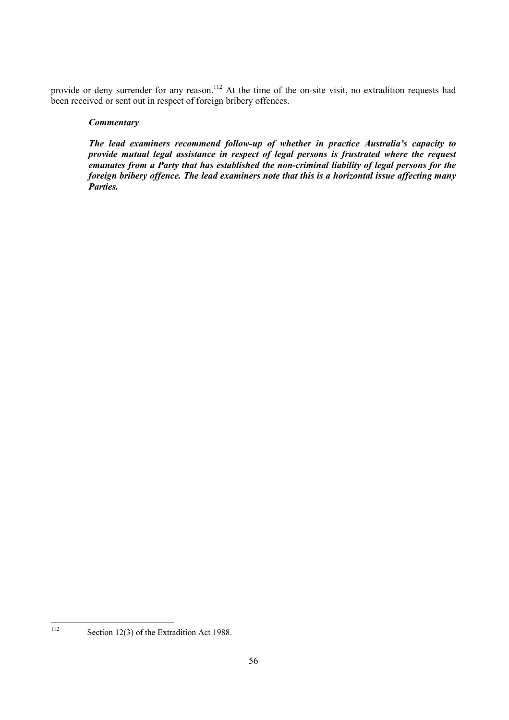provide or deny surrender for any reason.<sup>112</sup> At the time of the on-site visit, no extradition requests had been received or sent out in respect of foreign bribery offences.

#### *Commentary*

*The lead examiners recommend follow-up of whether in practice Australia's capacity to provide mutual legal assistance in respect of legal persons is frustrated where the request emanates from a Party that has established the non-criminal liability of legal persons for the foreign bribery offence. The lead examiners note that this is a horizontal issue affecting many Parties.* 

<sup>112</sup> 

Section 12(3) of the Extradition Act 1988.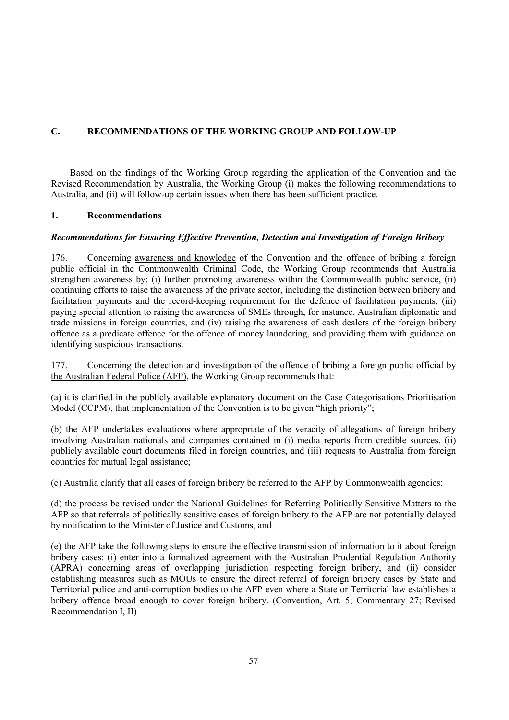# **C. RECOMMENDATIONS OF THE WORKING GROUP AND FOLLOW-UP**

Based on the findings of the Working Group regarding the application of the Convention and the Revised Recommendation by Australia, the Working Group (i) makes the following recommendations to Australia, and (ii) will follow-up certain issues when there has been sufficient practice.

# **1. Recommendations**

# *Recommendations for Ensuring Effective Prevention, Detection and Investigation of Foreign Bribery*

176. Concerning awareness and knowledge of the Convention and the offence of bribing a foreign public official in the Commonwealth Criminal Code, the Working Group recommends that Australia strengthen awareness by: (i) further promoting awareness within the Commonwealth public service, (ii) continuing efforts to raise the awareness of the private sector, including the distinction between bribery and facilitation payments and the record-keeping requirement for the defence of facilitation payments, (iii) paying special attention to raising the awareness of SMEs through, for instance, Australian diplomatic and trade missions in foreign countries, and (iv) raising the awareness of cash dealers of the foreign bribery offence as a predicate offence for the offence of money laundering, and providing them with guidance on identifying suspicious transactions.

177. Concerning the detection and investigation of the offence of bribing a foreign public official by the Australian Federal Police (AFP), the Working Group recommends that:

(a) it is clarified in the publicly available explanatory document on the Case Categorisations Prioritisation Model (CCPM), that implementation of the Convention is to be given "high priority";

(b) the AFP undertakes evaluations where appropriate of the veracity of allegations of foreign bribery involving Australian nationals and companies contained in (i) media reports from credible sources, (ii) publicly available court documents filed in foreign countries, and (iii) requests to Australia from foreign countries for mutual legal assistance;

(c) Australia clarify that all cases of foreign bribery be referred to the AFP by Commonwealth agencies;

(d) the process be revised under the National Guidelines for Referring Politically Sensitive Matters to the AFP so that referrals of politically sensitive cases of foreign bribery to the AFP are not potentially delayed by notification to the Minister of Justice and Customs, and

(e) the AFP take the following steps to ensure the effective transmission of information to it about foreign bribery cases: (i) enter into a formalized agreement with the Australian Prudential Regulation Authority (APRA) concerning areas of overlapping jurisdiction respecting foreign bribery, and (ii) consider establishing measures such as MOUs to ensure the direct referral of foreign bribery cases by State and Territorial police and anti-corruption bodies to the AFP even where a State or Territorial law establishes a bribery offence broad enough to cover foreign bribery. (Convention, Art. 5; Commentary 27; Revised Recommendation I, II)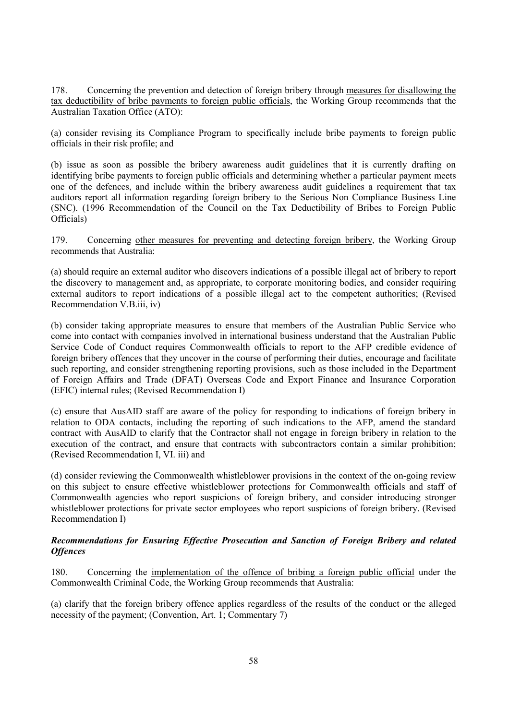178. Concerning the prevention and detection of foreign bribery through measures for disallowing the tax deductibility of bribe payments to foreign public officials, the Working Group recommends that the Australian Taxation Office (ATO):

(a) consider revising its Compliance Program to specifically include bribe payments to foreign public officials in their risk profile; and

(b) issue as soon as possible the bribery awareness audit guidelines that it is currently drafting on identifying bribe payments to foreign public officials and determining whether a particular payment meets one of the defences, and include within the bribery awareness audit guidelines a requirement that tax auditors report all information regarding foreign bribery to the Serious Non Compliance Business Line (SNC). (1996 Recommendation of the Council on the Tax Deductibility of Bribes to Foreign Public Officials)

179. Concerning other measures for preventing and detecting foreign bribery, the Working Group recommends that Australia:

(a) should require an external auditor who discovers indications of a possible illegal act of bribery to report the discovery to management and, as appropriate, to corporate monitoring bodies, and consider requiring external auditors to report indications of a possible illegal act to the competent authorities; (Revised Recommendation V.B.iii, iv)

(b) consider taking appropriate measures to ensure that members of the Australian Public Service who come into contact with companies involved in international business understand that the Australian Public Service Code of Conduct requires Commonwealth officials to report to the AFP credible evidence of foreign bribery offences that they uncover in the course of performing their duties, encourage and facilitate such reporting, and consider strengthening reporting provisions, such as those included in the Department of Foreign Affairs and Trade (DFAT) Overseas Code and Export Finance and Insurance Corporation (EFIC) internal rules; (Revised Recommendation I)

(c) ensure that AusAID staff are aware of the policy for responding to indications of foreign bribery in relation to ODA contacts, including the reporting of such indications to the AFP, amend the standard contract with AusAID to clarify that the Contractor shall not engage in foreign bribery in relation to the execution of the contract, and ensure that contracts with subcontractors contain a similar prohibition; (Revised Recommendation I, VI. iii) and

(d) consider reviewing the Commonwealth whistleblower provisions in the context of the on-going review on this subject to ensure effective whistleblower protections for Commonwealth officials and staff of Commonwealth agencies who report suspicions of foreign bribery, and consider introducing stronger whistleblower protections for private sector employees who report suspicions of foreign bribery. (Revised Recommendation I)

# *Recommendations for Ensuring Effective Prosecution and Sanction of Foreign Bribery and related Offences*

180. Concerning the implementation of the offence of bribing a foreign public official under the Commonwealth Criminal Code, the Working Group recommends that Australia:

(a) clarify that the foreign bribery offence applies regardless of the results of the conduct or the alleged necessity of the payment; (Convention, Art. 1; Commentary 7)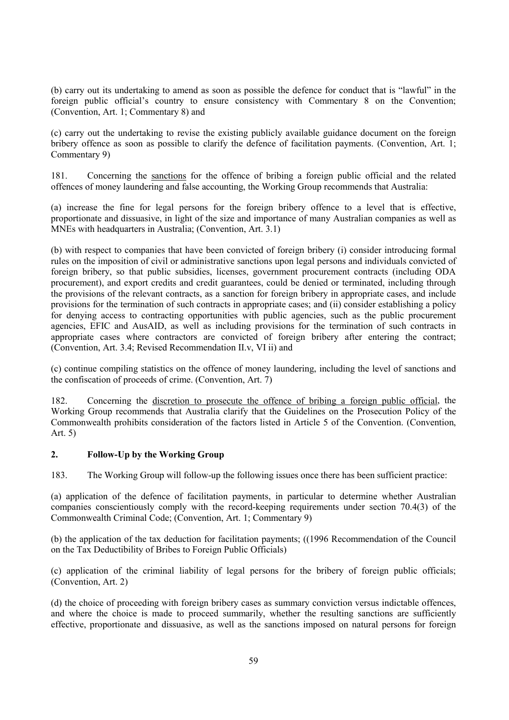(b) carry out its undertaking to amend as soon as possible the defence for conduct that is "lawful" in the foreign public official's country to ensure consistency with Commentary 8 on the Convention; (Convention, Art. 1; Commentary 8) and

(c) carry out the undertaking to revise the existing publicly available guidance document on the foreign bribery offence as soon as possible to clarify the defence of facilitation payments. (Convention, Art. 1; Commentary 9)

181. Concerning the sanctions for the offence of bribing a foreign public official and the related offences of money laundering and false accounting, the Working Group recommends that Australia:

(a) increase the fine for legal persons for the foreign bribery offence to a level that is effective, proportionate and dissuasive, in light of the size and importance of many Australian companies as well as MNEs with headquarters in Australia; (Convention, Art. 3.1)

(b) with respect to companies that have been convicted of foreign bribery (i) consider introducing formal rules on the imposition of civil or administrative sanctions upon legal persons and individuals convicted of foreign bribery, so that public subsidies, licenses, government procurement contracts (including ODA procurement), and export credits and credit guarantees, could be denied or terminated, including through the provisions of the relevant contracts, as a sanction for foreign bribery in appropriate cases, and include provisions for the termination of such contracts in appropriate cases; and (ii) consider establishing a policy for denying access to contracting opportunities with public agencies, such as the public procurement agencies, EFIC and AusAID, as well as including provisions for the termination of such contracts in appropriate cases where contractors are convicted of foreign bribery after entering the contract; (Convention, Art. 3.4; Revised Recommendation II.v, VI ii) and

(c) continue compiling statistics on the offence of money laundering, including the level of sanctions and the confiscation of proceeds of crime. (Convention, Art. 7)

182. Concerning the discretion to prosecute the offence of bribing a foreign public official, the Working Group recommends that Australia clarify that the Guidelines on the Prosecution Policy of the Commonwealth prohibits consideration of the factors listed in Article 5 of the Convention. (Convention, Art. 5)

# **2. Follow-Up by the Working Group**

183. The Working Group will follow-up the following issues once there has been sufficient practice:

(a) application of the defence of facilitation payments, in particular to determine whether Australian companies conscientiously comply with the record-keeping requirements under section 70.4(3) of the Commonwealth Criminal Code; (Convention, Art. 1; Commentary 9)

(b) the application of the tax deduction for facilitation payments; ((1996 Recommendation of the Council on the Tax Deductibility of Bribes to Foreign Public Officials)

(c) application of the criminal liability of legal persons for the bribery of foreign public officials; (Convention, Art. 2)

(d) the choice of proceeding with foreign bribery cases as summary conviction versus indictable offences, and where the choice is made to proceed summarily, whether the resulting sanctions are sufficiently effective, proportionate and dissuasive, as well as the sanctions imposed on natural persons for foreign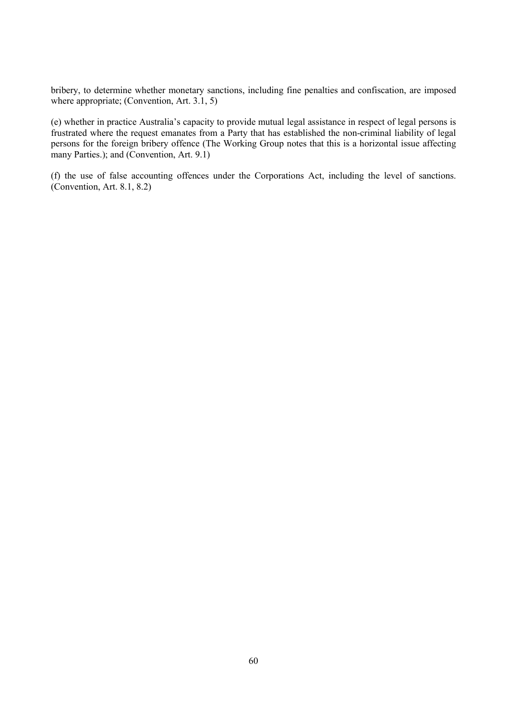bribery, to determine whether monetary sanctions, including fine penalties and confiscation, are imposed where appropriate; (Convention, Art. 3.1, 5)

(e) whether in practice Australia's capacity to provide mutual legal assistance in respect of legal persons is frustrated where the request emanates from a Party that has established the non-criminal liability of legal persons for the foreign bribery offence (The Working Group notes that this is a horizontal issue affecting many Parties.); and (Convention, Art. 9.1)

(f) the use of false accounting offences under the Corporations Act, including the level of sanctions. (Convention, Art. 8.1, 8.2)